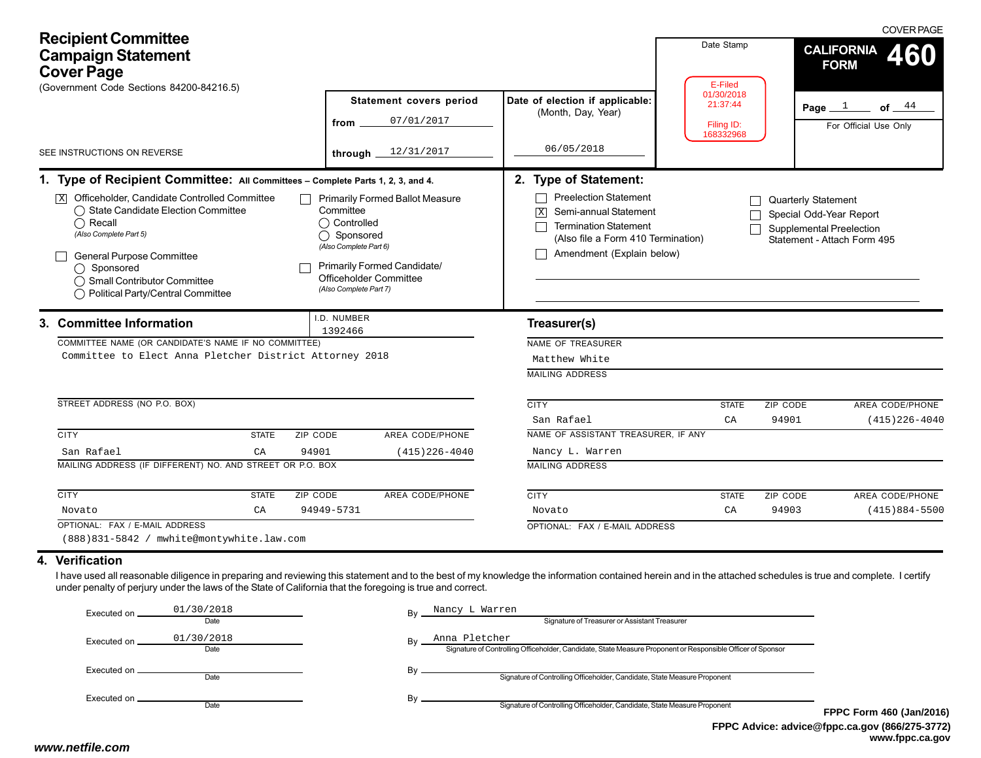| <b>Recipient Committee</b><br><b>Campaign Statement</b><br><b>Cover Page</b><br>(Government Code Sections 84200-84216.5)                                                                                                                                                                                                                                        |                                                                                                                                                                                                        |                                                                                                                                                                                                 | Date Stamp<br>E-Filed<br>01/30/2018 | <b>COVER PAGE</b><br><b>CALIFORNIA</b><br><b>FORM</b>                                                            |
|-----------------------------------------------------------------------------------------------------------------------------------------------------------------------------------------------------------------------------------------------------------------------------------------------------------------------------------------------------------------|--------------------------------------------------------------------------------------------------------------------------------------------------------------------------------------------------------|-------------------------------------------------------------------------------------------------------------------------------------------------------------------------------------------------|-------------------------------------|------------------------------------------------------------------------------------------------------------------|
| SEE INSTRUCTIONS ON REVERSE                                                                                                                                                                                                                                                                                                                                     | Statement covers period<br>07/01/2017<br>from<br>12/31/2017<br>through $\overline{\phantom{a}}$                                                                                                        | Date of election if applicable:<br>(Month, Day, Year)<br>06/05/2018                                                                                                                             | 21:37:44<br>Filing ID:<br>168332968 | Page $1$ of $44$<br>For Official Use Only                                                                        |
| 1. Type of Recipient Committee: All Committees - Complete Parts 1, 2, 3, and 4.<br>$\overline{X}$ Officeholder, Candidate Controlled Committee<br>◯ State Candidate Election Committee<br>$\bigcap$ Recall<br>(Also Complete Part 5)<br><b>General Purpose Committee</b><br>◯ Sponsored<br>◯ Small Contributor Committee<br>◯ Political Party/Central Committee | <b>Primarily Formed Ballot Measure</b><br>Committee<br>◯ Controlled<br>◯ Sponsored<br>(Also Complete Part 6)<br><b>Primarily Formed Candidate/</b><br>Officeholder Committee<br>(Also Complete Part 7) | 2. Type of Statement:<br><b>Preelection Statement</b><br>$\sqrt{X}$<br>Semi-annual Statement<br><b>Termination Statement</b><br>(Also file a Form 410 Termination)<br>Amendment (Explain below) |                                     | <b>Quarterly Statement</b><br>Special Odd-Year Report<br>Supplemental Preelection<br>Statement - Attach Form 495 |
| 3. Committee Information<br>COMMITTEE NAME (OR CANDIDATE'S NAME IF NO COMMITTEE)<br>Committee to Elect Anna Pletcher District Attorney 2018<br>STREET ADDRESS (NO P.O. BOX)                                                                                                                                                                                     | I.D. NUMBER<br>1392466                                                                                                                                                                                 | Treasurer(s)<br>NAME OF TREASURER<br>Matthew White<br><b>MAILING ADDRESS</b><br><b>CITY</b>                                                                                                     | <b>STATE</b>                        | ZIP CODE<br>AREA CODE/PHONE                                                                                      |
| <b>CITY</b><br><b>STATE</b><br>ZIP CODE<br>San Rafael<br>CA<br>94901<br>MAILING ADDRESS (IF DIFFERENT) NO. AND STREET OR P.O. BOX<br><b>CITY</b><br><b>STATE</b><br><b>ZIP CODE</b>                                                                                                                                                                             | AREA CODE/PHONE<br>$(415)$ 226-4040<br><b>AREA CODE/PHONE</b>                                                                                                                                          | San Rafael<br>NAME OF ASSISTANT TREASURER, IF ANY<br>Nancy L. Warren<br><b>MAILING ADDRESS</b><br><b>CITY</b>                                                                                   | C A<br><b>STATE</b>                 | 94901<br>$(415)$ 226-4040<br>AREA CODE/PHONE<br>ZIP CODE                                                         |
| CA<br>Novato<br>OPTIONAL: FAX / E-MAIL ADDRESS<br>(888)831-5842 / mwhite@montywhite.law.com<br>4. Verification<br>I have used all reasonable diligence in preparing and reviewing this statement and to the best of my knowledge the information contained herein and in the attached schedules is true and complete. I certify                                 | 94949-5731                                                                                                                                                                                             | Novato<br>OPTIONAL: FAX / E-MAIL ADDRESS                                                                                                                                                        | CA                                  | 94903<br>$(415)884 - 5500$                                                                                       |
| under penalty of perjury under the laws of the State of California that the foregoing is true and correct.<br>01/30/2018<br>Executed on ___<br>Date<br>01/30/2018<br>Executed on _<br>Date                                                                                                                                                                      | Nancy L Warren<br>By                                                                                                                                                                                   | Signature of Treasurer or Assistant Treasurer<br>Anna Pletcher<br>Signature of Controlling Officeholder, Candidate, State Measure Proponent or Responsible Officer of Sponsor                   |                                     |                                                                                                                  |

| Executed on . | 01/30/2018<br>Date | Nancy L Warren<br>Bv<br>Signature of Treasurer or Assistant Treasurer                                                              |                  |
|---------------|--------------------|------------------------------------------------------------------------------------------------------------------------------------|------------------|
| Executed on . | 01/30/2018<br>Date | Anna Pletcher<br>Bv<br>Signature of Controlling Officeholder, Candidate, State Measure Proponent or Responsible Officer of Sponsor |                  |
| Executed on . | Date               | Bv<br>Signature of Controlling Officeholder, Candidate, State Measure Proponent                                                    |                  |
|               | Date               | Bv<br>Signature of Controlling Officeholder, Candidate, State Measure Proponent                                                    | <b>FPPC Form</b> |
|               |                    | ______<br>.                                                                                                                        | ___              |

**FPPC Advice: advice@fppc.ca.gov (866/275-3772) www.fppc.ca.gov FPPC Form 460 (Jan/2016)**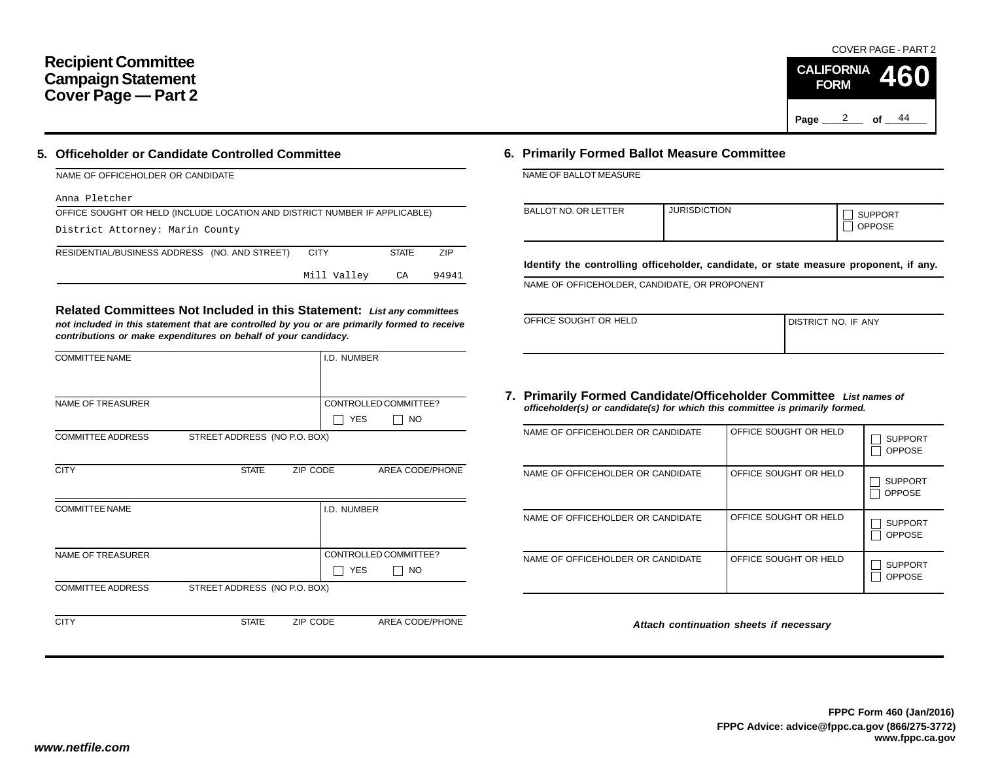## **Recipient Committee Campaign Statement Cover Page — Part 2**

#### **5. Officeholder or Candidate Controlled Committee**

| NAME OF OFFICEHOLDER OR CANDIDATE                                          |             |              |            |
|----------------------------------------------------------------------------|-------------|--------------|------------|
| Anna Pletcher                                                              |             |              |            |
| OFFICE SOUGHT OR HELD (INCLUDE LOCATION AND DISTRICT NUMBER IF APPLICABLE) |             |              |            |
| District Attorney: Marin County                                            |             |              |            |
| RESIDENTIAL/BUSINESS ADDRESS (NO. AND STREET)                              | <b>CITY</b> | <b>STATE</b> | <b>ZIP</b> |
|                                                                            | Mill Valley | CA           | 94941      |

**Related Committees Not Included in this Statement:** *List any committees not included in this statement that are controlled by you or are primarily formed to receive contributions or make expenditures on behalf of your candidacy.*

| <b>COMMITTEE NAME</b>    |                              |          | I.D. NUMBER |                       |
|--------------------------|------------------------------|----------|-------------|-----------------------|
|                          |                              |          |             |                       |
| <b>NAME OF TREASURER</b> |                              |          |             | CONTROLLED COMMITTEE? |
|                          |                              |          | <b>YES</b>  | <b>NO</b>             |
| <b>COMMITTEE ADDRESS</b> | STREET ADDRESS (NO P.O. BOX) |          |             |                       |
|                          |                              |          |             |                       |
| <b>CITY</b>              | <b>STATE</b>                 | ZIP CODE |             | AREA CODE/PHONE       |
|                          |                              |          |             |                       |
| <b>COMMITTEE NAME</b>    |                              |          | I.D. NUMBER |                       |
|                          |                              |          |             |                       |
|                          |                              |          |             |                       |
| <b>NAME OF TREASURER</b> |                              |          |             | CONTROLLED COMMITTEE? |
|                          |                              |          | <b>YES</b>  | NO                    |
| <b>COMMITTEE ADDRESS</b> | STREET ADDRESS (NO P.O. BOX) |          |             |                       |
|                          |                              |          |             |                       |
| <b>CITY</b>              | <b>STATE</b>                 | ZIP CODE |             | AREA CODE/PHONE       |

#### **6. Primarily Formed Ballot Measure Committee**

NAME OF BALLOT MEASURE

| <b>BALLOT NO. OR LETTER</b> | <b>JURISDICTION</b> | <b>SUPPORT</b><br><b>OPPOSE</b> |
|-----------------------------|---------------------|---------------------------------|
|-----------------------------|---------------------|---------------------------------|

**Identify the controlling officeholder, candidate, or state measure proponent, if any.**

NAME OF OFFICEHOLDER, CANDIDATE, OR PROPONENT

| OFFICE SOUGHT OR HELD | I DISTRICT NO. IF ANY |
|-----------------------|-----------------------|
|                       |                       |

#### **7. Primarily Formed Candidate/Officeholder Committee** *List names of officeholder(s) or candidate(s) for which this committee is primarily formed.*

| NAME OF OFFICEHOLDER OR CANDIDATE | OFFICE SOUGHT OR HELD | <b>SUPPORT</b><br><b>OPPOSE</b> |
|-----------------------------------|-----------------------|---------------------------------|
| NAME OF OFFICEHOLDER OR CANDIDATE | OFFICE SOUGHT OR HELD | <b>SUPPORT</b><br><b>OPPOSE</b> |
| NAME OF OFFICEHOLDER OR CANDIDATE | OFFICE SOUGHT OR HELD | <b>SUPPORT</b><br><b>OPPOSE</b> |
| NAME OF OFFICEHOLDER OR CANDIDATE | OFFICE SOUGHT OR HELD | <b>SUPPORT</b><br><b>OPPOSE</b> |

*Attach continuation sheets if necessary*

COVER PAGE - PART 2

**460**

Page <u>2</u> of  $44$ 

**CALIFORNIA FORM**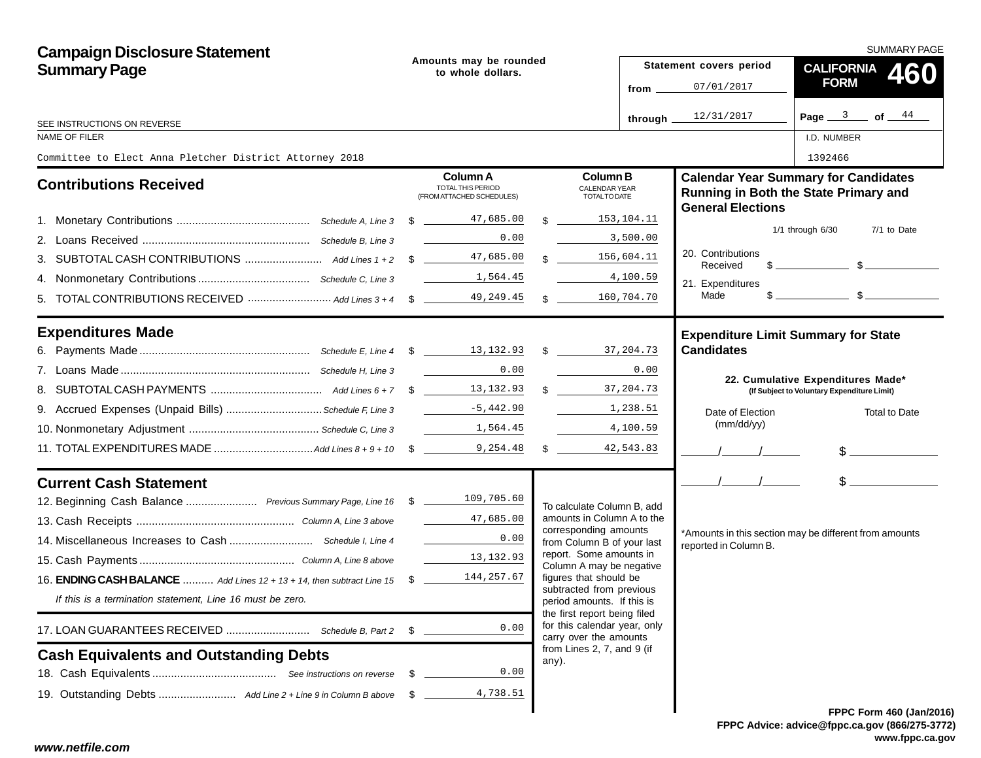| <b>Campaign Disclosure Statement</b>                                      |                                             |                                                            |    |                                                                                        |                         | <b>SUMMARY PAGE</b>                                             |                                                                                      |  |  |  |  |
|---------------------------------------------------------------------------|---------------------------------------------|------------------------------------------------------------|----|----------------------------------------------------------------------------------------|-------------------------|-----------------------------------------------------------------|--------------------------------------------------------------------------------------|--|--|--|--|
| <b>Summary Page</b>                                                       | Amounts may be rounded<br>to whole dollars. |                                                            |    |                                                                                        | Statement covers period | <b>CALIFORNIA</b><br>460                                        |                                                                                      |  |  |  |  |
|                                                                           |                                             |                                                            |    | from $\equiv$                                                                          |                         | 07/01/2017                                                      | <b>FORM</b>                                                                          |  |  |  |  |
|                                                                           |                                             |                                                            |    |                                                                                        | through.                | 12/31/2017                                                      | Page $3$ of $44$                                                                     |  |  |  |  |
| SEE INSTRUCTIONS ON REVERSE<br><b>NAME OF FILER</b>                       |                                             |                                                            |    |                                                                                        |                         |                                                                 | I.D. NUMBER                                                                          |  |  |  |  |
| Committee to Elect Anna Pletcher District Attorney 2018                   |                                             |                                                            |    |                                                                                        |                         |                                                                 | 1392466                                                                              |  |  |  |  |
| <b>Contributions Received</b>                                             |                                             | Column A<br>TOTAL THIS PERIOD<br>(FROM ATTACHED SCHEDULES) |    | <b>Column B</b><br>CALENDAR YEAR<br>TOTAL TO DATE                                      |                         | <b>General Elections</b>                                        | <b>Calendar Year Summary for Candidates</b><br>Running in Both the State Primary and |  |  |  |  |
|                                                                           |                                             | \$ 47,685.00                                               |    |                                                                                        | 153,104.11              |                                                                 |                                                                                      |  |  |  |  |
|                                                                           |                                             | 0.00                                                       |    |                                                                                        | 3,500.00                |                                                                 | 1/1 through 6/30<br>7/1 to Date                                                      |  |  |  |  |
|                                                                           |                                             | 47,685.00                                                  | \$ |                                                                                        | 156,604.11              | 20. Contributions<br>Received                                   | $\mathbb{S}$ $\mathbb{S}$                                                            |  |  |  |  |
|                                                                           |                                             | 1,564.45                                                   |    |                                                                                        | 4,100.59                | 21. Expenditures                                                |                                                                                      |  |  |  |  |
|                                                                           |                                             | 49,249.45                                                  |    | $\mathbb{S}$                                                                           | 160,704.70              | Made                                                            |                                                                                      |  |  |  |  |
| <b>Expenditures Made</b>                                                  |                                             |                                                            |    |                                                                                        |                         | <b>Expenditure Limit Summary for State</b><br><b>Candidates</b> |                                                                                      |  |  |  |  |
|                                                                           |                                             | 0.00                                                       |    |                                                                                        | 0.00                    |                                                                 |                                                                                      |  |  |  |  |
|                                                                           |                                             |                                                            |    | \$37,204.73                                                                            |                         |                                                                 | 22. Cumulative Expenditures Made*<br>(If Subject to Voluntary Expenditure Limit)     |  |  |  |  |
| 9. Accrued Expenses (Unpaid Bills)  Schedule F, Line 3                    |                                             | $-5,442.90$                                                |    |                                                                                        | 1,238.51                | Date of Election                                                | Total to Date                                                                        |  |  |  |  |
|                                                                           |                                             | 1,564.45                                                   |    |                                                                                        | 4,100.59                | (mm/dd/yy)                                                      |                                                                                      |  |  |  |  |
|                                                                           |                                             |                                                            |    | $\frac{1}{2}$                                                                          | 42,543.83               |                                                                 | $\frac{1}{2}$                                                                        |  |  |  |  |
| <b>Current Cash Statement</b>                                             |                                             |                                                            |    |                                                                                        |                         | $\frac{1}{2}$                                                   | $\frac{1}{2}$                                                                        |  |  |  |  |
| 12. Beginning Cash Balance  Previous Summary Page, Line 16 \$ 109,705.60  |                                             |                                                            |    | To calculate Column B, add                                                             |                         |                                                                 |                                                                                      |  |  |  |  |
|                                                                           |                                             | 47,685.00                                                  |    | amounts in Column A to the<br>corresponding amounts                                    |                         |                                                                 |                                                                                      |  |  |  |  |
|                                                                           |                                             | 0.00                                                       |    | from Column B of your last                                                             |                         | reported in Column B.                                           | *Amounts in this section may be different from amounts                               |  |  |  |  |
|                                                                           |                                             | 13, 132.93                                                 |    | report. Some amounts in<br>Column A may be negative                                    |                         |                                                                 |                                                                                      |  |  |  |  |
| 16. ENDING CASH BALANCE  Add Lines 12 + 13 + 14, then subtract Line 15 \$ |                                             | 144,257.67                                                 |    | figures that should be                                                                 |                         |                                                                 |                                                                                      |  |  |  |  |
| If this is a termination statement, Line 16 must be zero.                 |                                             |                                                            |    | subtracted from previous<br>period amounts. If this is<br>the first report being filed |                         |                                                                 |                                                                                      |  |  |  |  |
|                                                                           | S.                                          | 0.00                                                       |    | for this calendar year, only<br>carry over the amounts                                 |                         |                                                                 |                                                                                      |  |  |  |  |
| <b>Cash Equivalents and Outstanding Debts</b>                             |                                             |                                                            |    | from Lines 2, 7, and 9 (if<br>any).                                                    |                         |                                                                 |                                                                                      |  |  |  |  |
|                                                                           | S.                                          | 0.00                                                       |    |                                                                                        |                         |                                                                 |                                                                                      |  |  |  |  |
|                                                                           | \$                                          | 4,738.51                                                   |    |                                                                                        |                         |                                                                 |                                                                                      |  |  |  |  |
|                                                                           |                                             |                                                            |    |                                                                                        |                         |                                                                 | <b>FPPC Form 460 (Jan/201)</b>                                                       |  |  |  |  |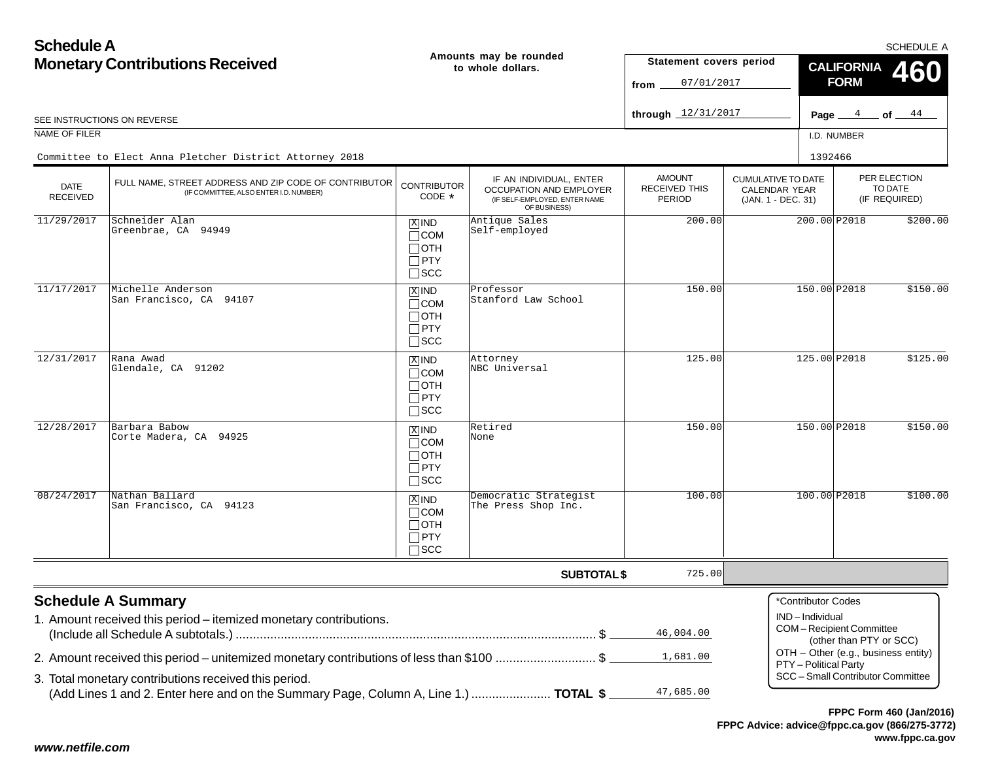**Schedule AMonetary Contributions Received Amounts may be rounded to whole dollars.** SEE INSTRUCTIONS ON REVERSE NAME OF FILER I.D. NUMBER**Statement covers period from**07/01/2017**through** 12/31/2017

## Committee to Elect Anna Pletcher District Attorney 2018

|                                | Committee to Elect Anna Pletcher District Attorney 2018                                         |                                                                     |                                                                                                     |                                                 | 1392466                                                                 |                                          |          |
|--------------------------------|-------------------------------------------------------------------------------------------------|---------------------------------------------------------------------|-----------------------------------------------------------------------------------------------------|-------------------------------------------------|-------------------------------------------------------------------------|------------------------------------------|----------|
| <b>DATE</b><br><b>RECEIVED</b> | FULL NAME, STREET ADDRESS AND ZIP CODE OF CONTRIBUTOR<br>(IF COMMITTEE, ALSO ENTER I.D. NUMBER) | <b>CONTRIBUTOR</b><br>CODE *                                        | IF AN INDIVIDUAL, ENTER<br>OCCUPATION AND EMPLOYER<br>(IF SELF-EMPLOYED, ENTER NAME<br>OF BUSINESS) | <b>AMOUNT</b><br><b>RECEIVED THIS</b><br>PERIOD | <b>CUMULATIVE TO DATE</b><br><b>CALENDAR YEAR</b><br>(JAN. 1 - DEC. 31) | PER ELECTION<br>TO DATE<br>(IF REQUIRED) |          |
| 11/29/2017                     | Schneider Alan<br>Greenbrae, CA 94949                                                           | $X$ IND<br>$\sqcap$ COM<br>$\sqcap$ OTH<br>$\Box$ PTY<br>$\Box$ SCC | Antique Sales<br>Self-employed                                                                      | 200.00                                          | 200.00 P2018                                                            |                                          | \$200.00 |
| 11/17/2017                     | Michelle Anderson<br>San Francisco, CA 94107                                                    | $X$ IND<br>$\Box$ COM<br>$\Box$ OTH<br>$\Box$ PTY<br>$\square$ scc  | Professor<br>Stanford Law School                                                                    | 150.00                                          | 150.00 P2018                                                            |                                          | \$150.00 |
| 12/31/2017                     | Rana Awad<br>Glendale, CA 91202                                                                 | $X$ IND<br>$\Box$ COM<br>$\Box$ OTH<br>$\Box$ PTY<br>$\Box$ SCC     | Attorney<br>NBC Universal                                                                           | 125.00                                          | 125.00 P2018                                                            |                                          | \$125.00 |
| 12/28/2017                     | Barbara Babow<br>Corte Madera, CA 94925                                                         | $x$ IND<br>$\Box$ COM<br>$\Box$ OTH<br>$\Box$ PTY<br>$\Box$ SCC     | Retired<br>None                                                                                     | 150.00                                          | 150.00 P2018                                                            |                                          | \$150.00 |
| 08/24/2017                     | Nathan Ballard<br>San Francisco, CA 94123                                                       | $X$ IND<br>$\Box$ COM<br>$\sqcap$ oth<br>$\Box$ PTY<br>$\sqcap$ scc | Democratic Strategist<br>The Press Shop Inc.                                                        | 100.00                                          | 100.00 P2018                                                            |                                          | \$100.00 |
|                                |                                                                                                 |                                                                     | <b>SUBTOTAL \$</b>                                                                                  | 725.00                                          |                                                                         |                                          |          |
|                                | <b>Schedule A Summary</b>                                                                       |                                                                     |                                                                                                     |                                                 | *Contributor Codes                                                      |                                          |          |
|                                | 1. Amount received this period – itemized monetary contributions.                               |                                                                     |                                                                                                     |                                                 | IND-Individual                                                          |                                          |          |

|                                                                                          | 46,004.00 |
|------------------------------------------------------------------------------------------|-----------|
| 2. Amount received this period – unitemized monetary contributions of less than \$100 \$ |           |
| 3. Total monetary contributions received this period.                                    |           |
|                                                                                          |           |

COM – Recipient Committee (other than PTY or SCC) OTH – Other (e.g., business entity) PTY – Political Party SCC – Small Contributor Committee

### **FPPC Advice: advice@fppc.ca.gov (866/275-3772)FPPC Form 460 (Jan/2016)**

SCHEDULE A

**460**

Page <u>4</u> of <u>44</u>

**CALIFORNIA FORM**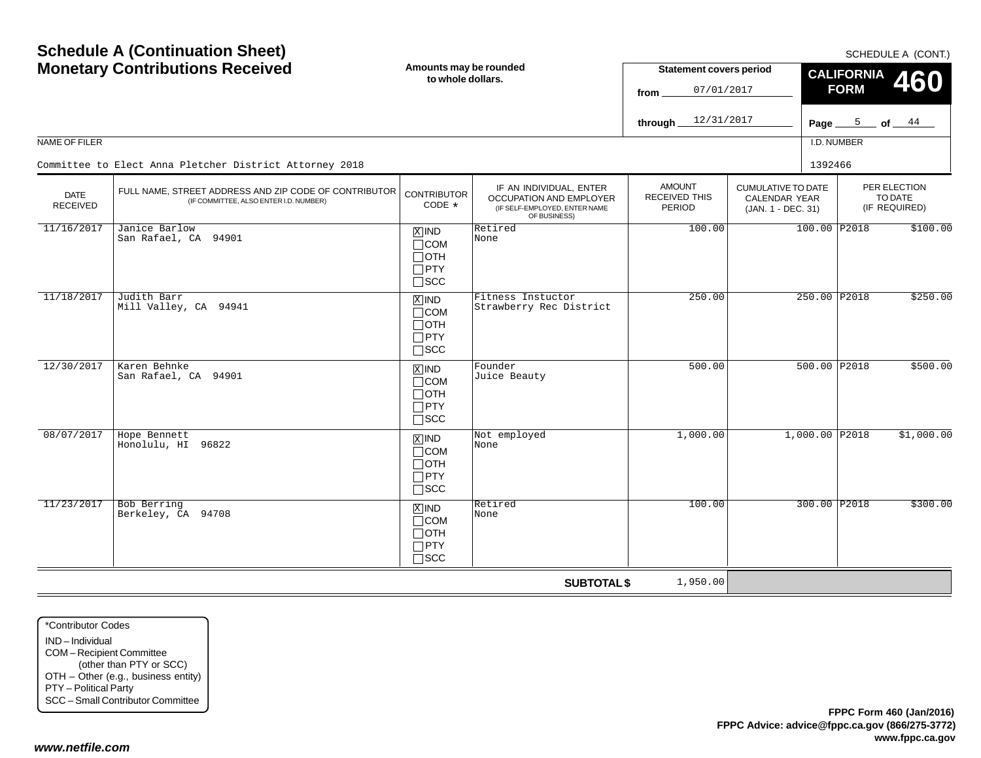| <b>Schedule A (Continuation Sheet)</b><br><b>Monetary Contributions Received</b> |                                                                                                 | Amounts may be rounded<br>to whole dollars.                             |                                                                                                     | <b>Statement covers period</b><br>07/01/2017<br>from<br>12/31/2017 |                                                                  | SCHEDULE A (CONT.)<br><b>CALIFORNIA</b><br>460<br><b>FORM</b> |                                          |  |
|----------------------------------------------------------------------------------|-------------------------------------------------------------------------------------------------|-------------------------------------------------------------------------|-----------------------------------------------------------------------------------------------------|--------------------------------------------------------------------|------------------------------------------------------------------|---------------------------------------------------------------|------------------------------------------|--|
| NAME OF FILER                                                                    |                                                                                                 |                                                                         |                                                                                                     | through                                                            |                                                                  | I.D. NUMBER                                                   | Page $5$ of $44$                         |  |
|                                                                                  | Committee to Elect Anna Pletcher District Attorney 2018                                         |                                                                         |                                                                                                     |                                                                    |                                                                  | 1392466                                                       |                                          |  |
| <b>DATE</b><br><b>RECEIVED</b>                                                   | FULL NAME, STREET ADDRESS AND ZIP CODE OF CONTRIBUTOR<br>(IF COMMITTEE, ALSO ENTER I.D. NUMBER) | <b>CONTRIBUTOR</b><br>CODE *                                            | IF AN INDIVIDUAL, ENTER<br>OCCUPATION AND EMPLOYER<br>(IF SELF-EMPLOYED, ENTER NAME<br>OF BUSINESS) | <b>AMOUNT</b><br><b>RECEIVED THIS</b><br>PERIOD                    | <b>CUMULATIVE TO DATE</b><br>CALENDAR YEAR<br>(JAN. 1 - DEC. 31) |                                                               | PER ELECTION<br>TO DATE<br>(IF REQUIRED) |  |
| 11/16/2017                                                                       | Janice Barlow<br>San Rafael, CA 94901                                                           | $X$ IND<br>$\Box$ COM<br>⊟отн<br>$\Box$ PTY<br>$\square$ SCC            | Retired<br>None                                                                                     | 100.00                                                             | 100.00 P2018                                                     |                                                               | \$100.00                                 |  |
| 11/18/2017                                                                       | Judith Barr<br>Mill Valley, CA 94941                                                            | $X$ IND<br>$\Box$ COM<br>$\Box$ oth<br>$\Box$ PTY<br>$\Box$ scc         | Fitness Instuctor<br>Strawberry Rec District                                                        | 250.00                                                             |                                                                  | 250.00 P2018                                                  | \$250.00                                 |  |
| 12/30/2017                                                                       | Karen Behnke<br>San Rafael, CA 94901                                                            | $X$ IND<br>$\Box$ COM<br>$\Box$ OTH<br>$\Box$ PTY<br>$\sqcap$ scc       | Founder<br>Juice Beauty                                                                             | 500.00                                                             |                                                                  | 500.00 P2018                                                  | \$500.00                                 |  |
| 08/07/2017                                                                       | Hope Bennett<br>Honolulu, HI 96822                                                              | $\overline{X}$ IND<br>$\Box$ COM<br>⊓отн<br>$\Box$ PTY<br>$\square$ scc | Not employed<br>None                                                                                | 1,000.00                                                           |                                                                  | $1,000.00$ P2018                                              | \$1,000.00                               |  |
| 11/23/2017                                                                       | <b>Bob Berring</b><br>Berkeley, CA 94708                                                        | $X$ IND<br>$\Box$ COM<br>$\Box$ oth<br>$\Box$ PTY<br>$\sqcap$ scc       | Retired<br>None                                                                                     | 100.00                                                             |                                                                  | 300.00 P2018                                                  | \$300.00                                 |  |
|                                                                                  |                                                                                                 |                                                                         | <b>SUBTOTAL \$</b>                                                                                  | 1,950.00                                                           |                                                                  |                                                               |                                          |  |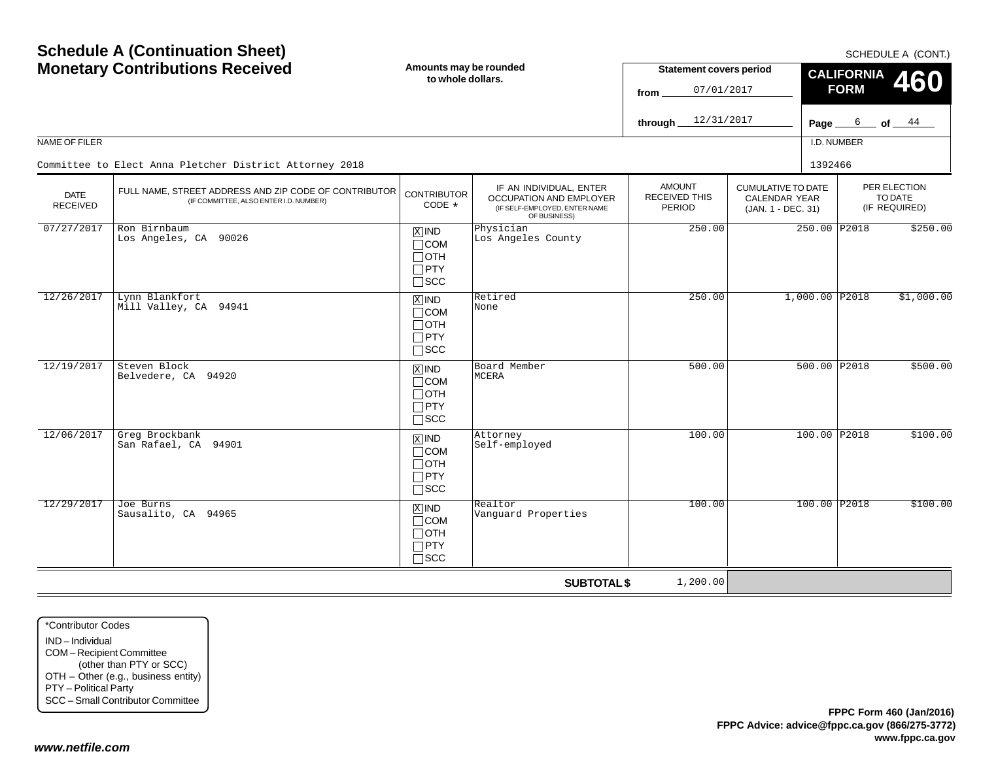| <b>Schedule A (Continuation Sheet)</b><br><b>Monetary Contributions Received</b> |                                                                                                 | Amounts may be rounded<br>to whole dollars.                                                     |                                                                                                     | <b>Statement covers period</b>                  |                                                                         | SCHEDULE A (CONT.)<br><b>CALIFORNIA</b><br>460<br><b>FORM</b> |              |                                          |  |  |          |
|----------------------------------------------------------------------------------|-------------------------------------------------------------------------------------------------|-------------------------------------------------------------------------------------------------|-----------------------------------------------------------------------------------------------------|-------------------------------------------------|-------------------------------------------------------------------------|---------------------------------------------------------------|--------------|------------------------------------------|--|--|----------|
|                                                                                  |                                                                                                 |                                                                                                 |                                                                                                     | 07/01/2017<br>from<br>12/31/2017<br>through     |                                                                         |                                                               |              | Page $6$ of $44$                         |  |  |          |
| NAME OF FILER                                                                    |                                                                                                 |                                                                                                 |                                                                                                     |                                                 |                                                                         | I.D. NUMBER                                                   |              |                                          |  |  |          |
|                                                                                  | Committee to Elect Anna Pletcher District Attorney 2018                                         |                                                                                                 |                                                                                                     |                                                 |                                                                         | 1392466                                                       |              |                                          |  |  |          |
| <b>DATE</b><br><b>RECEIVED</b>                                                   | FULL NAME, STREET ADDRESS AND ZIP CODE OF CONTRIBUTOR<br>(IF COMMITTEE, ALSO ENTER I.D. NUMBER) | <b>CONTRIBUTOR</b><br>CODE *                                                                    | IF AN INDIVIDUAL, ENTER<br>OCCUPATION AND EMPLOYER<br>(IF SELF-EMPLOYED, ENTER NAME<br>OF BUSINESS) | <b>AMOUNT</b><br><b>RECEIVED THIS</b><br>PERIOD | <b>CUMULATIVE TO DATE</b><br><b>CALENDAR YEAR</b><br>(JAN. 1 - DEC. 31) |                                                               |              | PER ELECTION<br>TO DATE<br>(IF REQUIRED) |  |  |          |
| 07/27/2017                                                                       | Ron Birnbaum<br>Los Angeles, CA 90026                                                           | Physician<br>$X$ IND<br>Los Angeles County<br>$\Box$ COM<br>⊟отн<br>$\Box$ PTY<br>$\square$ SCC | 250.00                                                                                              |                                                 |                                                                         |                                                               | 250.00 P2018 |                                          |  |  | \$250.00 |
| 12/26/2017                                                                       | Lynn Blankfort<br>Mill Valley, CA 94941                                                         | $X$ IND<br>$\Box$ COM<br>$\Box$ OTH<br>$\Box$ PTY<br>$\Box$ scc                                 | Retired<br>None                                                                                     | 250.00                                          |                                                                         | 1,000.00 P2018                                                |              | \$1,000.00                               |  |  |          |
| 12/19/2017                                                                       | Steven Block<br>Belvedere, CA 94920                                                             | $X$ IND<br>$\Box$ COM<br>$\Box$ OTH<br>$\Box$ PTY<br>$\Box$ scc                                 | Board Member<br>MCERA                                                                               | 500.00                                          |                                                                         | 500.00 P2018                                                  |              | \$500.00                                 |  |  |          |
| 12/06/2017                                                                       | Greg Brockbank<br>San Rafael, CA 94901                                                          | $X$ IND<br>$\Box$ COM<br>∏ОТН<br>$\Box$ PTY<br>$\Box$ scc                                       | Attorney<br>Self-employed                                                                           | 100.00                                          |                                                                         | 100.00 P2018                                                  |              | \$100.00                                 |  |  |          |
| 12/29/2017                                                                       | Joe Burns<br>Sausalito, CA 94965                                                                | $X$ IND<br>$\Box$ COM<br>$\Box$ OTH<br>$\Box$ PTY<br>$\sqcap$ SCC                               | Realtor<br>Vanguard Properties                                                                      | 100.00                                          |                                                                         | 100.00 P2018                                                  |              | \$100.00                                 |  |  |          |
|                                                                                  |                                                                                                 |                                                                                                 | <b>SUBTOTAL \$</b>                                                                                  | 1,200.00                                        |                                                                         |                                                               |              |                                          |  |  |          |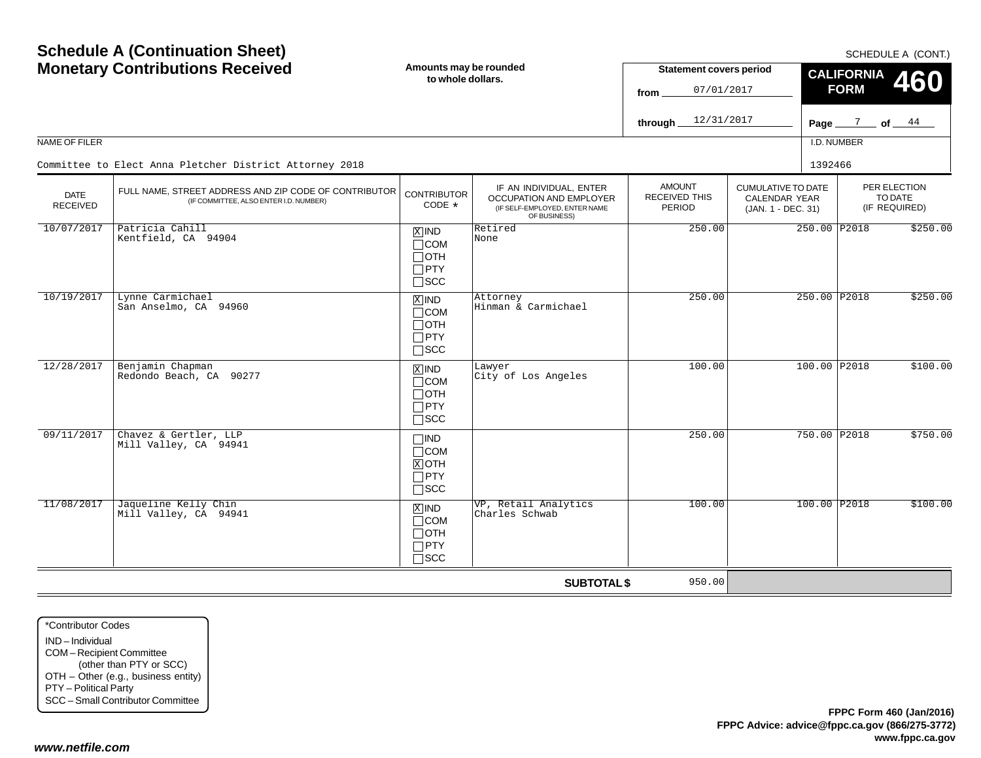|                                | <b>Monetary Contributions Received</b>                                                          | Amounts may be rounded<br>to whole dollars.                                   |                                                                                                     | <b>Statement covers period</b><br>07/01/2017<br>from   |                                                                  | <b>CALIFORNIA</b><br>460<br><b>FORM</b>  |  |  |
|--------------------------------|-------------------------------------------------------------------------------------------------|-------------------------------------------------------------------------------|-----------------------------------------------------------------------------------------------------|--------------------------------------------------------|------------------------------------------------------------------|------------------------------------------|--|--|
|                                |                                                                                                 |                                                                               |                                                                                                     | 12/31/2017<br>through.                                 |                                                                  | Page $\frac{7}{2}$ of $\frac{44}{4}$     |  |  |
| NAME OF FILER                  |                                                                                                 |                                                                               |                                                                                                     |                                                        |                                                                  | I.D. NUMBER                              |  |  |
|                                | Committee to Elect Anna Pletcher District Attorney 2018                                         |                                                                               |                                                                                                     |                                                        | 1392466                                                          |                                          |  |  |
| <b>DATE</b><br><b>RECEIVED</b> | FULL NAME, STREET ADDRESS AND ZIP CODE OF CONTRIBUTOR<br>(IF COMMITTEE, ALSO ENTER I.D. NUMBER) | <b>CONTRIBUTOR</b><br>CODE $*$                                                | IF AN INDIVIDUAL, ENTER<br>OCCUPATION AND EMPLOYER<br>(IF SELF-EMPLOYED, ENTER NAME<br>OF BUSINESS) | <b>AMOUNT</b><br><b>RECEIVED THIS</b><br><b>PERIOD</b> | <b>CUMULATIVE TO DATE</b><br>CALENDAR YEAR<br>(JAN. 1 - DEC. 31) | PER ELECTION<br>TO DATE<br>(IF REQUIRED) |  |  |
| 10/07/2017                     | Patricia Cahill<br>Kentfield, CA 94904                                                          | $X$ IND<br>$\Box$ COM<br>$\Box$ OTH<br>$\square$ PTY<br>$\square$ SCC         | Retired<br>None                                                                                     | 250.00                                                 |                                                                  | 250.00 P2018<br>\$250.00                 |  |  |
| 10/19/2017                     | Lynne Carmichael<br>San Anselmo, CA 94960                                                       | $\overline{X}$ IND<br>$\Box$ COM<br>$\Box$ OTH<br>$\Box$ PTY<br>$\square$ SCC | Attorney<br>Hinman & Carmichael                                                                     | 250.00                                                 |                                                                  | 250.00 P2018<br>\$250.00                 |  |  |
| 12/28/2017                     | Benjamin Chapman<br>Redondo Beach, CA 90277                                                     | $X$ IND<br>$\Box$ COM<br>$\Box$ oth<br>$\Box$ PTY<br>$\square$ SCC            | Lawyer<br>City of Los Angeles                                                                       | 100.00                                                 |                                                                  | 100.00 P2018<br>\$100.00                 |  |  |
| 09/11/2017                     | Chavez & Gertler, LLP<br>Mill Valley, CA 94941                                                  | $\Box$ IND<br>$\Box$ COM<br>$X$ OTH<br>$\Box$ PTY<br>$\square$ SCC            |                                                                                                     | 250.00                                                 |                                                                  | 750.00 P2018<br>\$750.00                 |  |  |
| 11/08/2017                     | Jaqueline Kelly Chin<br>Mill Valley, CA 94941                                                   | $X$ IND<br>$\Box$ COM<br>$\Box$ OTH<br>$\Box$ PTY<br>$\sqcap$ SCC             | VP, Retail Analytics<br>Charles Schwab                                                              | 100.00                                                 |                                                                  | 100.00 P2018<br>\$100.00                 |  |  |
|                                |                                                                                                 |                                                                               | <b>SUBTOTAL \$</b>                                                                                  | 950.00                                                 |                                                                  |                                          |  |  |

\*Contributor CodesIND – Individual COM – Recipient Committee (other than PTY or SCC) OTH – Other (e.g., business entity) PTY – Political Party SCC – Small Contributor Committee

**Schedule A (Continuation Sheet)**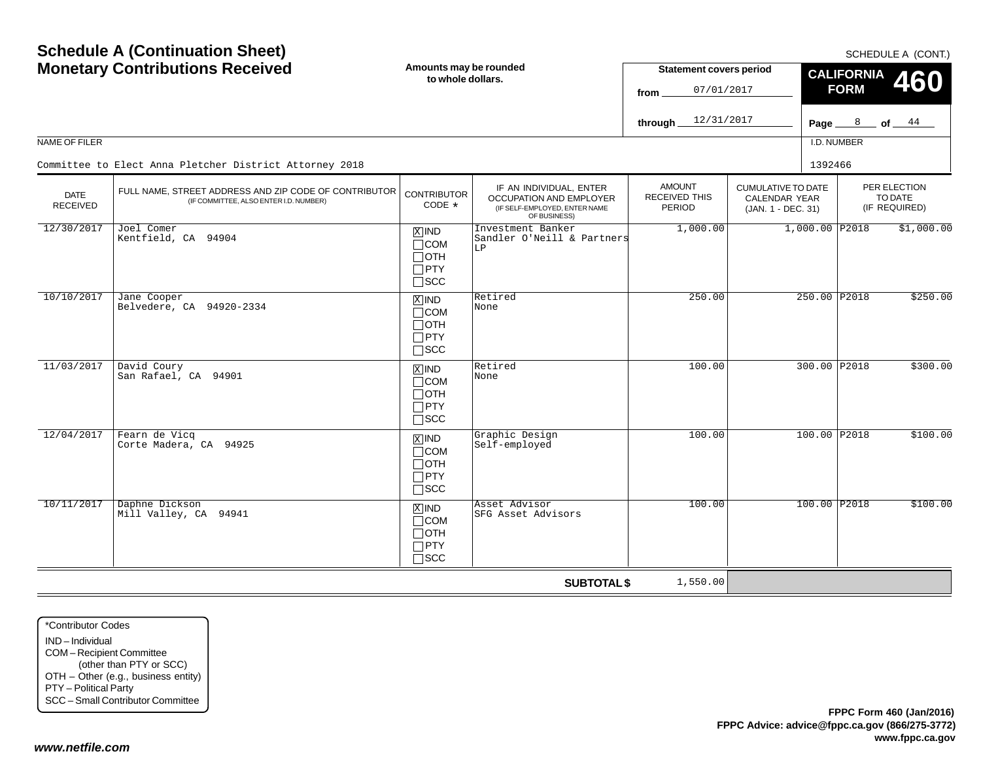| <b>Schedule A (Continuation Sheet)</b><br><b>Monetary Contributions Received</b> |                                                                                                 | Amounts may be rounded<br>to whole dollars.                                       |                                                                                                     |                                                 | <b>Statement covers period</b><br>07/01/2017                            | SCHEDULE A (CONT.)<br><b>CALIFORNIA</b><br><b>460</b><br><b>FORM</b> |                |                                          |
|----------------------------------------------------------------------------------|-------------------------------------------------------------------------------------------------|-----------------------------------------------------------------------------------|-----------------------------------------------------------------------------------------------------|-------------------------------------------------|-------------------------------------------------------------------------|----------------------------------------------------------------------|----------------|------------------------------------------|
|                                                                                  |                                                                                                 |                                                                                   |                                                                                                     | 12/31/2017<br>through                           |                                                                         | Page $\_$                                                            | 8              | $of \underline{\hspace{1cm}44}$          |
| NAME OF FILER                                                                    |                                                                                                 |                                                                                   |                                                                                                     |                                                 |                                                                         |                                                                      | I.D. NUMBER    |                                          |
|                                                                                  | Committee to Elect Anna Pletcher District Attorney 2018                                         |                                                                                   |                                                                                                     |                                                 |                                                                         | 1392466                                                              |                |                                          |
| <b>DATE</b><br><b>RECEIVED</b>                                                   | FULL NAME. STREET ADDRESS AND ZIP CODE OF CONTRIBUTOR<br>(IF COMMITTEE, ALSO ENTER I.D. NUMBER) | <b>CONTRIBUTOR</b><br>CODE *                                                      | IF AN INDIVIDUAL, ENTER<br>OCCUPATION AND EMPLOYER<br>(IF SELF-EMPLOYED, ENTER NAME<br>OF BUSINESS) | <b>AMOUNT</b><br><b>RECEIVED THIS</b><br>PERIOD | <b>CUMULATIVE TO DATE</b><br><b>CALENDAR YEAR</b><br>(JAN. 1 - DEC. 31) |                                                                      |                | PER ELECTION<br>TO DATE<br>(IF REQUIRED) |
| 12/30/2017                                                                       | Joel Comer<br>Kentfield, CA 94904                                                               | $\boxed{\text{X}}$ IND<br>$\Box$ COM<br>$\Box$ OTH<br>$\Box$ PTY<br>$\Box$ SCC    | Investment Banker<br>Sandler O'Neill & Partners<br>LP                                               | 1,000.00                                        |                                                                         |                                                                      | 1,000.00 P2018 | \$1,000.00                               |
| 10/10/2017                                                                       | Jane Cooper<br>Belvedere, CA 94920-2334                                                         | $\boxed{\text{X}}$ IND<br>$\Box$ COM<br>$\Box$ OTH<br>$\Box$ PTY<br>$\square$ SCC | Retired<br>None                                                                                     | 250.00                                          |                                                                         |                                                                      | 250.00 P2018   | \$250.00                                 |
| 11/03/2017                                                                       | David Coury<br>San Rafael, CA 94901                                                             | $X$ IND<br>$\Box$ COM<br>$\Box$ OTH<br>$\Box$ PTY<br>$\square$ SCC                | Retired<br>None                                                                                     | 100.00                                          |                                                                         |                                                                      | 300.00 P2018   | \$300.00                                 |
| 12/04/2017                                                                       | Fearn de Vicq<br>Corte Madera, CA 94925                                                         | $\overline{X}$ IND<br>$\Box$ COM<br>$\Box$ OTH<br>$\Box$ PTY<br>$\square$ SCC     | Graphic Design<br>Self-employed                                                                     | 100.00                                          |                                                                         |                                                                      | 100.00 P2018   | \$100.00                                 |
| 10/11/2017                                                                       | Daphne Dickson<br>Mill Valley, CA 94941                                                         | $X$ IND<br>$\Box$ COM<br>$\Box$ OTH<br>$\Box$ PTY<br>$\Box$ SCC                   | Asset Advisor<br>SFG Asset Advisors                                                                 | 100.00                                          |                                                                         |                                                                      | 100.00 P2018   | \$100.00                                 |
|                                                                                  |                                                                                                 |                                                                                   | <b>SUBTOTAL \$</b>                                                                                  | 1,550.00                                        |                                                                         |                                                                      |                |                                          |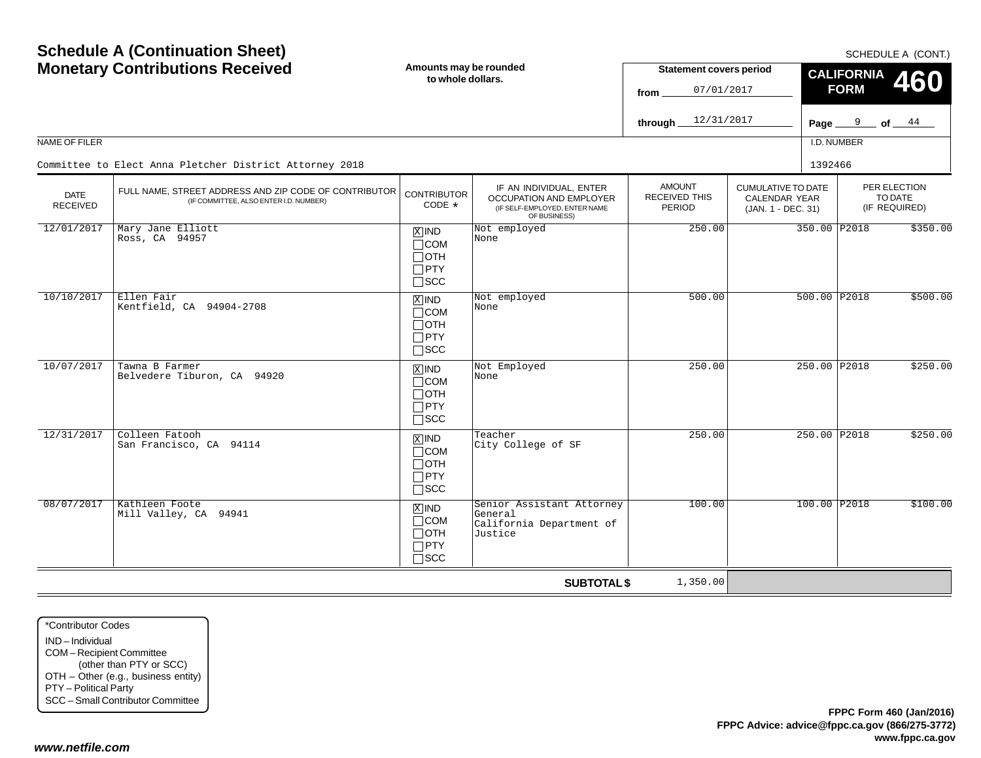|                         | <b>Monetary Contributions Received</b>                                                          | Amounts may be rounded<br>to whole dollars.                        |                                                                                                     | <b>Statement covers period</b><br>07/01/2017<br>from |                                                                  | <b>CALIFORNIA</b><br><b>460</b><br><b>FORM</b> |                                          |  |
|-------------------------|-------------------------------------------------------------------------------------------------|--------------------------------------------------------------------|-----------------------------------------------------------------------------------------------------|------------------------------------------------------|------------------------------------------------------------------|------------------------------------------------|------------------------------------------|--|
|                         |                                                                                                 |                                                                    |                                                                                                     | 12/31/2017<br>through                                |                                                                  |                                                | Page $9$ of $44$                         |  |
| NAME OF FILER           |                                                                                                 |                                                                    |                                                                                                     |                                                      |                                                                  | I.D. NUMBER                                    |                                          |  |
|                         | Committee to Elect Anna Pletcher District Attorney 2018                                         |                                                                    |                                                                                                     |                                                      |                                                                  | 1392466                                        |                                          |  |
| <b>DATE</b><br>RECEIVED | FULL NAME, STREET ADDRESS AND ZIP CODE OF CONTRIBUTOR<br>(IF COMMITTEE, ALSO ENTER I.D. NUMBER) | <b>CONTRIBUTOR</b><br>CODE *                                       | IF AN INDIVIDUAL, ENTER<br>OCCUPATION AND EMPLOYER<br>(IF SELF-EMPLOYED, ENTER NAME<br>OF BUSINESS) | <b>AMOUNT</b><br>RECEIVED THIS<br>PERIOD             | <b>CUMULATIVE TO DATE</b><br>CALENDAR YEAR<br>(JAN. 1 - DEC. 31) |                                                | PER ELECTION<br>TO DATE<br>(IF REQUIRED) |  |
| 12/01/2017              | Mary Jane Elliott<br>Ross, CA 94957                                                             | $X$ IND<br>$\Box$ COM<br>$\Box$ OTH<br>$\Box$ PTY<br>$\sqcap$ scc  | Not employed<br>None                                                                                | 250.00                                               |                                                                  | 350.00 P2018                                   | \$350.00                                 |  |
| 10/10/2017              | Ellen Fair<br>Kentfield, CA 94904-2708                                                          | $X$ IND<br>$\Box$ COM<br>$\Box$ OTH<br>$\Box$ PTY<br>$\square$ scc | Not employed<br>None                                                                                | 500.00                                               |                                                                  | 500.00 P2018                                   | \$500.00                                 |  |
| 10/07/2017              | Tawna B Farmer<br>Belvedere Tiburon, CA 94920                                                   | $X$ IND<br>$\Box$ COM<br>$\Box$ OTH<br>$\Box$ PTY<br>$\square$ scc | Not Employed<br>None                                                                                | 250.00                                               |                                                                  | 250.00 P2018                                   | \$250.00                                 |  |
| 12/31/2017              | Colleen Fatooh<br>San Francisco, CA 94114                                                       | $X$ IND<br>$\Box$ COM<br>$\Box$ OTH<br>$\Box$ PTY<br>$\square$ SCC | Teacher<br>City College of SF                                                                       | 250.00                                               |                                                                  | 250.00 P2018                                   | \$250.00                                 |  |
| 08/07/2017              | Kathleen Foote<br>Mill Valley, CA 94941                                                         | $X$ IND<br>$\Box$ COM<br>$\Box$ OTH<br>$\Box$ PTY<br>$\sqcap$ SCC  | Senior Assistant Attorney<br>General<br>California Department of<br>Justice                         | 100.00                                               |                                                                  | 100.00 P2018                                   | \$100.00                                 |  |
|                         |                                                                                                 |                                                                    | <b>SUBTOTAL \$</b>                                                                                  | 1,350.00                                             |                                                                  |                                                |                                          |  |

\*Contributor CodesIND – Individual COM – Recipient Committee (other than PTY or SCC) OTH – Other (e.g., business entity) PTY – Political Party SCC – Small Contributor Committee

**Schedule A (Continuation Sheet)**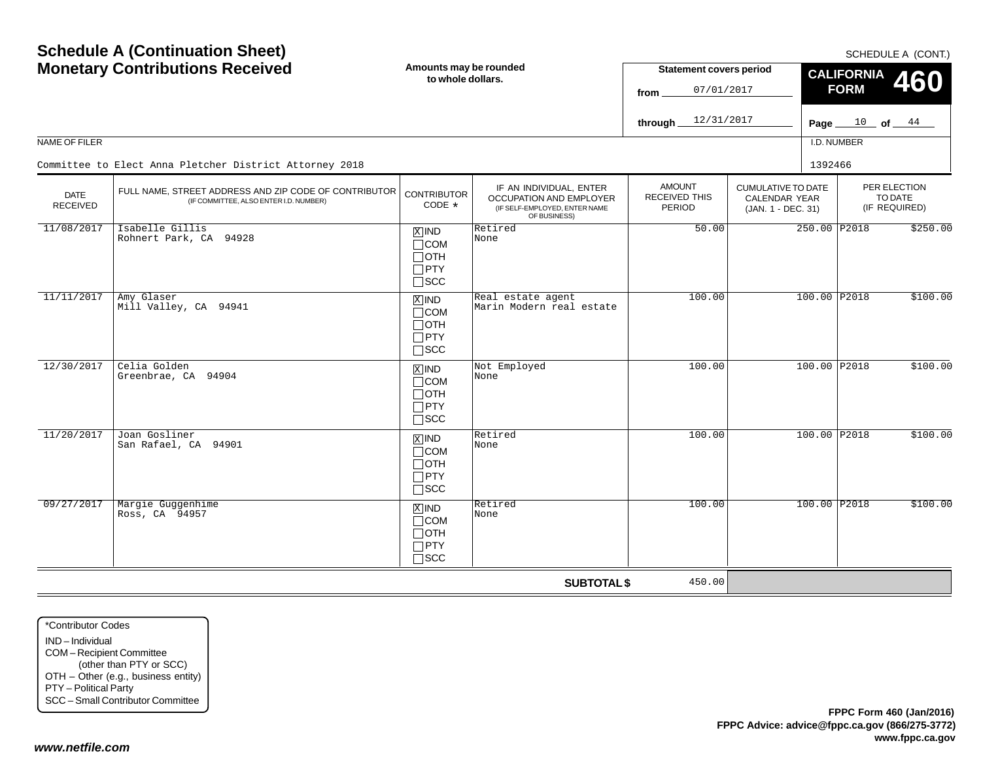|                                | <b>Schedule A (Continuation Sheet)</b><br><b>Monetary Contributions Received</b>                |                                                                                   | Amounts may be rounded<br>to whole dollars.                                                         | <b>Statement covers period</b>                         |                                                                         | SCHEDULE A (CONT.)<br><b>CALIFORNIA</b><br>460 |                                          |  |
|--------------------------------|-------------------------------------------------------------------------------------------------|-----------------------------------------------------------------------------------|-----------------------------------------------------------------------------------------------------|--------------------------------------------------------|-------------------------------------------------------------------------|------------------------------------------------|------------------------------------------|--|
|                                |                                                                                                 |                                                                                   |                                                                                                     | 07/01/2017<br>from<br>12/31/2017<br>through.           |                                                                         | <b>FORM</b><br>$10$ of $44$<br>Page $\equiv$   |                                          |  |
| NAME OF FILER                  |                                                                                                 |                                                                                   |                                                                                                     |                                                        |                                                                         | I.D. NUMBER                                    |                                          |  |
|                                | Committee to Elect Anna Pletcher District Attorney 2018                                         |                                                                                   |                                                                                                     |                                                        |                                                                         | 1392466                                        |                                          |  |
| <b>DATE</b><br><b>RECEIVED</b> | FULL NAME, STREET ADDRESS AND ZIP CODE OF CONTRIBUTOR<br>(IF COMMITTEE, ALSO ENTER I.D. NUMBER) | <b>CONTRIBUTOR</b><br>CODE *                                                      | IF AN INDIVIDUAL, ENTER<br>OCCUPATION AND EMPLOYER<br>(IF SELF-EMPLOYED, ENTER NAME<br>OF BUSINESS) | <b>AMOUNT</b><br><b>RECEIVED THIS</b><br><b>PERIOD</b> | <b>CUMULATIVE TO DATE</b><br><b>CALENDAR YEAR</b><br>(JAN. 1 - DEC. 31) |                                                | PER ELECTION<br>TO DATE<br>(IF REQUIRED) |  |
| 11/08/2017                     | Isabelle Gillis<br>Rohnert Park, CA 94928                                                       | $X$ IND<br>$\Box$ COM<br>$\Box$ OTH<br>$\Box$ PTY<br>$\Box$ scc                   | Retired<br>None                                                                                     | 50.00                                                  |                                                                         | 250.00 P2018                                   | \$250.00                                 |  |
| 11/11/2017                     | Amy Glaser<br>Mill Valley, CA 94941                                                             | $X$ IND<br>$\Box$ COM<br>$\Box$ OTH<br>$\Box$ PTY<br>$\square$ SCC                | Real estate agent<br>Marin Modern real estate                                                       | 100.00                                                 |                                                                         | 100.00 P2018                                   | \$100.00                                 |  |
| 12/30/2017                     | Celia Golden<br>Greenbrae, CA 94904                                                             | $X$ IND<br>$\Box$ COM<br>$\Box$ OTH<br>$\Box$ PTY<br>$\square$ SCC                | Not Employed<br>None                                                                                | 100.00                                                 |                                                                         | 100.00 P2018                                   | \$100.00                                 |  |
| 11/20/2017                     | Joan Gosliner<br>San Rafael, CA 94901                                                           | $\boxed{\text{X}}$ IND<br>$\Box$ COM<br>$\Box$ OTH<br>$\Box$ PTY<br>$\square$ SCC | Retired<br>None                                                                                     | 100.00                                                 |                                                                         | 100.00 P2018                                   | \$100.00                                 |  |
| 09/27/2017                     | Margie Guggenhime<br>Ross, CA 94957                                                             | $X$ IND<br>$\Box$ COM<br>$\Box$ OTH<br>$\Box$ PTY<br>$\Box$ SCC                   | Retired<br>None                                                                                     | 100.00                                                 |                                                                         | 100.00 P2018                                   | \$100.00                                 |  |
|                                |                                                                                                 |                                                                                   | <b>SUBTOTAL \$</b>                                                                                  | 450.00                                                 |                                                                         |                                                |                                          |  |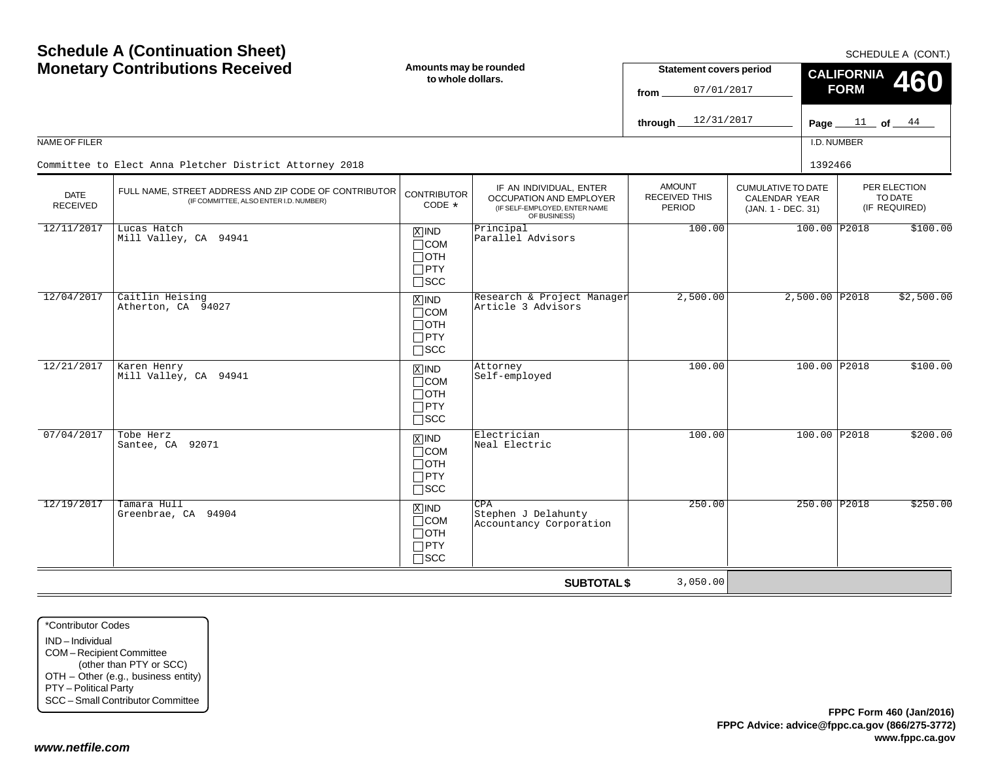|                                | <b>Schedule A (Continuation Sheet)</b><br><b>Monetary Contributions Received</b>                |                                                                                 | Amounts may be rounded<br>to whole dollars.                                                                | <b>Statement covers period</b>                  |                                                                  | SCHEDULE A (CONT.)<br><b>CALIFORNIA</b><br><b>460</b> |                                  |                                          |  |
|--------------------------------|-------------------------------------------------------------------------------------------------|---------------------------------------------------------------------------------|------------------------------------------------------------------------------------------------------------|-------------------------------------------------|------------------------------------------------------------------|-------------------------------------------------------|----------------------------------|------------------------------------------|--|
|                                |                                                                                                 |                                                                                 |                                                                                                            | 07/01/2017<br>from<br>12/31/2017<br>through     |                                                                  |                                                       | <b>FORM</b><br>Page $11$ of $44$ |                                          |  |
| NAME OF FILER                  |                                                                                                 |                                                                                 |                                                                                                            |                                                 |                                                                  | I.D. NUMBER                                           |                                  |                                          |  |
|                                | Committee to Elect Anna Pletcher District Attorney 2018                                         |                                                                                 |                                                                                                            |                                                 |                                                                  | 1392466                                               |                                  |                                          |  |
| <b>DATE</b><br><b>RECEIVED</b> | FULL NAME, STREET ADDRESS AND ZIP CODE OF CONTRIBUTOR<br>(IF COMMITTEE, ALSO ENTER I.D. NUMBER) | <b>CONTRIBUTOR</b><br>CODE *                                                    | IF AN INDIVIDUAL, ENTER<br><b>OCCUPATION AND EMPLOYER</b><br>(IF SELF-EMPLOYED, ENTER NAME<br>OF BUSINESS) | <b>AMOUNT</b><br><b>RECEIVED THIS</b><br>PERIOD | <b>CUMULATIVE TO DATE</b><br>CALENDAR YEAR<br>(JAN. 1 - DEC. 31) |                                                       |                                  | PER ELECTION<br>TO DATE<br>(IF REQUIRED) |  |
| 12/11/2017                     | Lucas Hatch<br>Mill Valley, CA 94941                                                            | $\overline{X}$ IND<br>$\Box$ COM<br>$\sqcap$ OTH<br>$\square$ PTY<br>$\Box$ scc | Principal<br>Parallel Advisors                                                                             | 100.00                                          |                                                                  | 100.00 P2018                                          |                                  | \$100.00                                 |  |
| 12/04/2017                     | Caitlin Heising<br>Atherton, CA 94027                                                           | $\overline{X}$ IND<br>$\sqcap$ COM<br>$\Box$ OTH<br>$\Box$ PTY<br>$\Box$ scc    | Research & Project Manager<br>Article 3 Advisors                                                           | 2,500.00                                        |                                                                  | $2,500.00$ P2018                                      |                                  | \$2,500.00                               |  |
| 12/21/2017                     | Karen Henry<br>Mill Valley, CA 94941                                                            | $X$ IND<br>$\Box$ COM<br>$\Box$ OTH<br>$\Box$ PTY<br>$\square$ SCC              | Attorney<br>Self-employed                                                                                  | 100.00                                          |                                                                  | 100.00 P2018                                          |                                  | \$100.00                                 |  |
| 07/04/2017                     | Tobe Herz<br>Santee, CA 92071                                                                   | $\overline{X}$ IND<br>$\Box$ COM<br>$\Box$ OTH<br>$\Box$ PTY<br>$\square$ SCC   | Electrician<br>Neal Electric                                                                               | 100.00                                          |                                                                  | 100.00 P2018                                          |                                  | \$200.00                                 |  |
| 12/19/2017                     | Tamara Hull<br>Greenbrae, CA 94904                                                              | $X$ IND<br>$\Box$ COM<br>$\Box$ OTH<br>$\Box$ PTY<br>$\sqcap$ scc               | CPA<br>Stephen J Delahunty<br>Accountancy Corporation                                                      | 250.00                                          |                                                                  | 250.00 P2018                                          |                                  | \$250.00                                 |  |
|                                |                                                                                                 |                                                                                 | <b>SUBTOTAL \$</b>                                                                                         | 3,050.00                                        |                                                                  |                                                       |                                  |                                          |  |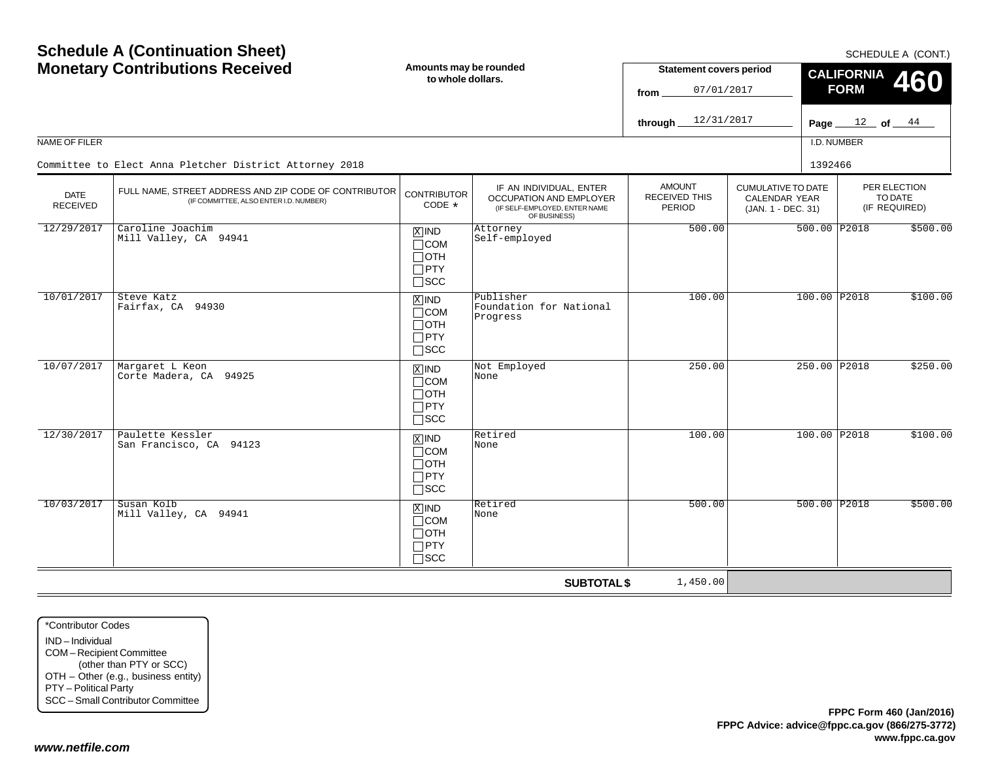| <b>Schedule A (Continuation Sheet)</b><br><b>Monetary Contributions Received</b> |                                                                                                 | Amounts may be rounded<br>to whole dollars.                                |                                                                                                            | <b>Statement covers period</b><br>07/01/2017<br>from<br>12/31/2017<br>through |                                                                         | SCHEDULE A (CONT.)<br><b>CALIFORNIA</b><br>460<br><b>FORM</b><br>Page $12$ of $44$ |                                          |  |
|----------------------------------------------------------------------------------|-------------------------------------------------------------------------------------------------|----------------------------------------------------------------------------|------------------------------------------------------------------------------------------------------------|-------------------------------------------------------------------------------|-------------------------------------------------------------------------|------------------------------------------------------------------------------------|------------------------------------------|--|
| NAME OF FILER                                                                    |                                                                                                 |                                                                            |                                                                                                            |                                                                               |                                                                         | I.D. NUMBER                                                                        |                                          |  |
|                                                                                  | Committee to Elect Anna Pletcher District Attorney 2018                                         |                                                                            |                                                                                                            |                                                                               |                                                                         | 1392466                                                                            |                                          |  |
| <b>DATE</b><br><b>RECEIVED</b>                                                   | FULL NAME, STREET ADDRESS AND ZIP CODE OF CONTRIBUTOR<br>(IF COMMITTEE, ALSO ENTER I.D. NUMBER) | <b>CONTRIBUTOR</b><br>CODE $*$                                             | IF AN INDIVIDUAL, ENTER<br><b>OCCUPATION AND EMPLOYER</b><br>(IF SELF-EMPLOYED, ENTER NAME<br>OF BUSINESS) | <b>AMOUNT</b><br><b>RECEIVED THIS</b><br>PERIOD                               | <b>CUMULATIVE TO DATE</b><br><b>CALENDAR YEAR</b><br>(JAN. 1 - DEC. 31) |                                                                                    | PER ELECTION<br>TO DATE<br>(IF REQUIRED) |  |
| 12/29/2017                                                                       | Caroline Joachim<br>Mill Valley, CA 94941                                                       | $X$ IND<br>$\Box$ COM<br>$\Box$ OTH<br>$\Box$ PTY<br>$\square$ SCC         | Attorney<br>Self-employed                                                                                  | 500.00                                                                        |                                                                         | 500.00 P2018                                                                       | \$500.00                                 |  |
| 10/01/2017                                                                       | Steve Katz<br>Fairfax, CA 94930                                                                 | $X$ IND<br>$\Box$ COM<br>$\Box$ oth<br>$\Box$ PTY<br>$\Box$ scc            | Publisher<br>Foundation for National<br>Progress                                                           | 100.00                                                                        |                                                                         | 100.00 P2018                                                                       | \$100.00                                 |  |
| 10/07/2017                                                                       | Margaret L Keon<br>Corte Madera, CA 94925                                                       | $X$ IND<br>$\Box$ COM<br>$\Box$ oth<br>$\Box$ PTY<br>$\Box$ scc            | Not Employed<br>None                                                                                       | 250.00                                                                        |                                                                         | 250.00 P2018                                                                       | \$250.00                                 |  |
| 12/30/2017                                                                       | Paulette Kessler<br>San Francisco, CA 94123                                                     | $\overline{X}$ IND<br>$\Box$ COM<br>$\Box$ oth<br>$\Box$ PTY<br>$\Box$ SCC | Retired<br>None                                                                                            | 100.00                                                                        |                                                                         | 100.00 P2018                                                                       | \$100.00                                 |  |
| 10/03/2017                                                                       | Susan Kolb<br>Mill Valley, CA 94941                                                             | $X$ IND<br>$\Box$ COM<br>$\Box$ OTH<br>$\Box$ PTY<br>$\Box$ scc            | Retired<br>None                                                                                            | 500.00                                                                        |                                                                         | $500.00$ P2018                                                                     | \$500.00                                 |  |
|                                                                                  |                                                                                                 |                                                                            | <b>SUBTOTAL \$</b>                                                                                         | 1,450.00                                                                      |                                                                         |                                                                                    |                                          |  |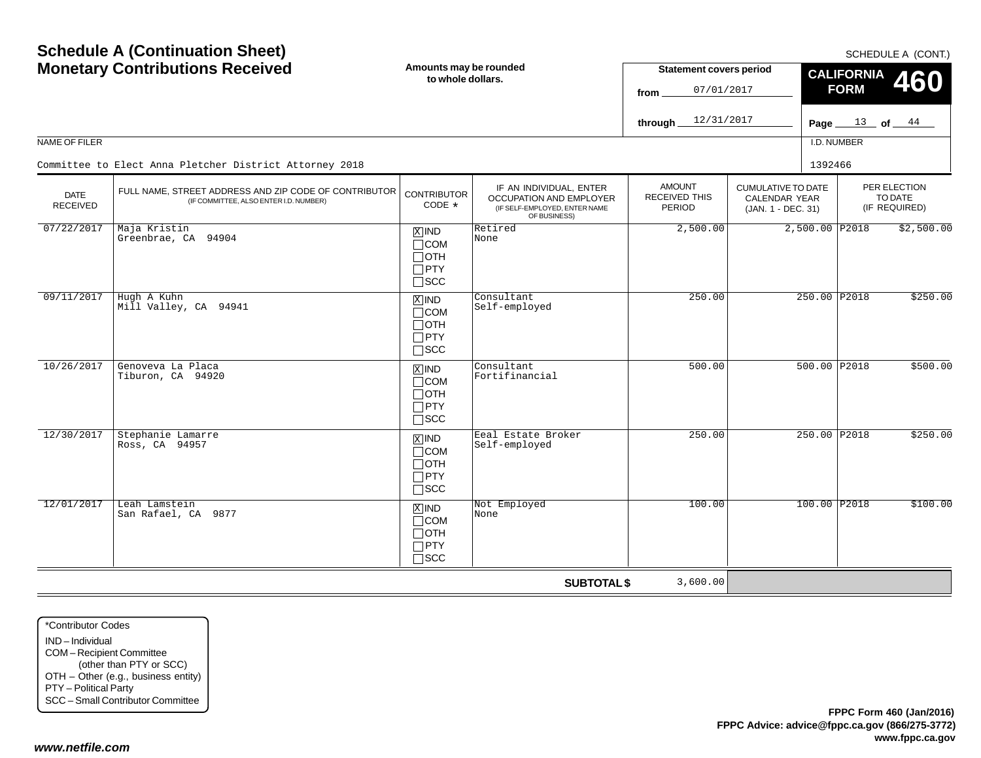| <b>Schedule A (Continuation Sheet)</b><br><b>Monetary Contributions Received</b> |                                                                                                 | Amounts may be rounded<br>to whole dollars.                         |                                                                                                     | <b>Statement covers period</b><br>07/01/2017<br>from<br>12/31/2017<br>through |                                                                         | SCHEDULE A (CONT.)<br><b>CALIFORNIA</b><br>460<br><b>FORM</b><br>Page $13$ of $44$ |                |                                          |  |
|----------------------------------------------------------------------------------|-------------------------------------------------------------------------------------------------|---------------------------------------------------------------------|-----------------------------------------------------------------------------------------------------|-------------------------------------------------------------------------------|-------------------------------------------------------------------------|------------------------------------------------------------------------------------|----------------|------------------------------------------|--|
| NAME OF FILER                                                                    |                                                                                                 |                                                                     |                                                                                                     |                                                                               |                                                                         | I.D. NUMBER                                                                        |                |                                          |  |
|                                                                                  | Committee to Elect Anna Pletcher District Attorney 2018                                         |                                                                     |                                                                                                     |                                                                               |                                                                         | 1392466                                                                            |                |                                          |  |
| <b>DATE</b><br><b>RECEIVED</b>                                                   | FULL NAME, STREET ADDRESS AND ZIP CODE OF CONTRIBUTOR<br>(IF COMMITTEE, ALSO ENTER I.D. NUMBER) | <b>CONTRIBUTOR</b><br>CODE *                                        | IF AN INDIVIDUAL, ENTER<br>OCCUPATION AND EMPLOYER<br>(IF SELF-EMPLOYED, ENTER NAME<br>OF BUSINESS) | <b>AMOUNT</b><br><b>RECEIVED THIS</b><br>PERIOD                               | <b>CUMULATIVE TO DATE</b><br><b>CALENDAR YEAR</b><br>(JAN. 1 - DEC. 31) |                                                                                    |                | PER ELECTION<br>TO DATE<br>(IF REQUIRED) |  |
| 07/22/2017                                                                       | Maja Kristin<br>Greenbrae, CA 94904                                                             | $X$ IND<br>$\Box$ COM<br>⊟отн<br>$\Box$ PTY<br>$\square$ SCC        | Retired<br>None                                                                                     | 2,500.00                                                                      |                                                                         |                                                                                    | 2,500.00 P2018 | \$2,500.00                               |  |
| 09/11/2017                                                                       | Hugh A Kuhn<br>Mill Valley, CA 94941                                                            | $X$ IND<br>$\Box$ COM<br>$\Box$ OTH<br>$\Box$ PTY<br>$\Box$ scc     | Consultant<br>Self-employed                                                                         | 250.00                                                                        |                                                                         |                                                                                    | 250.00 P2018   | \$250.00                                 |  |
| 10/26/2017                                                                       | Genoveva La Placa<br>Tiburon, CA 94920                                                          | $X$ IND<br>$\Box$ COM<br>$\Box$ OTH<br>$\Box$ PTY<br>$\Box$ scc     | Consultant<br>Fortifinancial                                                                        | 500.00                                                                        |                                                                         |                                                                                    | 500.00 P2018   | \$500.00                                 |  |
| 12/30/2017                                                                       | Stephanie Lamarre<br>Ross, CA 94957                                                             | $X$ IND<br>$\Box$ COM<br>$\Box$ oth<br>$\Box$ PTY<br>$\square$ scc  | Eeal Estate Broker<br>Self-employed                                                                 | 250.00                                                                        |                                                                         |                                                                                    | 250.00 P2018   | \$250.00                                 |  |
| 12/01/2017                                                                       | Leah Lamstein<br>San Rafael, CA 9877                                                            | $X$ IND<br>$\sqcap$ COM<br>$\Box$ OTH<br>$\Box$ PTY<br>$\sqcap$ SCC | Not Employed<br>None                                                                                | 100.00                                                                        |                                                                         |                                                                                    | 100.00 P2018   | \$100.00                                 |  |
|                                                                                  |                                                                                                 |                                                                     | <b>SUBTOTAL \$</b>                                                                                  | 3,600.00                                                                      |                                                                         |                                                                                    |                |                                          |  |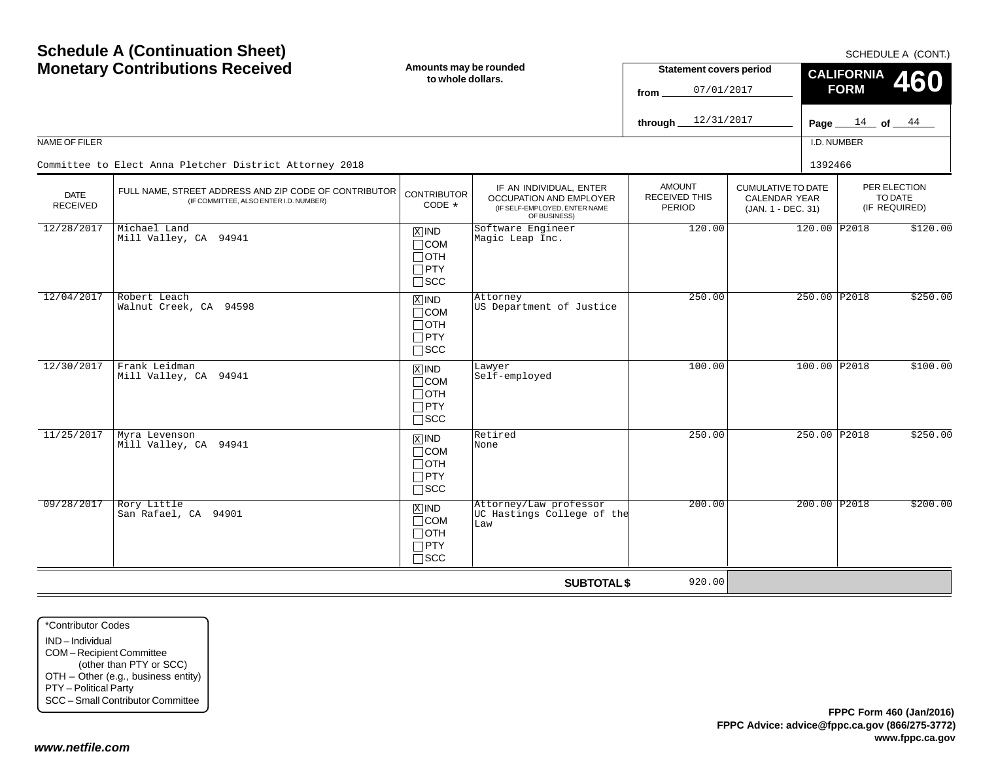|                                | <b>Schedule A (Continuation Sheet)</b><br><b>Monetary Contributions Received</b>                |                                                                            | Amounts may be rounded<br>to whole dollars.                                                                | <b>Statement covers period</b>                  |                                                                  | SCHEDULE A (CONT.)<br><b>CALIFORNIA</b><br>460 |  |                                          |  |
|--------------------------------|-------------------------------------------------------------------------------------------------|----------------------------------------------------------------------------|------------------------------------------------------------------------------------------------------------|-------------------------------------------------|------------------------------------------------------------------|------------------------------------------------|--|------------------------------------------|--|
|                                |                                                                                                 |                                                                            |                                                                                                            | 07/01/2017<br>from<br>12/31/2017<br>through     |                                                                  | <b>FORM</b><br>Page $14$ of $44$               |  |                                          |  |
| NAME OF FILER                  |                                                                                                 |                                                                            |                                                                                                            |                                                 |                                                                  | I.D. NUMBER                                    |  |                                          |  |
|                                | Committee to Elect Anna Pletcher District Attorney 2018                                         |                                                                            |                                                                                                            |                                                 |                                                                  | 1392466                                        |  |                                          |  |
| <b>DATE</b><br><b>RECEIVED</b> | FULL NAME, STREET ADDRESS AND ZIP CODE OF CONTRIBUTOR<br>(IF COMMITTEE, ALSO ENTER I.D. NUMBER) | <b>CONTRIBUTOR</b><br>CODE $*$                                             | IF AN INDIVIDUAL, ENTER<br><b>OCCUPATION AND EMPLOYER</b><br>(IF SELF-EMPLOYED, ENTER NAME<br>OF BUSINESS) | <b>AMOUNT</b><br><b>RECEIVED THIS</b><br>PERIOD | <b>CUMULATIVE TO DATE</b><br>CALENDAR YEAR<br>(JAN. 1 - DEC. 31) |                                                |  | PER ELECTION<br>TO DATE<br>(IF REQUIRED) |  |
| 12/28/2017                     | Michael Land<br>Mill Valley, CA 94941                                                           | $X$ IND<br>$\Box$ COM<br>$\Box$ oth<br>$\square$ PTY<br>$\square$ SCC      | Software Engineer<br>Magic Leap Inc.                                                                       | 120.00                                          |                                                                  | 120.00 P2018                                   |  | \$120.00                                 |  |
| 12/04/2017                     | Robert Leach<br>Walnut Creek, CA 94598                                                          | $X$ IND<br>$\Box$ COM<br>$\Box$ OTH<br>$\Box$ PTY<br>$\square$ scc         | Attorney<br>US Department of Justice                                                                       | 250.00                                          |                                                                  | 250.00 P2018                                   |  | \$250.00                                 |  |
| 12/30/2017                     | Frank Leidman<br>Mill Valley, CA 94941                                                          | $X$ IND<br>$\Box$ COM<br>$\Box$ oth<br>$\Box$ PTY<br>$\square$ scc         | Lawyer<br>Self-employed                                                                                    | 100.00                                          |                                                                  | 100.00 P2018                                   |  | \$100.00                                 |  |
| 11/25/2017                     | Myra Levenson<br>Mill Valley, CA 94941                                                          | $\overline{X}$ IND<br>$\Box$ COM<br>$\Box$ OTH<br>$\Box$ PTY<br>$\Box$ SCC | Retired<br>None                                                                                            | 250.00                                          |                                                                  | 250.00 P2018                                   |  | \$250.00                                 |  |
| 09/28/2017                     | Rory Little<br>San Rafael, CA 94901                                                             | $X$ IND<br>$\sqcap$ COM<br>$\Box$ oth<br>$\Box$ PTY<br>$\sqcap$ scc        | Attorney/Law professor<br>UC Hastings College of the<br>Law                                                | 200.00                                          |                                                                  | 200.00 P2018                                   |  | \$200.00                                 |  |
|                                |                                                                                                 |                                                                            | <b>SUBTOTAL \$</b>                                                                                         | 920.00                                          |                                                                  |                                                |  |                                          |  |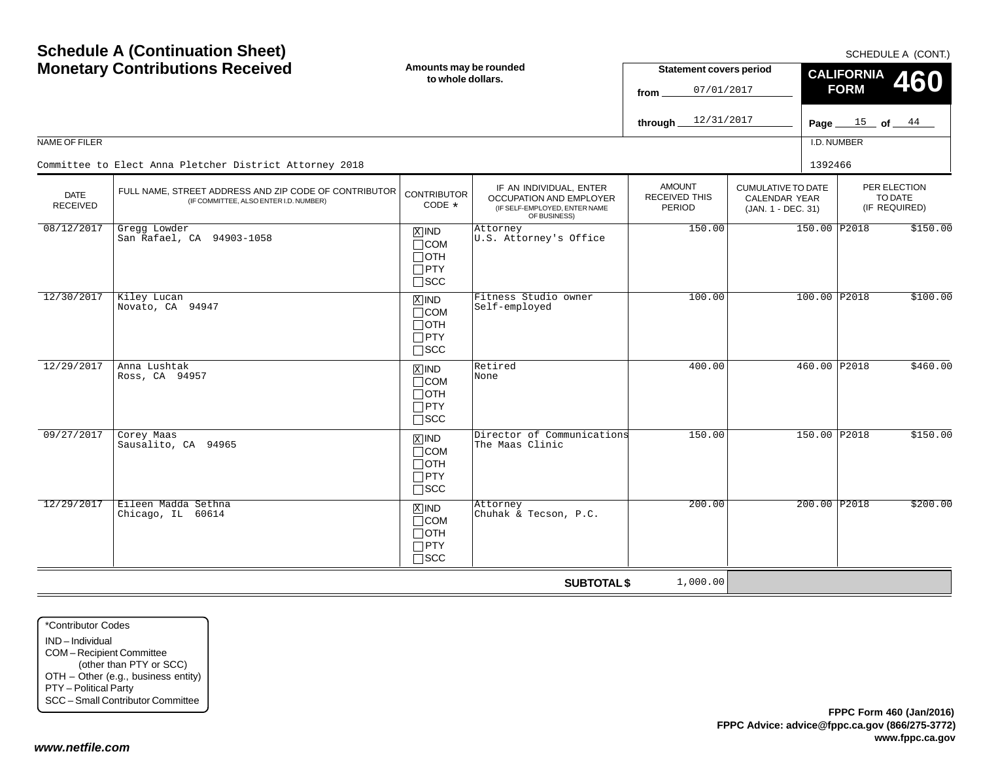| <b>Schedule A (Continuation Sheet)</b><br><b>Monetary Contributions Received</b> |                                                                                                 | Amounts may be rounded<br>to whole dollars.                                       |                                                                                                     | <b>Statement covers period</b><br>07/01/2017<br>from<br>12/31/2017<br>through. |                                                                         |         | SCHEDULE A (CONT.)<br><b>CALIFORNIA</b><br>460<br><b>FORM</b><br>Page $15$ of $44$ |                                          |  |
|----------------------------------------------------------------------------------|-------------------------------------------------------------------------------------------------|-----------------------------------------------------------------------------------|-----------------------------------------------------------------------------------------------------|--------------------------------------------------------------------------------|-------------------------------------------------------------------------|---------|------------------------------------------------------------------------------------|------------------------------------------|--|
| NAME OF FILER                                                                    | Committee to Elect Anna Pletcher District Attorney 2018                                         |                                                                                   |                                                                                                     |                                                                                |                                                                         | 1392466 | I.D. NUMBER                                                                        |                                          |  |
| <b>DATE</b><br><b>RECEIVED</b>                                                   | FULL NAME, STREET ADDRESS AND ZIP CODE OF CONTRIBUTOR<br>(IF COMMITTEE, ALSO ENTER I.D. NUMBER) | <b>CONTRIBUTOR</b><br>CODE *                                                      | IF AN INDIVIDUAL, ENTER<br>OCCUPATION AND EMPLOYER<br>(IF SELF-EMPLOYED, ENTER NAME<br>OF BUSINESS) | <b>AMOUNT</b><br>RECEIVED THIS<br>PERIOD                                       | <b>CUMULATIVE TO DATE</b><br><b>CALENDAR YEAR</b><br>(JAN. 1 - DEC. 31) |         |                                                                                    | PER ELECTION<br>TO DATE<br>(IF REQUIRED) |  |
| 08/12/2017                                                                       | Gregg Lowder<br>San Rafael, CA 94903-1058                                                       | $\overline{X}$ IND<br>$\Box$ COM<br>$\Box$ OTH<br>$\Box$ PTY<br>$\square$ SCC     | Attorney<br>U.S. Attorney's Office                                                                  | 150.00                                                                         |                                                                         |         | 150.00 P2018                                                                       | \$150.00                                 |  |
| 12/30/2017                                                                       | Kiley Lucan<br>Novato, CA 94947                                                                 | $\overline{X}$ IND<br>$\Box$ COM<br>$\Box$ OTH<br>$\Box$ PTY<br>$\square$ scc     | Fitness Studio owner<br>Self-employed                                                               | 100.00                                                                         |                                                                         |         | 100.00 P2018                                                                       | \$100.00                                 |  |
| 12/29/2017                                                                       | Anna Lushtak<br>Ross, CA 94957                                                                  | $\overline{X}$ IND<br>$\Box$ COM<br>$\Box$ OTH<br>$\Box$ PTY<br>$\Box$ scc        | Retired<br>None                                                                                     | 400.00                                                                         |                                                                         |         | 460.00 P2018                                                                       | \$460.00                                 |  |
| 09/27/2017                                                                       | Corey Maas<br>Sausalito, CA 94965                                                               | $\boxed{\text{X}}$ IND<br>$\Box$ COM<br>$\Box$ OTH<br>$\Box$ PTY<br>$\square$ scc | Director of Communications<br>The Maas Clinic                                                       | 150.00                                                                         |                                                                         |         | 150.00 P2018                                                                       | \$150.00                                 |  |
| 12/29/2017                                                                       | Eileen Madda Sethna<br>Chicago, IL 60614                                                        | $X$ IND<br>$\Box$ COM<br>$\Box$ OTH<br>$\Box$ PTY<br>$\Box$ SCC                   | Attorney<br>Chuhak & Tecson, P.C.                                                                   | 200.00                                                                         |                                                                         |         | 200.00 P2018                                                                       | \$200.00                                 |  |
|                                                                                  |                                                                                                 |                                                                                   | <b>SUBTOTAL \$</b>                                                                                  | 1,000.00                                                                       |                                                                         |         |                                                                                    |                                          |  |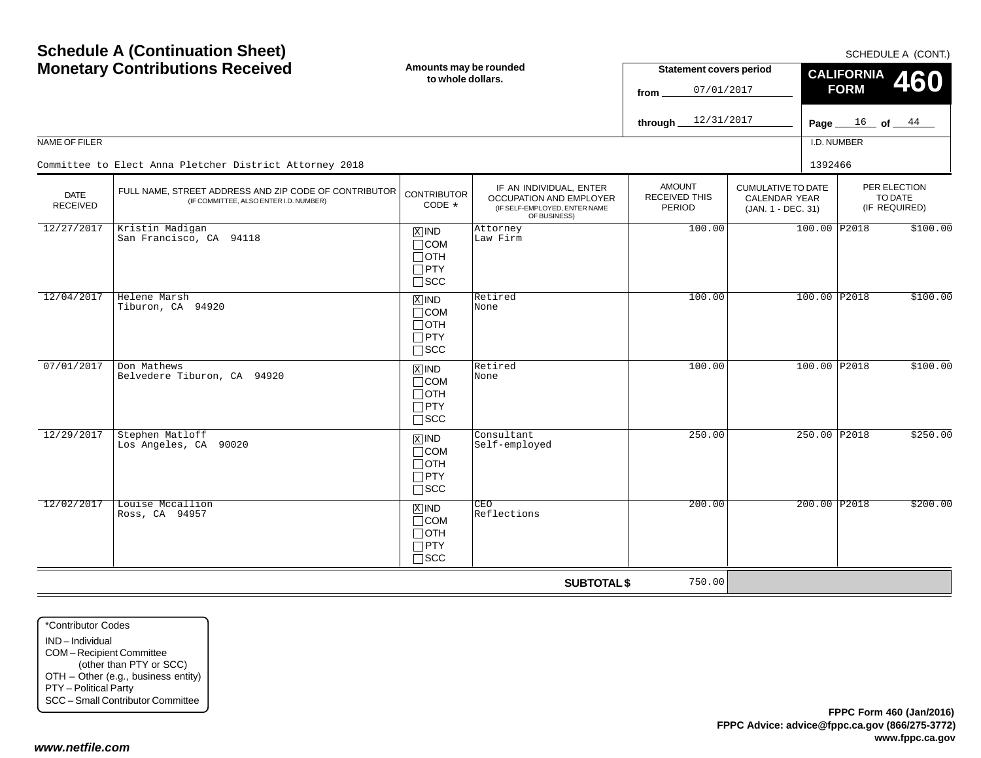| <b>Schedule A (Continuation Sheet)</b><br><b>Monetary Contributions Received</b> |                                                                                                 | Amounts may be rounded<br>to whole dollars.                                     |                                                                                                     | <b>Statement covers period</b><br>07/01/2017<br>from<br>12/31/2017<br>through |                                                                         | SCHEDULE A (CONT.)<br><b>CALIFORNIA</b><br>460<br><b>FORM</b><br>$\frac{16}{\text{of}}$ of $\frac{44}{\text{of}}$<br>Page $\equiv$ |                                          |  |
|----------------------------------------------------------------------------------|-------------------------------------------------------------------------------------------------|---------------------------------------------------------------------------------|-----------------------------------------------------------------------------------------------------|-------------------------------------------------------------------------------|-------------------------------------------------------------------------|------------------------------------------------------------------------------------------------------------------------------------|------------------------------------------|--|
| NAME OF FILER                                                                    |                                                                                                 |                                                                                 |                                                                                                     |                                                                               |                                                                         | I.D. NUMBER                                                                                                                        |                                          |  |
|                                                                                  | Committee to Elect Anna Pletcher District Attorney 2018                                         |                                                                                 |                                                                                                     |                                                                               |                                                                         | 1392466                                                                                                                            |                                          |  |
| <b>DATE</b><br><b>RECEIVED</b>                                                   | FULL NAME, STREET ADDRESS AND ZIP CODE OF CONTRIBUTOR<br>(IF COMMITTEE, ALSO ENTER I.D. NUMBER) | <b>CONTRIBUTOR</b><br>CODE *                                                    | IF AN INDIVIDUAL, ENTER<br>OCCUPATION AND EMPLOYER<br>(IF SELF-EMPLOYED, ENTER NAME<br>OF BUSINESS) | <b>AMOUNT</b><br><b>RECEIVED THIS</b><br>PERIOD                               | <b>CUMULATIVE TO DATE</b><br><b>CALENDAR YEAR</b><br>(JAN. 1 - DEC. 31) |                                                                                                                                    | PER ELECTION<br>TO DATE<br>(IF REQUIRED) |  |
| 12/27/2017                                                                       | Kristin Madigan<br>San Francisco, CA 94118                                                      | $X$ IND<br>$\Box$ COM<br>$\Box$ oth<br>$\Box$ PTY<br>$\square$ SCC              | Attorney<br>Law Firm                                                                                | 100.00                                                                        |                                                                         | 100.00 P2018                                                                                                                       | \$100.00                                 |  |
| 12/04/2017                                                                       | Helene Marsh<br>Tiburon, CA 94920                                                               | $X$ IND<br>$\sqcap$ COM<br>$\Box$ OTH<br>$\Box$ PTY<br>$\Box$ scc               | Retired<br>None                                                                                     | 100.00                                                                        |                                                                         | 100.00 P2018                                                                                                                       | \$100.00                                 |  |
| 07/01/2017                                                                       | Don Mathews<br>Belvedere Tiburon, CA 94920                                                      | $X$ IND<br>$\Box$ COM<br>$\Box$ OTH<br>$\Box$ PTY<br>$\Box$ scc                 | Retired<br>None                                                                                     | 100.00                                                                        |                                                                         | 100.00 P2018                                                                                                                       | \$100.00                                 |  |
| 12/29/2017                                                                       | Stephen Matloff<br>Los Angeles, CA 90020                                                        | $\overline{X}$ IND<br>$\sqcap$ COM<br>$\Box$ OTH<br>$\Box$ PTY<br>$\square$ scc | Consultant<br>Self-employed                                                                         | 250.00                                                                        |                                                                         | 250.00 P2018                                                                                                                       | \$250.00                                 |  |
| 12/02/2017                                                                       | Louise Mccallion<br>Ross, CA 94957                                                              | $X$ IND<br>$\sqcap$ COM<br>$\Box$ OTH<br>$\Box$ PTY<br>$\sqcap$ scc             | <b>CEO</b><br>Reflections                                                                           | 200.00                                                                        |                                                                         | 200.00 P2018                                                                                                                       | \$200.00                                 |  |
|                                                                                  |                                                                                                 |                                                                                 | <b>SUBTOTAL \$</b>                                                                                  | 750.00                                                                        |                                                                         |                                                                                                                                    |                                          |  |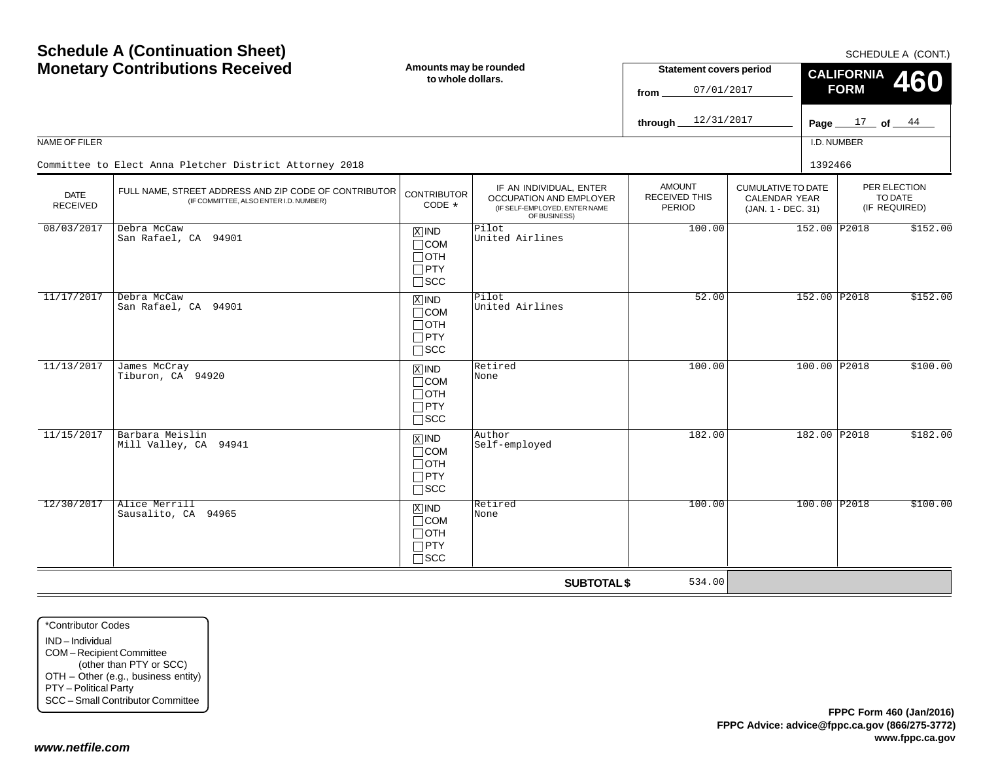| <b>Schedule A (Continuation Sheet)</b><br><b>Monetary Contributions Received</b><br>NAME OF FILER |                                                                                                 | Amounts may be rounded<br>to whole dollars.                                       |                                                                                                     | <b>Statement covers period</b><br>07/01/2017<br>from<br>12/31/2017<br>through. |                                                                         | SCHEDULE A (CONT.)<br><b>CALIFORNIA</b><br>460<br><b>FORM</b><br>Page $17$ of $44$<br>I.D. NUMBER |                                          |  |
|---------------------------------------------------------------------------------------------------|-------------------------------------------------------------------------------------------------|-----------------------------------------------------------------------------------|-----------------------------------------------------------------------------------------------------|--------------------------------------------------------------------------------|-------------------------------------------------------------------------|---------------------------------------------------------------------------------------------------|------------------------------------------|--|
|                                                                                                   | Committee to Elect Anna Pletcher District Attorney 2018                                         |                                                                                   |                                                                                                     |                                                                                |                                                                         | 1392466                                                                                           |                                          |  |
| <b>DATE</b><br><b>RECEIVED</b>                                                                    | FULL NAME, STREET ADDRESS AND ZIP CODE OF CONTRIBUTOR<br>(IF COMMITTEE, ALSO ENTER I.D. NUMBER) | <b>CONTRIBUTOR</b><br>$CODE *$                                                    | IF AN INDIVIDUAL, ENTER<br>OCCUPATION AND EMPLOYER<br>(IF SELF-EMPLOYED, ENTER NAME<br>OF BUSINESS) | <b>AMOUNT</b><br><b>RECEIVED THIS</b><br><b>PERIOD</b>                         | <b>CUMULATIVE TO DATE</b><br><b>CALENDAR YEAR</b><br>(JAN. 1 - DEC. 31) |                                                                                                   | PER ELECTION<br>TO DATE<br>(IF REQUIRED) |  |
| 08/03/2017                                                                                        | Debra McCaw<br>San Rafael, CA 94901                                                             | $X$ IND<br>$\Box$ COM<br>$\Box$ OTH<br>$\Box$ PTY<br>$\square$ SCC                | Pilot<br>United Airlines                                                                            | 100.00                                                                         |                                                                         | 152.00 P2018                                                                                      | \$152.00                                 |  |
| 11/17/2017                                                                                        | Debra McCaw<br>San Rafael, CA 94901                                                             | $X$ IND<br>$\Box$ COM<br>$\Box$ OTH<br>$\Box$ PTY<br>$\square$ scc                | Pilot<br>United Airlines                                                                            | 52.00                                                                          |                                                                         | 152.00 P2018                                                                                      | \$152.00                                 |  |
| 11/13/2017                                                                                        | James McCray<br>Tiburon, CA 94920                                                               | $X$ IND<br>$\Box$ COM<br>$\Box$ OTH<br>$\Box$ PTY<br>$\Box$ SCC                   | Retired<br>None                                                                                     | 100.00                                                                         |                                                                         | 100.00 P2018                                                                                      | \$100.00                                 |  |
| 11/15/2017                                                                                        | Barbara Meislin<br>Mill Valley, CA 94941                                                        | $\boxed{\text{X}}$ IND<br>$\Box$ COM<br>$\Box$ OTH<br>$\Box$ PTY<br>$\square$ SCC | Author<br>Self-employed                                                                             | 182.00                                                                         |                                                                         | 182.00 P2018                                                                                      | \$182.00                                 |  |
| 12/30/2017                                                                                        | Alice Merrill<br>Sausalito, CA 94965                                                            | $X$ IND<br>$\Box$ COM<br>$\Box$ OTH<br>$\Box$ PTY<br>$\Box$ SCC                   | Retired<br>None                                                                                     | 100.00                                                                         |                                                                         | 100.00 P2018                                                                                      | \$100.00                                 |  |
|                                                                                                   |                                                                                                 |                                                                                   | <b>SUBTOTAL \$</b>                                                                                  | 534.00                                                                         |                                                                         |                                                                                                   |                                          |  |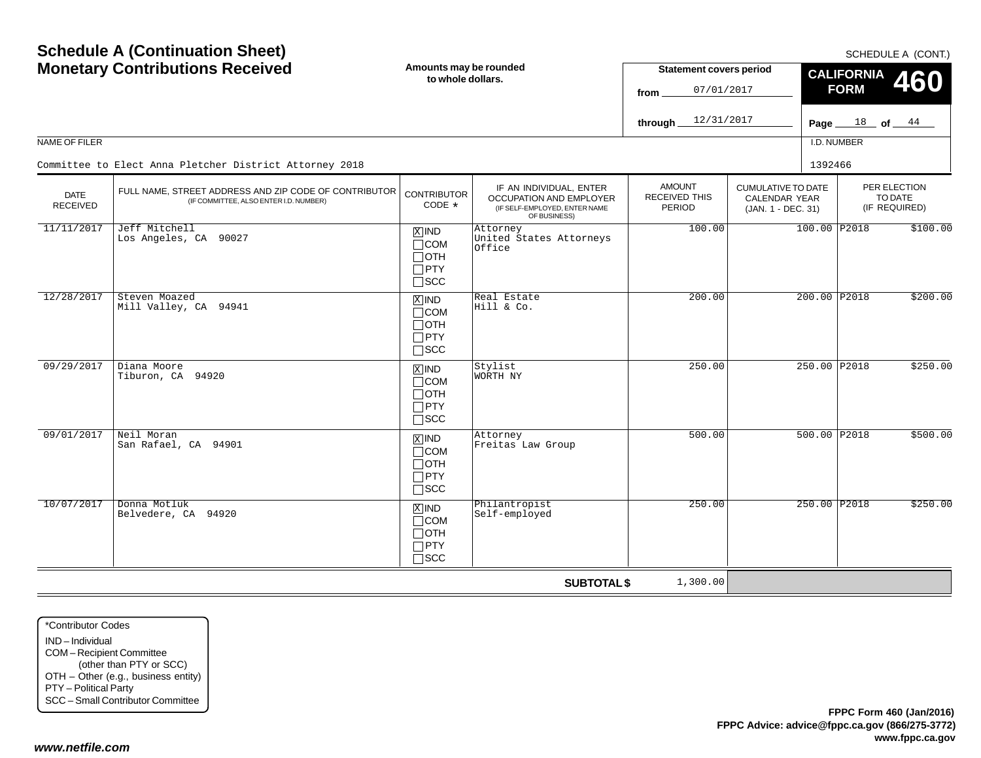| <b>Schedule A (Continuation Sheet)</b><br><b>Monetary Contributions Received</b> |                                                                                                 | Amounts may be rounded<br>to whole dollars.                                     |                                                                                                     |                                                        |                                                                         | SCHEDULE A (CONT.)<br><b>CALIFORNIA</b><br>460<br><b>FORM</b> |                                          |  |
|----------------------------------------------------------------------------------|-------------------------------------------------------------------------------------------------|---------------------------------------------------------------------------------|-----------------------------------------------------------------------------------------------------|--------------------------------------------------------|-------------------------------------------------------------------------|---------------------------------------------------------------|------------------------------------------|--|
|                                                                                  |                                                                                                 |                                                                                 |                                                                                                     | 12/31/2017<br>through                                  |                                                                         | Page $\_\$                                                    | $18$ of $44$                             |  |
| <b>NAME OF FILER</b>                                                             |                                                                                                 |                                                                                 |                                                                                                     |                                                        |                                                                         | I.D. NUMBER                                                   |                                          |  |
|                                                                                  | Committee to Elect Anna Pletcher District Attorney 2018                                         |                                                                                 |                                                                                                     |                                                        |                                                                         | 1392466                                                       |                                          |  |
| <b>DATE</b><br><b>RECEIVED</b>                                                   | FULL NAME, STREET ADDRESS AND ZIP CODE OF CONTRIBUTOR<br>(IF COMMITTEE, ALSO ENTER I.D. NUMBER) | <b>CONTRIBUTOR</b><br>CODE *                                                    | IF AN INDIVIDUAL, ENTER<br>OCCUPATION AND EMPLOYER<br>(IF SELF-EMPLOYED, ENTER NAME<br>OF BUSINESS) | <b>AMOUNT</b><br><b>RECEIVED THIS</b><br><b>PERIOD</b> | <b>CUMULATIVE TO DATE</b><br><b>CALENDAR YEAR</b><br>(JAN. 1 - DEC. 31) |                                                               | PER ELECTION<br>TO DATE<br>(IF REQUIRED) |  |
| 11/11/2017                                                                       | Jeff Mitchell<br>Los Angeles, CA 90027                                                          | $X$ IND<br>$\Box$ COM<br>$\Box$ oth<br>$\Box$ PTY<br>$\square$ SCC              | Attorney<br>United States Attorneys<br>Office                                                       | 100.00                                                 |                                                                         | 100.00 P2018                                                  | \$100.00                                 |  |
| 12/28/2017                                                                       | Steven Moazed<br>Mill Valley, CA 94941                                                          | $X$ IND<br>$\sqcap$ COM<br>$\Box$ OTH<br>$\Box$ PTY<br>$\Box$ scc               | Real Estate<br>Hill & Co.                                                                           | 200.00                                                 |                                                                         | 200.00 P2018                                                  | \$200.00                                 |  |
| 09/29/2017                                                                       | Diana Moore<br>Tiburon, CA 94920                                                                | $X$ IND<br>$\Box$ COM<br>$\Box$ OTH<br>$\Box$ PTY<br>$\Box$ scc                 | Stylist<br><b>WORTH NY</b>                                                                          | 250.00                                                 |                                                                         | 250.00 P2018                                                  | \$250.00                                 |  |
| 09/01/2017                                                                       | Neil Moran<br>San Rafael, CA 94901                                                              | $\overline{X}$ IND<br>$\sqcap$ COM<br>$\Box$ OTH<br>$\Box$ PTY<br>$\square$ scc | Attorney<br>Freitas Law Group                                                                       | 500.00                                                 |                                                                         | 500.00 P2018                                                  | \$500.00                                 |  |
| 10/07/2017                                                                       | Donna Motluk<br>Belvedere, CA 94920                                                             | $X$ IND<br>$\sqcap$ COM<br>$\Box$ OTH<br>$\Box$ PTY<br>$\sqcap$ scc             | Philantropist<br>Self-employed                                                                      | 250.00                                                 |                                                                         | 250.00 P2018                                                  | \$250.00                                 |  |
|                                                                                  |                                                                                                 |                                                                                 | <b>SUBTOTAL \$</b>                                                                                  | 1,300.00                                               |                                                                         |                                                               |                                          |  |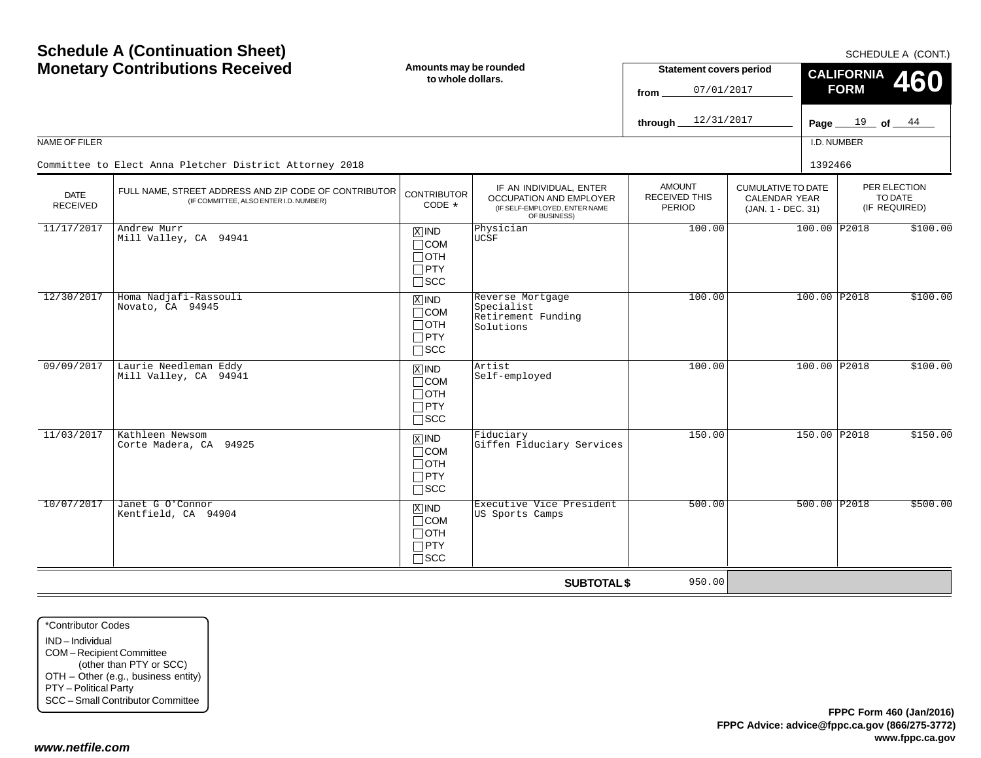| <b>Schedule A (Continuation Sheet)</b><br><b>Monetary Contributions Received</b> |                                                                                                 | Amounts may be rounded<br>to whole dollars.                        |                                                                                                            | <b>Statement covers period</b><br>07/01/2017<br>from<br>12/31/2017<br>through | <b>FORM</b>                                                             | SCHEDULE A (CONT.)<br><b>CALIFORNIA</b><br>460<br>Page $19$ of $44$ |                                          |          |  |
|----------------------------------------------------------------------------------|-------------------------------------------------------------------------------------------------|--------------------------------------------------------------------|------------------------------------------------------------------------------------------------------------|-------------------------------------------------------------------------------|-------------------------------------------------------------------------|---------------------------------------------------------------------|------------------------------------------|----------|--|
| NAME OF FILER                                                                    |                                                                                                 |                                                                    |                                                                                                            |                                                                               |                                                                         | I.D. NUMBER                                                         |                                          |          |  |
|                                                                                  | Committee to Elect Anna Pletcher District Attorney 2018                                         |                                                                    |                                                                                                            |                                                                               |                                                                         | 1392466                                                             |                                          |          |  |
| <b>DATE</b><br><b>RECEIVED</b>                                                   | FULL NAME, STREET ADDRESS AND ZIP CODE OF CONTRIBUTOR<br>(IF COMMITTEE, ALSO ENTER I.D. NUMBER) | <b>CONTRIBUTOR</b><br>CODE *                                       | IF AN INDIVIDUAL, ENTER<br><b>OCCUPATION AND EMPLOYER</b><br>(IF SELF-EMPLOYED, ENTER NAME<br>OF BUSINESS) | <b>AMOUNT</b><br><b>RECEIVED THIS</b><br>PERIOD                               | <b>CUMULATIVE TO DATE</b><br><b>CALENDAR YEAR</b><br>(JAN. 1 - DEC. 31) |                                                                     | PER ELECTION<br>TO DATE<br>(IF REQUIRED) |          |  |
| 11/17/2017                                                                       | Andrew Murr<br>Mill Valley, CA 94941                                                            | $X$ IND<br>$\Box$ COM<br>⊟отн<br>$\Box$ PTY<br>$\square$ SCC       | Physician<br>UCSF                                                                                          | 100.00                                                                        |                                                                         | 100.00 P2018                                                        |                                          | \$100.00 |  |
| 12/30/2017                                                                       | Homa Nadjafi-Rassouli<br>Novato, CA 94945                                                       | $X$ IND<br>$\Box$ COM<br>$\Box$ OTH<br>$\Box$ PTY<br>$\square$ scc | Reverse Mortgage<br>Specialist<br>Retirement Funding<br>Solutions                                          | 100.00                                                                        |                                                                         | 100.00 P2018                                                        |                                          | \$100.00 |  |
| 09/09/2017                                                                       | Laurie Needleman Eddy<br>Mill Valley, CA 94941                                                  | $X$ IND<br>$\Box$ COM<br>$\Box$ OTH<br>$\Box$ PTY<br>$\Box$ scc    | Artist<br>Self-employed                                                                                    | 100.00                                                                        |                                                                         | 100.00 P2018                                                        |                                          | \$100.00 |  |
| 11/03/2017                                                                       | Kathleen Newsom<br>Corte Madera, CA 94925                                                       | $X$ IND<br>$\Box$ COM<br>∏ОТН<br>$\Box$ PTY<br>$\square$ scc       | Fiduciary<br>Giffen Fiduciary Services                                                                     | 150.00                                                                        |                                                                         | 150.00 P2018                                                        |                                          | \$150.00 |  |
| 10/07/2017                                                                       | Janet G O'Connor<br>Kentfield, CA 94904                                                         | $X$ IND<br>$\Box$ COM<br>$\Box$ OTH<br>$\Box$ PTY<br>$\sqcap$ scc  | Executive Vice President<br>US Sports Camps                                                                | 500.00                                                                        |                                                                         | 500.00 P2018                                                        |                                          | \$500.00 |  |
|                                                                                  |                                                                                                 |                                                                    | <b>SUBTOTAL \$</b>                                                                                         | 950.00                                                                        |                                                                         |                                                                     |                                          |          |  |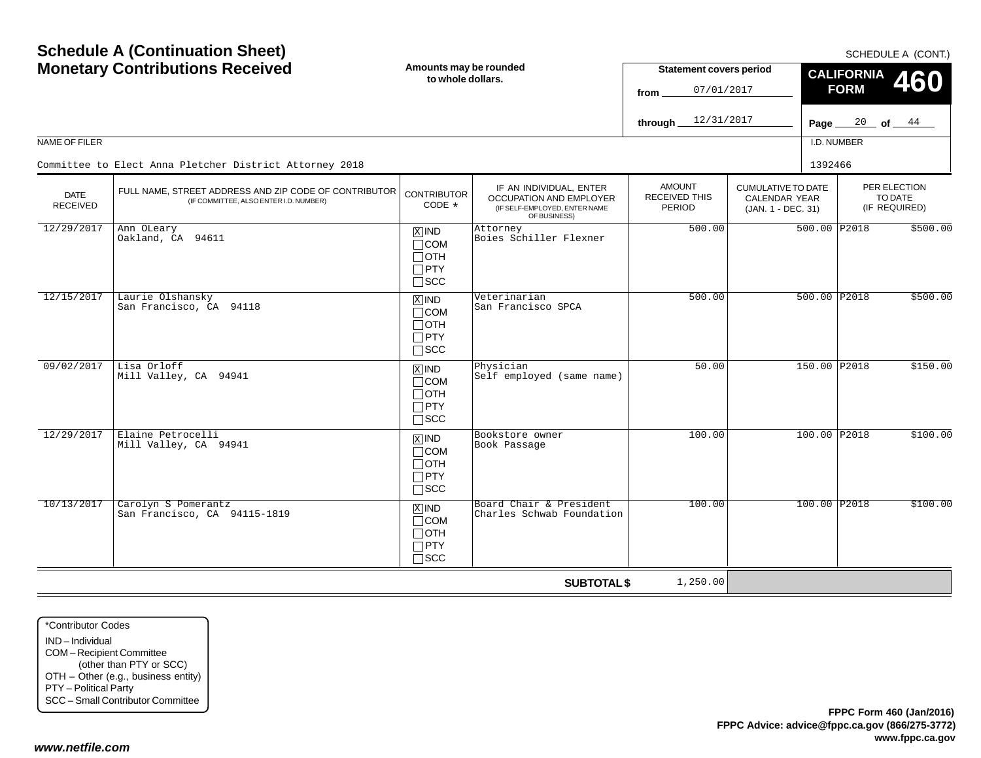| <b>Schedule A (Continuation Sheet)</b><br><b>Monetary Contributions Received</b> |                                                                                                 | Amounts may be rounded<br>to whole dollars.                        |                                                                                                     | <b>Statement covers period</b><br>07/01/2017<br>from |                                                                         | <b>CALIFORNIA</b><br><b>FORM</b> | SCHEDULE A (CONT.)<br>460                |
|----------------------------------------------------------------------------------|-------------------------------------------------------------------------------------------------|--------------------------------------------------------------------|-----------------------------------------------------------------------------------------------------|------------------------------------------------------|-------------------------------------------------------------------------|----------------------------------|------------------------------------------|
|                                                                                  |                                                                                                 |                                                                    |                                                                                                     | 12/31/2017<br>through                                |                                                                         | Page $\_\$                       | $\frac{20}{100}$ of $\frac{44}{100}$     |
| NAME OF FILER                                                                    |                                                                                                 |                                                                    |                                                                                                     |                                                      |                                                                         | I.D. NUMBER                      |                                          |
|                                                                                  | Committee to Elect Anna Pletcher District Attorney 2018                                         |                                                                    |                                                                                                     |                                                      |                                                                         | 1392466                          |                                          |
| <b>DATE</b><br><b>RECEIVED</b>                                                   | FULL NAME, STREET ADDRESS AND ZIP CODE OF CONTRIBUTOR<br>(IF COMMITTEE, ALSO ENTER I.D. NUMBER) | <b>CONTRIBUTOR</b><br>CODE *                                       | IF AN INDIVIDUAL, ENTER<br>OCCUPATION AND EMPLOYER<br>(IF SELF-EMPLOYED, ENTER NAME<br>OF BUSINESS) | <b>AMOUNT</b><br><b>RECEIVED THIS</b><br>PERIOD      | <b>CUMULATIVE TO DATE</b><br><b>CALENDAR YEAR</b><br>(JAN. 1 - DEC. 31) |                                  | PER ELECTION<br>TO DATE<br>(IF REQUIRED) |
| 12/29/2017                                                                       | Ann OLeary<br>Oakland, CA 94611                                                                 | $X$ IND<br>$\Box$ COM<br>$\Box$ oth<br>$\Box$ PTY<br>$\square$ scc | Attorney<br>Boies Schiller Flexner                                                                  | 500.00                                               |                                                                         | 500.00 P2018                     | \$500.00                                 |
| 12/15/2017                                                                       | Laurie Olshansky<br>San Francisco, CA 94118                                                     | $X$ IND<br>$\Box$ COM<br>$\Box$ OTH<br>$\Box$ PTY<br>$\square$ scc | Veterinarian<br>San Francisco SPCA                                                                  | 500.00                                               |                                                                         | 500.00 P2018                     | \$500.00                                 |
| 09/02/2017                                                                       | Lisa Orloff<br>Mill Valley, CA 94941                                                            | $X$ IND<br>$\Box$ COM<br>$\Box$ OTH<br>$\Box$ PTY<br>$\sqcap$ scc  | Physician<br>Self employed (same name)                                                              | 50.00                                                |                                                                         | 150.00 P2018                     | \$150.00                                 |
| 12/29/2017                                                                       | Elaine Petrocelli<br>Mill Valley, CA 94941                                                      | $X$ IND<br>$\Box$ COM<br>$\Box$ OTH<br>$\Box$ PTY<br>$\square$ SCC | Bookstore owner<br>Book Passage                                                                     | 100.00                                               |                                                                         | 100.00 P2018                     | \$100.00                                 |
| 10/13/2017                                                                       | Carolyn S Pomerantz<br>San Francisco, CA 94115-1819                                             | $X$ IND<br>$\Box$ COM<br>$\Box$ oth<br>$\Box$ PTY<br>$\sqcap$ scc  | Board Chair & President<br>Charles Schwab Foundation                                                | 100.00                                               |                                                                         | 100.00 P2018                     | \$100.00                                 |
|                                                                                  |                                                                                                 |                                                                    | <b>SUBTOTAL \$</b>                                                                                  | 1,250.00                                             |                                                                         |                                  |                                          |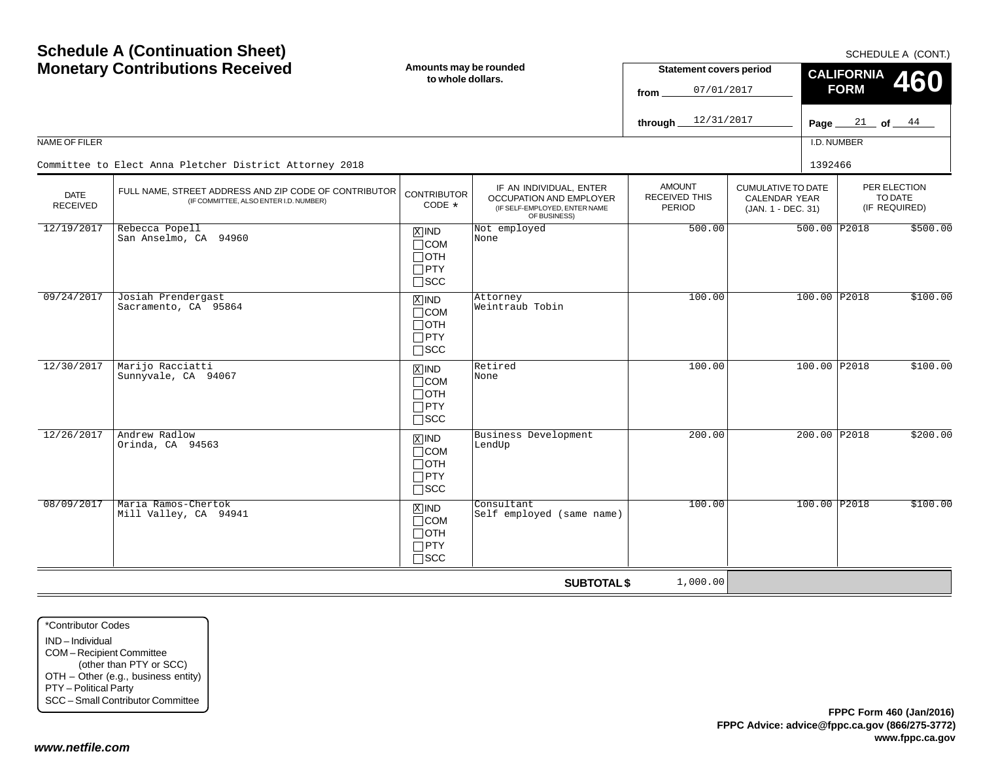|                                | <b>Monetary Contributions Received</b>                                                          | Amounts may be rounded<br>to whole dollars.                                |                                                                                                     | <b>Statement covers period</b><br>07/01/2017<br>from |                                                                         | <b>CALIFORNIA</b><br><b>FORM</b> | <b>OUTLDULL A (UUITI.)</b><br>460        |
|--------------------------------|-------------------------------------------------------------------------------------------------|----------------------------------------------------------------------------|-----------------------------------------------------------------------------------------------------|------------------------------------------------------|-------------------------------------------------------------------------|----------------------------------|------------------------------------------|
|                                |                                                                                                 |                                                                            |                                                                                                     | 12/31/2017<br>through.                               |                                                                         | Page $21$ of $44$                |                                          |
| NAME OF FILER                  |                                                                                                 |                                                                            |                                                                                                     |                                                      |                                                                         | I.D. NUMBER                      |                                          |
|                                | Committee to Elect Anna Pletcher District Attorney 2018                                         |                                                                            |                                                                                                     |                                                      |                                                                         | 1392466                          |                                          |
| <b>DATE</b><br><b>RECEIVED</b> | FULL NAME, STREET ADDRESS AND ZIP CODE OF CONTRIBUTOR<br>(IF COMMITTEE, ALSO ENTER I.D. NUMBER) | <b>CONTRIBUTOR</b><br>CODE *                                               | IF AN INDIVIDUAL, ENTER<br>OCCUPATION AND EMPLOYER<br>(IF SELF-EMPLOYED, ENTER NAME<br>OF BUSINESS) | <b>AMOUNT</b><br>RECEIVED THIS<br><b>PERIOD</b>      | <b>CUMULATIVE TO DATE</b><br><b>CALENDAR YEAR</b><br>(JAN. 1 - DEC. 31) |                                  | PER ELECTION<br>TO DATE<br>(IF REQUIRED) |
| 12/19/2017                     | Rebecca Popell<br>San Anselmo, CA 94960                                                         | $X$ IND<br>$\Box$ COM<br>$\Box$ OTH<br>$\square$ PTY<br>$\square$ SCC      | Not employed<br>None                                                                                | 500.00                                               |                                                                         | 500.00 P2018                     | \$500.00                                 |
| 09/24/2017                     | Josiah Prendergast<br>Sacramento, CA 95864                                                      | $\overline{X}$ IND<br>$\Box$ COM<br>$\Box$ oth<br>$\Box$ PTY<br>$\Box$ scc | Attorney<br>Weintraub Tobin                                                                         | 100.00                                               |                                                                         | 100.00 P2018                     | \$100.00                                 |
| 12/30/2017                     | Marijo Racciatti<br>Sunnyvale, CA 94067                                                         | $X$ IND<br>$\Box$ COM<br>$\Box$ oth<br>$\Box$ PTY<br>$\square$ SCC         | Retired<br>None                                                                                     | 100.00                                               |                                                                         | 100.00 P2018                     | \$100.00                                 |
| 12/26/2017                     | Andrew Radlow<br>Orinda, CA 94563                                                               | $X$ IND<br>$\Box$ COM<br>$\Box$ OTH<br>$\Box$ PTY<br>$\square$ SCC         | Business Development<br>LendUp                                                                      | 200.00                                               |                                                                         | 200.00 P2018                     | \$200.00                                 |
| 08/09/2017                     | Maria Ramos-Chertok<br>Mill Valley, CA 94941                                                    | $X$ IND<br>$\Box$ COM<br>$\Box$ OTH<br>$\Box$ PTY<br>$\Box$ scc            | Consultant<br>Self employed (same name)                                                             | 100.00                                               |                                                                         | 100.00 P2018                     | \$100.00                                 |
|                                |                                                                                                 |                                                                            | <b>SUBTOTAL \$</b>                                                                                  | 1,000.00                                             |                                                                         |                                  |                                          |

\*Contributor CodesIND – Individual COM – Recipient Committee (other than PTY or SCC) OTH – Other (e.g., business entity) PTY – Political Party SCC – Small Contributor Committee

**Schedule A (Continuation Sheet)**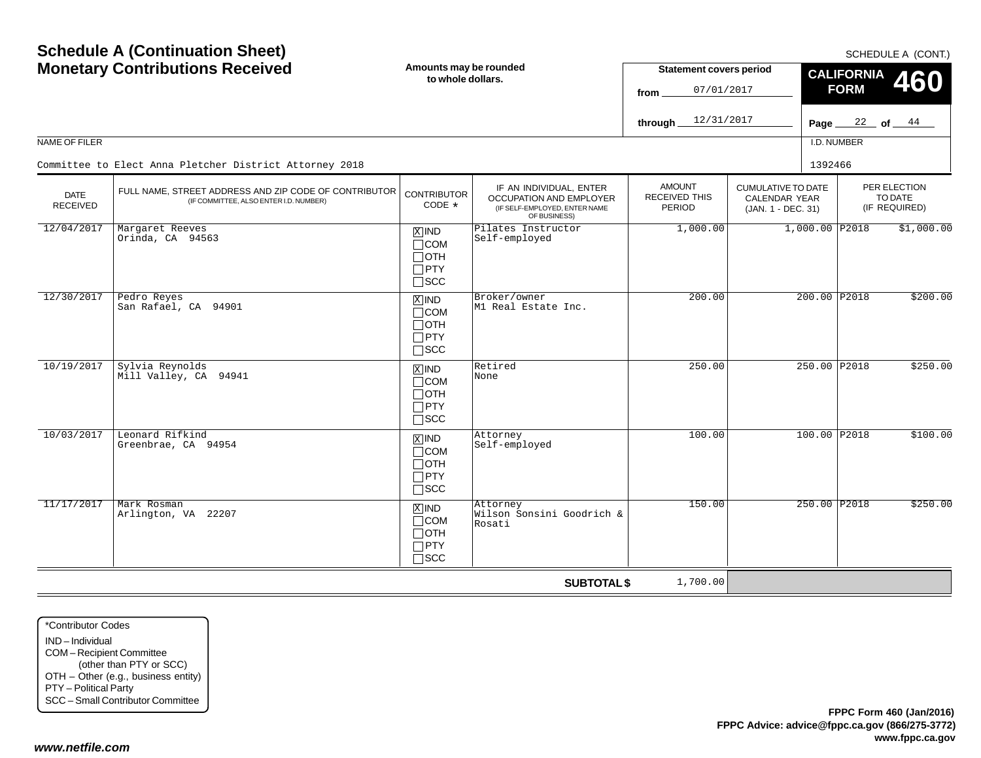| <b>Schedule A (Continuation Sheet)</b><br><b>Monetary Contributions Received</b> |                                                                                                 | Amounts may be rounded<br>to whole dollars.                                       |                                                                                                     | <b>Statement covers period</b><br>07/01/2017<br>from |                                                                         |             | SCHEDULE A (CONT.)<br><b>CALIFORNIA</b><br>460<br><b>FORM</b> |                                       |  |
|----------------------------------------------------------------------------------|-------------------------------------------------------------------------------------------------|-----------------------------------------------------------------------------------|-----------------------------------------------------------------------------------------------------|------------------------------------------------------|-------------------------------------------------------------------------|-------------|---------------------------------------------------------------|---------------------------------------|--|
|                                                                                  |                                                                                                 |                                                                                   |                                                                                                     | 12/31/2017<br>through.                               |                                                                         |             |                                                               | Page $\frac{22}{ }$ of $\frac{44}{ }$ |  |
| <b>NAME OF FILER</b>                                                             |                                                                                                 |                                                                                   |                                                                                                     |                                                      |                                                                         | I.D. NUMBER |                                                               |                                       |  |
|                                                                                  | Committee to Elect Anna Pletcher District Attorney 2018                                         |                                                                                   |                                                                                                     |                                                      |                                                                         | 1392466     |                                                               |                                       |  |
| <b>DATE</b><br><b>RECEIVED</b>                                                   | FULL NAME, STREET ADDRESS AND ZIP CODE OF CONTRIBUTOR<br>(IF COMMITTEE, ALSO ENTER I.D. NUMBER) | <b>CONTRIBUTOR</b><br>CODE *                                                      | IF AN INDIVIDUAL, ENTER<br>OCCUPATION AND EMPLOYER<br>(IF SELF-EMPLOYED, ENTER NAME<br>OF BUSINESS) | <b>AMOUNT</b><br><b>RECEIVED THIS</b><br>PERIOD      | <b>CUMULATIVE TO DATE</b><br><b>CALENDAR YEAR</b><br>(JAN. 1 - DEC. 31) |             | PER ELECTION<br>TO DATE<br>(IF REQUIRED)                      |                                       |  |
| 12/04/2017                                                                       | Margaret Reeves<br>Orinda, CA 94563                                                             | $X$ IND<br>$\Box$ COM<br>$\Box$ OTH<br>$\Box$ PTY<br>$\Box$ SCC                   | Pilates Instructor<br>Self-employed                                                                 | 1,000.00                                             | $1,000.00$ P2018                                                        |             |                                                               | \$1,000.00                            |  |
| 12/30/2017                                                                       | Pedro Reyes<br>San Rafael, CA 94901                                                             | $X$ IND<br>$\Box$ COM<br>$\Box$ OTH<br>$\Box$ PTY<br>$\square$ SCC                | Broker/owner<br>M1 Real Estate Inc.                                                                 | 200.00                                               |                                                                         |             | 200.00 P2018                                                  | \$200.00                              |  |
| 10/19/2017                                                                       | Sylvia Reynolds<br>Mill Valley, CA 94941                                                        | $X$ IND<br>$\Box$ COM<br>$\Box$ OTH<br>$\Box$ PTY<br>$\Box$ scc                   | Retired<br>None                                                                                     | 250.00                                               |                                                                         |             | 250.00 P2018                                                  | \$250.00                              |  |
| 10/03/2017                                                                       | Leonard Rifkind<br>Greenbrae, CA 94954                                                          | $\boxed{\text{X}}$ IND<br>$\Box$ COM<br>$\Box$ OTH<br>$\Box$ PTY<br>$\square$ SCC | Attorney<br>Self-employed                                                                           | 100.00                                               |                                                                         |             | 100.00 P2018                                                  | \$100.00                              |  |
| 11/17/2017                                                                       | Mark Rosman<br>Arlington, VA 22207                                                              | $X$ IND<br>$\Box$ COM<br>$\Box$ OTH<br>$\Box$ PTY<br>$\Box$ scc                   | Attorney<br>Wilson Sonsini Goodrich &<br>Rosati                                                     | 150.00                                               |                                                                         |             | 250.00 P2018                                                  | \$250.00                              |  |
|                                                                                  |                                                                                                 |                                                                                   | <b>SUBTOTAL \$</b>                                                                                  | 1,700.00                                             |                                                                         |             |                                                               |                                       |  |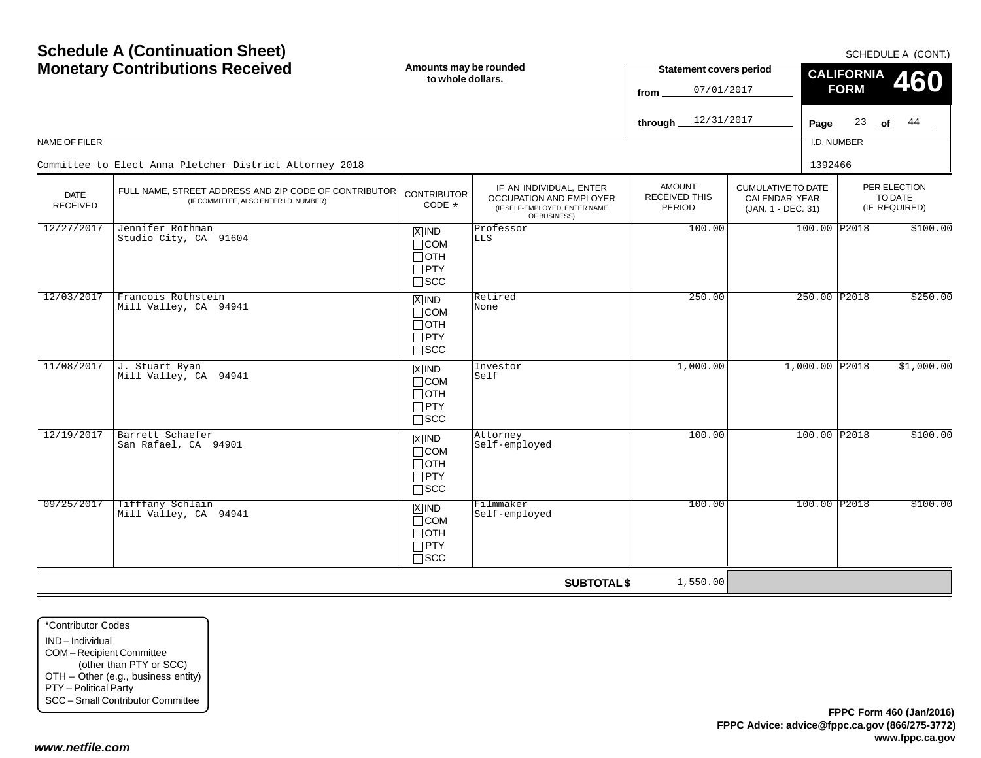| <b>Schedule A (Continuation Sheet)</b><br><b>Monetary Contributions Received</b> |                                                                                                 | Amounts may be rounded<br>to whole dollars.                        |                                                                                                            | <b>Statement covers period</b><br>07/01/2017<br>from<br>12/31/2017<br>through | <b>CALIFORNIA</b><br><b>FORM</b><br>Page $\equiv$                       | SCHEDULE A (CONT.)<br>460<br>$\frac{23}{ }$ of $\frac{44}{ }$ |                                          |            |  |
|----------------------------------------------------------------------------------|-------------------------------------------------------------------------------------------------|--------------------------------------------------------------------|------------------------------------------------------------------------------------------------------------|-------------------------------------------------------------------------------|-------------------------------------------------------------------------|---------------------------------------------------------------|------------------------------------------|------------|--|
| NAME OF FILER                                                                    |                                                                                                 |                                                                    |                                                                                                            |                                                                               |                                                                         | I.D. NUMBER                                                   |                                          |            |  |
|                                                                                  | Committee to Elect Anna Pletcher District Attorney 2018                                         |                                                                    |                                                                                                            |                                                                               |                                                                         | 1392466                                                       |                                          |            |  |
| <b>DATE</b><br><b>RECEIVED</b>                                                   | FULL NAME, STREET ADDRESS AND ZIP CODE OF CONTRIBUTOR<br>(IF COMMITTEE, ALSO ENTER I.D. NUMBER) | <b>CONTRIBUTOR</b><br>CODE *                                       | IF AN INDIVIDUAL, ENTER<br><b>OCCUPATION AND EMPLOYER</b><br>(IF SELF-EMPLOYED, ENTER NAME<br>OF BUSINESS) | <b>AMOUNT</b><br><b>RECEIVED THIS</b><br>PERIOD                               | <b>CUMULATIVE TO DATE</b><br><b>CALENDAR YEAR</b><br>(JAN. 1 - DEC. 31) |                                                               | PER ELECTION<br>TO DATE<br>(IF REQUIRED) |            |  |
| 12/27/2017                                                                       | Jennifer Rothman<br>Studio City, CA 91604                                                       | $X$ IND<br>$\Box$ COM<br>⊟отн<br>$\Box$ PTY<br>$\square$ SCC       | Professor<br><b>LLS</b>                                                                                    | 100.00                                                                        |                                                                         | 100.00 P2018                                                  |                                          | \$100.00   |  |
| 12/03/2017                                                                       | Francois Rothstein<br>Mill Valley, CA 94941                                                     | $X$ IND<br>$\Box$ COM<br>$\Box$ OTH<br>$\Box$ PTY<br>$\Box$ scc    | Retired<br>None                                                                                            | 250.00                                                                        |                                                                         | 250.00 P2018                                                  |                                          | \$250.00   |  |
| 11/08/2017                                                                       | J. Stuart Ryan<br>Mill Valley, CA 94941                                                         | $X$ IND<br>$\Box$ COM<br>$\Box$ OTH<br>$\Box$ PTY<br>$\Box$ scc    | Investor<br>Self                                                                                           | 1,000.00                                                                      | $1,000.00$ P2018                                                        |                                                               |                                          | \$1,000.00 |  |
| 12/19/2017                                                                       | Barrett Schaefer<br>San Rafael, CA 94901                                                        | $X$ IND<br>$\Box$ COM<br>$\Box$ oth<br>$\Box$ PTY<br>$\square$ scc | Attorney<br>Self-employed                                                                                  | 100.00                                                                        |                                                                         | 100.00 P2018                                                  |                                          | \$100.00   |  |
| 09/25/2017                                                                       | Tifffany Schlain<br>Mill Valley, CA 94941                                                       | $X$ IND<br>$\Box$ COM<br>$\Box$ OTH<br>$\Box$ PTY<br>$\Box$ scc    | Filmmaker<br>Self-employed                                                                                 | 100.00                                                                        |                                                                         | 100.00 P2018                                                  |                                          | \$100.00   |  |
|                                                                                  |                                                                                                 |                                                                    | <b>SUBTOTAL \$</b>                                                                                         | 1,550.00                                                                      |                                                                         |                                                               |                                          |            |  |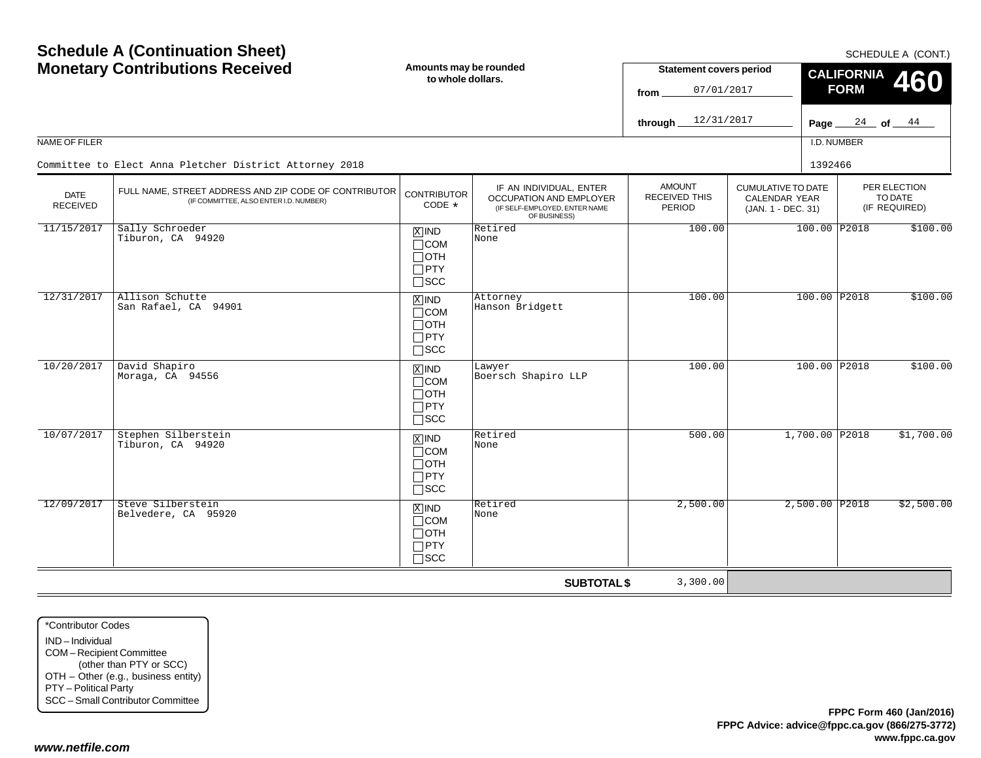|                                | <b>Schedule A (Continuation Sheet)</b>                                                          |                                                                    |                                                                                                     | SCHEDULE A (CONT.)                                   |                                                                         |             |                                          |              |  |
|--------------------------------|-------------------------------------------------------------------------------------------------|--------------------------------------------------------------------|-----------------------------------------------------------------------------------------------------|------------------------------------------------------|-------------------------------------------------------------------------|-------------|------------------------------------------|--------------|--|
|                                | <b>Monetary Contributions Received</b>                                                          | Amounts may be rounded<br>to whole dollars.                        |                                                                                                     | <b>Statement covers period</b><br>07/01/2017<br>from |                                                                         |             | <b>CALIFORNIA</b><br><b>FORM</b>         | 460          |  |
|                                |                                                                                                 |                                                                    |                                                                                                     | 12/31/2017<br>through                                |                                                                         | Page $\_$   |                                          | $24$ of $44$ |  |
| NAME OF FILER                  |                                                                                                 |                                                                    |                                                                                                     |                                                      |                                                                         | I.D. NUMBER |                                          |              |  |
|                                | Committee to Elect Anna Pletcher District Attorney 2018                                         |                                                                    |                                                                                                     |                                                      |                                                                         | 1392466     |                                          |              |  |
| <b>DATE</b><br><b>RECEIVED</b> | FULL NAME, STREET ADDRESS AND ZIP CODE OF CONTRIBUTOR<br>(IF COMMITTEE, ALSO ENTER I.D. NUMBER) | <b>CONTRIBUTOR</b><br>CODE *                                       | IF AN INDIVIDUAL, ENTER<br>OCCUPATION AND EMPLOYER<br>(IF SELF-EMPLOYED, ENTER NAME<br>OF BUSINESS) | <b>AMOUNT</b><br>RECEIVED THIS<br><b>PERIOD</b>      | <b>CUMULATIVE TO DATE</b><br><b>CALENDAR YEAR</b><br>(JAN. 1 - DEC. 31) |             | PER ELECTION<br>TO DATE<br>(IF REQUIRED) |              |  |
| 11/15/2017                     | Sally Schroeder<br>Tiburon, CA 94920                                                            | $X$ IND<br>$\Box$ COM<br>$\Box$ OTH<br>$\Box$ PTY<br>$\square$ SCC | Retired<br>None                                                                                     | 100.00                                               |                                                                         |             | 100.00 P2018                             | \$100.00     |  |
| 12/31/2017                     | Allison Schutte<br>San Rafael, CA 94901                                                         | $X$ IND<br>$\Box$ COM<br>$\Box$ OTH<br>$\Box$ PTY<br>$\square$ scc | Attorney<br>Hanson Bridgett                                                                         | 100.00                                               |                                                                         |             | 100.00 P2018                             | \$100.00     |  |
| 10/20/2017                     | David Shapiro<br>Moraga, CA 94556                                                               | $X$ IND<br>$\Box$ COM<br>$\Box$ OTH<br>$\Box$ PTY<br>$\Box$ scc    | Lawyer<br>Boersch Shapiro LLP                                                                       | 100.00                                               |                                                                         |             | 100.00 P2018                             | \$100.00     |  |
| 10/07/2017                     | Stephen Silberstein<br>Tiburon, CA 94920                                                        | $X$ IND<br>$\Box$ COM<br>$\Box$ OTH<br>$\Box$ PTY<br>$\square$ scc | Retired<br>None                                                                                     | 500.00                                               |                                                                         |             | 1,700.00 P2018                           | \$1,700.00   |  |
| 12/09/2017                     | Steve Silberstein<br>Belvedere, CA 95920                                                        | $X$ IND<br>$\Box$ COM<br>$\Box$ OTH<br>$\Box$ PTY<br>$\Box$ SCC    | Retired<br>None                                                                                     | 2,500.00                                             |                                                                         |             | 2,500.00 P2018                           | \$2,500.00   |  |
|                                |                                                                                                 |                                                                    | <b>SUBTOTAL \$</b>                                                                                  | 3,300.00                                             |                                                                         |             |                                          |              |  |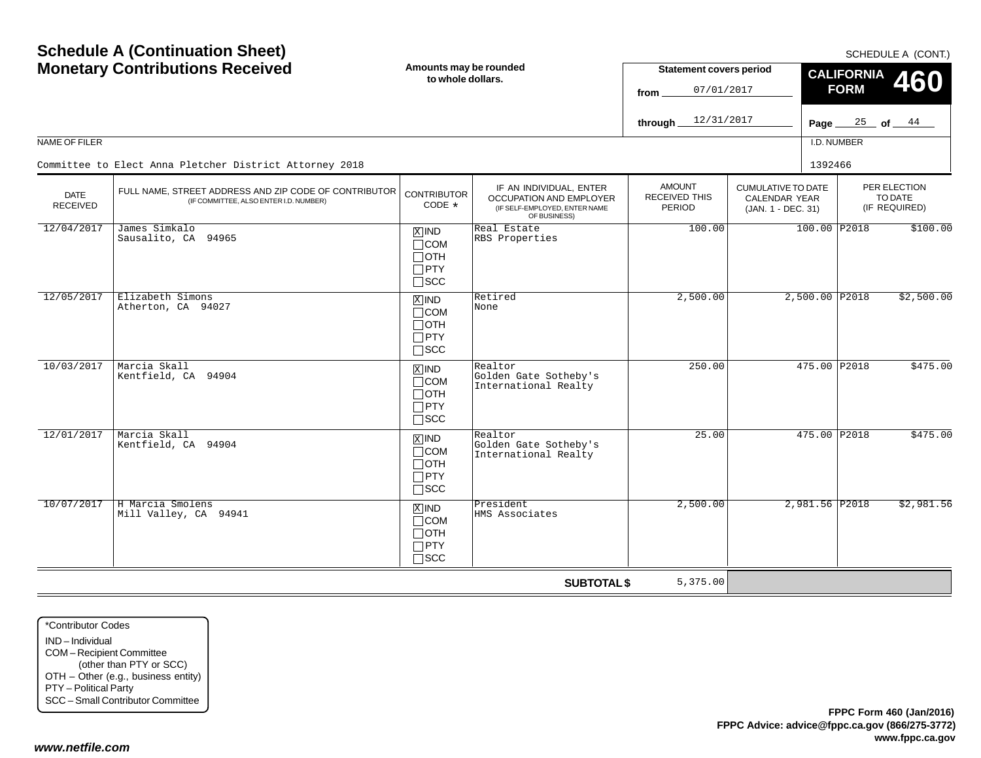|                                | <b>Schedule A (Continuation Sheet)</b><br><b>Monetary Contributions Received</b>                | Amounts may be rounded<br>to whole dollars.                                     |                                                                                                     | <b>Statement covers period</b>                  |                                                                  |             | <b>CALIFORNIA</b>                        | SCHEDULE A (CONT.)               |  |
|--------------------------------|-------------------------------------------------------------------------------------------------|---------------------------------------------------------------------------------|-----------------------------------------------------------------------------------------------------|-------------------------------------------------|------------------------------------------------------------------|-------------|------------------------------------------|----------------------------------|--|
|                                |                                                                                                 |                                                                                 |                                                                                                     | 07/01/2017<br>from                              |                                                                  |             | <b>FORM</b>                              | 460                              |  |
|                                |                                                                                                 |                                                                                 |                                                                                                     | 12/31/2017<br>through.                          |                                                                  | Page $\_$   |                                          | $\frac{25}{ }$ of $\frac{44}{ }$ |  |
| <b>NAME OF FILER</b>           |                                                                                                 |                                                                                 |                                                                                                     |                                                 |                                                                  | I.D. NUMBER |                                          |                                  |  |
|                                | Committee to Elect Anna Pletcher District Attorney 2018                                         |                                                                                 |                                                                                                     |                                                 |                                                                  | 1392466     |                                          |                                  |  |
| <b>DATE</b><br><b>RECEIVED</b> | FULL NAME, STREET ADDRESS AND ZIP CODE OF CONTRIBUTOR<br>(IF COMMITTEE, ALSO ENTER I.D. NUMBER) | <b>CONTRIBUTOR</b><br>CODE *                                                    | IF AN INDIVIDUAL, ENTER<br>OCCUPATION AND EMPLOYER<br>(IF SELF-EMPLOYED, ENTER NAME<br>OF BUSINESS) | <b>AMOUNT</b><br><b>RECEIVED THIS</b><br>PERIOD | <b>CUMULATIVE TO DATE</b><br>CALENDAR YEAR<br>(JAN. 1 - DEC. 31) |             | PER ELECTION<br>TO DATE<br>(IF REQUIRED) |                                  |  |
| 12/04/2017                     | James Simkalo<br>Sausalito, CA 94965                                                            | $X$ IND<br>$\Box$ COM<br>$\sqcap$ OTH<br>$\square$ PTY<br>$\Box$ scc            | Real Estate<br>RBS Properties                                                                       | 100.00                                          |                                                                  |             | 100.00 P2018                             | \$100.00                         |  |
| 12/05/2017                     | Elizabeth Simons<br>Atherton, CA 94027                                                          | $X$ IND<br>$\sqcap$ COM<br>$\Box$ OTH<br>$\Box$ PTY<br>$\Box$ SCC               | Retired<br>None                                                                                     | 2,500.00                                        |                                                                  |             | $2,500.00$ P2018                         | \$2,500.00                       |  |
| 10/03/2017                     | Marcia Skall<br>Kentfield, CA 94904                                                             | $X$ IND<br>$\sqcap$ COM<br>$\Box$ OTH<br>$\Box$ PTY<br>$\Box$ scc               | Realtor<br>Golden Gate Sotheby's<br>International Realty                                            | 250.00                                          |                                                                  |             | 475.00 P2018                             | \$475.00                         |  |
| 12/01/2017                     | Marcia Skall<br>Kentfield, CA 94904                                                             | $\overline{X}$ IND<br>$\sqcap$ COM<br>$\Box$ OTH<br>$\Box$ PTY<br>$\square$ SCC | Realtor<br>Golden Gate Sotheby's<br>International Realty                                            | 25.00                                           |                                                                  |             | 475.00 P2018                             | \$475.00                         |  |
| 10/07/2017                     | H Marcia Smolens<br>Mill Valley, CA 94941                                                       | $X$ IND<br>$\sqcap$ COM<br>$\Box$ OTH<br>$\Box$ PTY<br>$\sqcap$ scc             | President<br>HMS Associates                                                                         | 2,500.00                                        |                                                                  |             | 2,981.56 P2018                           | \$2,981.56                       |  |
|                                |                                                                                                 |                                                                                 | <b>SUBTOTAL \$</b>                                                                                  | 5,375.00                                        |                                                                  |             |                                          |                                  |  |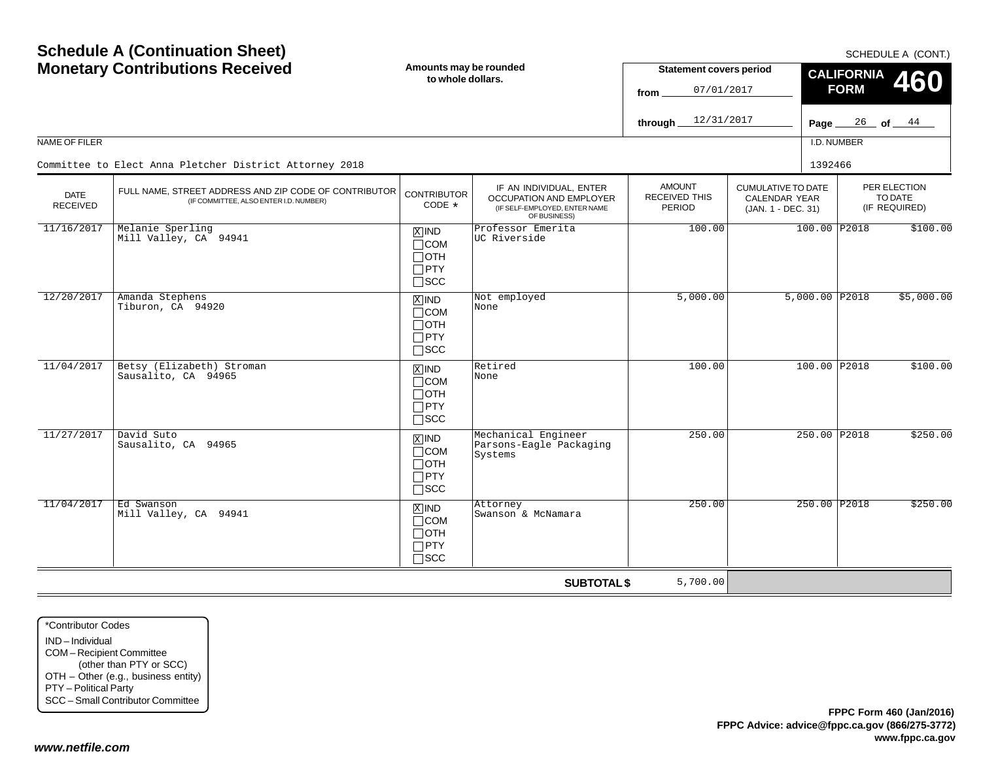| <b>Schedule A (Continuation Sheet)</b><br><b>Monetary Contributions Received</b> |                                                                                                 | Amounts may be rounded<br>to whole dollars.                                       |                                                                                                            | <b>Statement covers period</b><br>07/01/2017<br>from<br>12/31/2017<br>through |                                                                         | Page $\_$                        | <b>CALIFORNIA</b><br><b>FORM</b> | SCHEDULE A (CONT.)<br>460<br>$\frac{26}{ }$ of $\frac{44}{ }$ |
|----------------------------------------------------------------------------------|-------------------------------------------------------------------------------------------------|-----------------------------------------------------------------------------------|------------------------------------------------------------------------------------------------------------|-------------------------------------------------------------------------------|-------------------------------------------------------------------------|----------------------------------|----------------------------------|---------------------------------------------------------------|
| <b>NAME OF FILER</b>                                                             |                                                                                                 |                                                                                   |                                                                                                            |                                                                               |                                                                         | I.D. NUMBER                      |                                  |                                                               |
|                                                                                  | Committee to Elect Anna Pletcher District Attorney 2018                                         |                                                                                   |                                                                                                            |                                                                               |                                                                         | 1392466                          |                                  |                                                               |
| <b>DATE</b><br><b>RECEIVED</b>                                                   | FULL NAME, STREET ADDRESS AND ZIP CODE OF CONTRIBUTOR<br>(IF COMMITTEE, ALSO ENTER I.D. NUMBER) | <b>CONTRIBUTOR</b><br>CODE $*$                                                    | IF AN INDIVIDUAL, ENTER<br><b>OCCUPATION AND EMPLOYER</b><br>(IF SELF-EMPLOYED, ENTER NAME<br>OF BUSINESS) | <b>AMOUNT</b><br><b>RECEIVED THIS</b><br><b>PERIOD</b>                        | <b>CUMULATIVE TO DATE</b><br><b>CALENDAR YEAR</b><br>(JAN. 1 - DEC. 31) |                                  |                                  | PER ELECTION<br>TO DATE<br>(IF REQUIRED)                      |
| 11/16/2017                                                                       | Melanie Sperling<br>Mill Valley, CA 94941                                                       | $X$ IND<br>$\Box$ COM<br>$\Box$ OTH<br>$\Box$ PTY<br>$\square$ SCC                | Professor Emerita<br>UC Riverside                                                                          | 100.00                                                                        |                                                                         | 100.00 P2018<br>$5,000.00$ P2018 |                                  | \$100.00                                                      |
| 12/20/2017                                                                       | Amanda Stephens<br>Tiburon, CA 94920                                                            | $X$ IND<br>$\Box$ COM<br>$\Box$ OTH<br>$\Box$ PTY<br>$\square$ SCC                | Not employed<br>None                                                                                       | 5,000.00                                                                      |                                                                         |                                  |                                  | \$5,000.00                                                    |
| 11/04/2017                                                                       | Betsy (Elizabeth) Stroman<br>Sausalito, CA 94965                                                | $\overline{X}$ IND<br>$\Box$ COM<br>$\Box$ OTH<br>$\Box$ PTY<br>$\square$ SCC     | Retired<br>None                                                                                            | 100.00                                                                        |                                                                         | 100.00 P2018                     |                                  | \$100.00                                                      |
| 11/27/2017                                                                       | David Suto<br>Sausalito, CA 94965                                                               | $\boxed{\text{X}}$ IND<br>$\Box$ COM<br>$\Box$ OTH<br>$\Box$ PTY<br>$\square$ SCC | Mechanical Engineer<br>Parsons-Eagle Packaging<br>Systems                                                  | 250.00                                                                        |                                                                         | 250.00 P2018                     |                                  | \$250.00                                                      |
| 11/04/2017                                                                       | Ed Swanson<br>Mill Valley, CA 94941                                                             | $X$ IND<br>$\Box$ COM<br>$\Box$ OTH<br>$\Box$ PTY<br>$\Box$ scc                   | Attorney<br>Swanson & McNamara                                                                             | 250.00                                                                        |                                                                         | 250.00 P2018                     |                                  | \$250.00                                                      |
|                                                                                  |                                                                                                 |                                                                                   | <b>SUBTOTAL \$</b>                                                                                         | 5,700.00                                                                      |                                                                         |                                  |                                  |                                                               |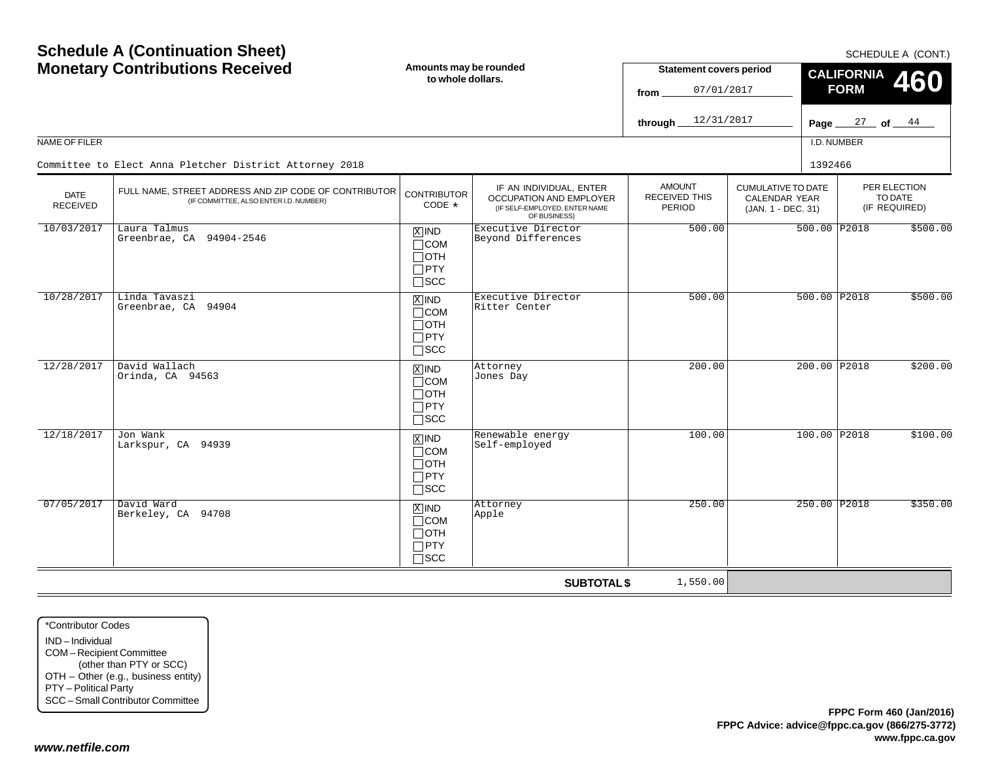| <b>Schedule A (Continuation Sheet)</b><br><b>Monetary Contributions Received</b> |                                                                                                 | Amounts may be rounded<br><b>Statement covers period</b><br>to whole dollars.<br>07/01/2017<br>from<br>12/31/2017 |                                                                                                            |                                                 |                                                                         | SCHEDULE A (CONT.)<br><b>CALIFORNIA</b><br>460<br><b>FORM</b> |                                          |  |  |
|----------------------------------------------------------------------------------|-------------------------------------------------------------------------------------------------|-------------------------------------------------------------------------------------------------------------------|------------------------------------------------------------------------------------------------------------|-------------------------------------------------|-------------------------------------------------------------------------|---------------------------------------------------------------|------------------------------------------|--|--|
|                                                                                  |                                                                                                 |                                                                                                                   |                                                                                                            | through                                         |                                                                         |                                                               | Page $27$ of $44$                        |  |  |
| NAME OF FILER                                                                    |                                                                                                 |                                                                                                                   |                                                                                                            |                                                 |                                                                         | I.D. NUMBER                                                   |                                          |  |  |
|                                                                                  | Committee to Elect Anna Pletcher District Attorney 2018                                         |                                                                                                                   |                                                                                                            |                                                 |                                                                         | 1392466                                                       |                                          |  |  |
| <b>DATE</b><br><b>RECEIVED</b>                                                   | FULL NAME, STREET ADDRESS AND ZIP CODE OF CONTRIBUTOR<br>(IF COMMITTEE, ALSO ENTER I.D. NUMBER) | <b>CONTRIBUTOR</b><br>CODE *                                                                                      | IF AN INDIVIDUAL, ENTER<br><b>OCCUPATION AND EMPLOYER</b><br>(IF SELF-EMPLOYED, ENTER NAME<br>OF BUSINESS) | <b>AMOUNT</b><br><b>RECEIVED THIS</b><br>PERIOD | <b>CUMULATIVE TO DATE</b><br><b>CALENDAR YEAR</b><br>(JAN. 1 - DEC. 31) |                                                               | PER ELECTION<br>TO DATE<br>(IF REQUIRED) |  |  |
| 10/03/2017                                                                       | Laura Talmus<br>Greenbrae, CA 94904-2546                                                        | $X$ IND<br>$\Box$ COM<br>⊟отн<br>$\Box$ PTY<br>$\square$ SCC                                                      | Executive Director<br>Beyond Differences                                                                   | 500.00                                          |                                                                         | 500.00 P2018                                                  | \$500.00                                 |  |  |
| 10/28/2017                                                                       | Linda Tavaszi<br>Greenbrae, CA 94904                                                            | $X$ IND<br>$\Box$ COM<br>$\Box$ OTH<br>$\Box$ PTY<br>$\Box$ scc                                                   | Executive Director<br>Ritter Center                                                                        | 500.00                                          |                                                                         | 500.00 P2018                                                  | \$500.00                                 |  |  |
| 12/28/2017                                                                       | David Wallach<br>Orinda, CA 94563                                                               | $X$ IND<br>$\Box$ COM<br>$\Box$ OTH<br>$\Box$ PTY<br>$\Box$ scc                                                   | Attorney<br>Jones Day                                                                                      | 200.00                                          |                                                                         | 200.00 P2018                                                  | \$200.00                                 |  |  |
| 12/18/2017                                                                       | Jon Wank<br>Larkspur, CA 94939                                                                  | $X$ IND<br>$\Box$ COM<br>∏ОТН<br>$\Box$ PTY<br>$\Box$ scc                                                         | Renewable energy<br>Self-employed                                                                          | 100.00                                          |                                                                         | 100.00 P2018                                                  | \$100.00                                 |  |  |
| 07/05/2017                                                                       | David Ward<br>Berkeley, CA 94708                                                                | $X$ IND<br>$\sqcap$ COM<br>$\Box$ OTH<br>$\Box$ PTY<br>$\sqcap$ scc                                               | Attorney<br>Apple                                                                                          | 250.00                                          |                                                                         | 250.00 P2018                                                  | \$350.00                                 |  |  |
|                                                                                  |                                                                                                 |                                                                                                                   | <b>SUBTOTAL \$</b>                                                                                         | 1,550.00                                        |                                                                         |                                                               |                                          |  |  |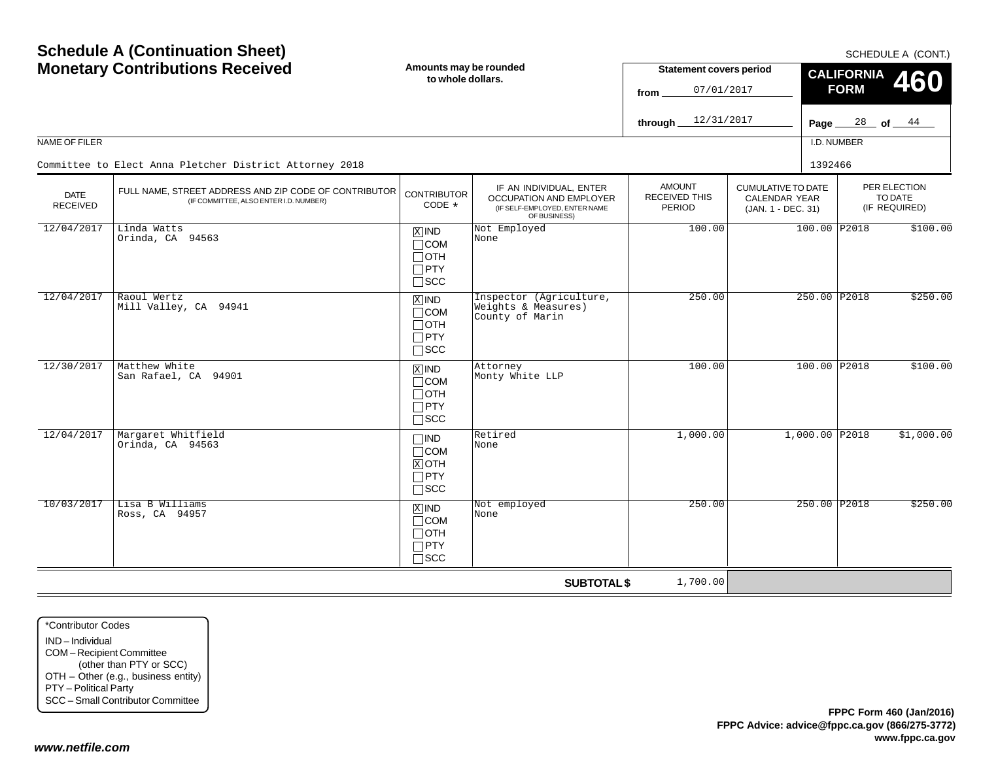|                                | <b>Schedule A (Continuation Sheet)</b><br><b>Monetary Contributions Received</b>                | Amounts may be rounded                                             |                                                                                                            | <b>Statement covers period</b>                  |                                                                         |               | <b>CALIFORNIA</b>                        | SCHEDULE A (CONT.) |              |          |
|--------------------------------|-------------------------------------------------------------------------------------------------|--------------------------------------------------------------------|------------------------------------------------------------------------------------------------------------|-------------------------------------------------|-------------------------------------------------------------------------|---------------|------------------------------------------|--------------------|--------------|----------|
|                                |                                                                                                 | to whole dollars.                                                  |                                                                                                            | 07/01/2017<br>from                              |                                                                         |               | <b>FORM</b>                              | 460                |              |          |
|                                |                                                                                                 |                                                                    |                                                                                                            | 12/31/2017<br>through                           |                                                                         | Page $\equiv$ |                                          | $28$ of $44$       |              |          |
| NAME OF FILER                  |                                                                                                 |                                                                    |                                                                                                            |                                                 |                                                                         | I.D. NUMBER   |                                          |                    |              |          |
|                                | Committee to Elect Anna Pletcher District Attorney 2018                                         |                                                                    |                                                                                                            |                                                 |                                                                         | 1392466       |                                          |                    |              |          |
| <b>DATE</b><br><b>RECEIVED</b> | FULL NAME, STREET ADDRESS AND ZIP CODE OF CONTRIBUTOR<br>(IF COMMITTEE, ALSO ENTER I.D. NUMBER) | <b>CONTRIBUTOR</b><br>CODE *                                       | IF AN INDIVIDUAL, ENTER<br><b>OCCUPATION AND EMPLOYER</b><br>(IF SELF-EMPLOYED, ENTER NAME<br>OF BUSINESS) | <b>AMOUNT</b><br><b>RECEIVED THIS</b><br>PERIOD | <b>CUMULATIVE TO DATE</b><br><b>CALENDAR YEAR</b><br>(JAN. 1 - DEC. 31) |               | PER ELECTION<br>TO DATE<br>(IF REQUIRED) |                    |              |          |
| 12/04/2017                     | Linda Watts<br>Orinda, CA 94563                                                                 | $X$ IND<br>$\Box$ COM<br>⊟отн<br>$\Box$ PTY<br>$\square$ SCC       | Not Employed<br>None                                                                                       | 100.00                                          |                                                                         |               |                                          |                    | 100.00 P2018 | \$100.00 |
| 12/04/2017                     | Raoul Wertz<br>Mill Valley, CA 94941                                                            | $X$ IND<br>$\Box$ COM<br>$\Box$ OTH<br>$\Box$ PTY<br>$\Box$ scc    | Inspector (Agriculture,<br>Weights & Measures)<br>County of Marin                                          | 250.00                                          |                                                                         |               | 250.00 P2018                             | \$250.00           |              |          |
| 12/30/2017                     | Matthew White<br>San Rafael, CA 94901                                                           | $X$ IND<br>$\Box$ COM<br>$\Box$ OTH<br>$\Box$ PTY<br>$\Box$ scc    | Attorney<br>Monty White LLP                                                                                | 100.00                                          |                                                                         |               | 100.00 P2018                             | \$100.00           |              |          |
| 12/04/2017                     | Margaret Whitfield<br>Orinda, CA 94563                                                          | $\Box$ IND<br>$\Box$ COM<br>$X$ OTH<br>$\Box$ PTY<br>$\square$ scc | Retired<br>None                                                                                            | 1,000.00                                        |                                                                         |               | 1,000.00 P2018                           | \$1,000.00         |              |          |
| 10/03/2017                     | Lisa B Williams<br>Ross, CA 94957                                                               | $X$ IND<br>$\Box$ COM<br>$\Box$ OTH<br>$\Box$ PTY<br>$\sqcap$ scc  | Not employed<br>None                                                                                       | 250.00                                          |                                                                         |               | 250.00 P2018                             | \$250.00           |              |          |
|                                |                                                                                                 |                                                                    | <b>SUBTOTAL \$</b>                                                                                         | 1,700.00                                        |                                                                         |               |                                          |                    |              |          |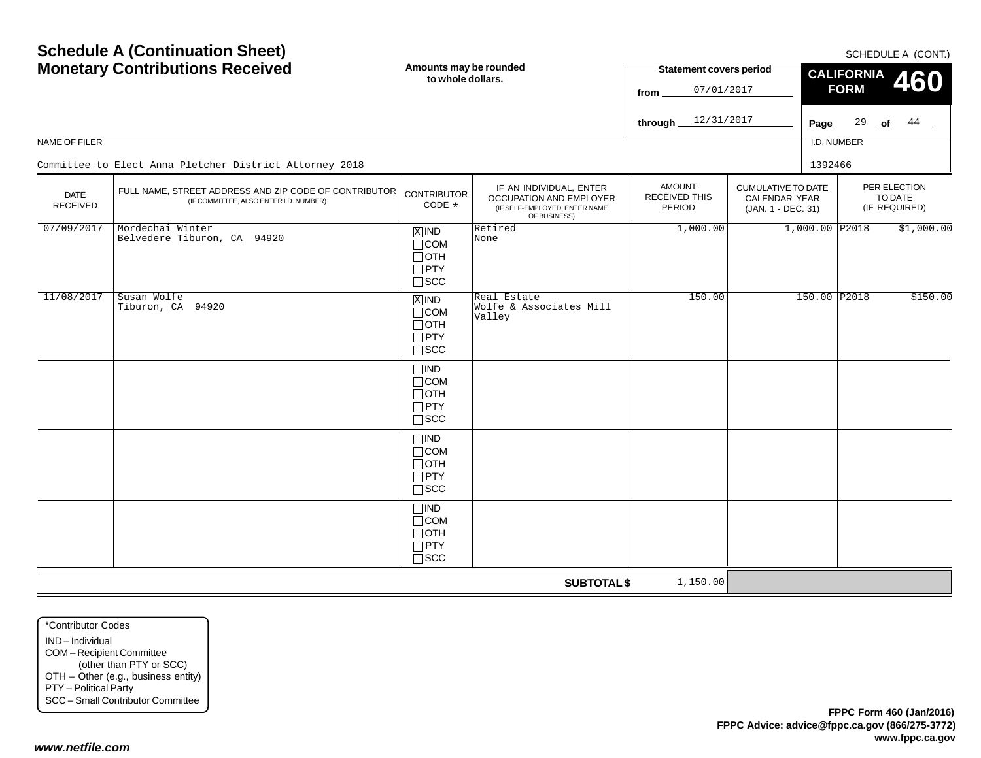| NAME OF FILER                  | <b>Schedule A (Continuation Sheet)</b><br><b>Monetary Contributions Received</b><br>Committee to Elect Anna Pletcher District Attorney 2018 |                                                                                | Amounts may be rounded<br>to whole dollars.                                                         | <b>Statement covers period</b><br>07/01/2017<br>from<br>12/31/2017<br>through.<br>Page $\_$ |                                                                         |                  | SCHEDULE A (CONT.)<br><b>CALIFORNIA</b><br>460<br><b>FORM</b><br>$\frac{29}{ }$ of $\frac{44}{ }$<br>I.D. NUMBER |                                          |  |
|--------------------------------|---------------------------------------------------------------------------------------------------------------------------------------------|--------------------------------------------------------------------------------|-----------------------------------------------------------------------------------------------------|---------------------------------------------------------------------------------------------|-------------------------------------------------------------------------|------------------|------------------------------------------------------------------------------------------------------------------|------------------------------------------|--|
|                                |                                                                                                                                             |                                                                                |                                                                                                     |                                                                                             |                                                                         | 1392466          |                                                                                                                  |                                          |  |
| <b>DATE</b><br><b>RECEIVED</b> | FULL NAME, STREET ADDRESS AND ZIP CODE OF CONTRIBUTOR<br>(IF COMMITTEE, ALSO ENTER I.D. NUMBER)                                             | <b>CONTRIBUTOR</b><br>CODE *                                                   | IF AN INDIVIDUAL, ENTER<br>OCCUPATION AND EMPLOYER<br>(IF SELF-EMPLOYED, ENTER NAME<br>OF BUSINESS) | <b>AMOUNT</b><br><b>RECEIVED THIS</b><br><b>PERIOD</b>                                      | <b>CUMULATIVE TO DATE</b><br><b>CALENDAR YEAR</b><br>(JAN. 1 - DEC. 31) |                  |                                                                                                                  | PER ELECTION<br>TO DATE<br>(IF REQUIRED) |  |
| 07/09/2017                     | Mordechai Winter<br>Belvedere Tiburon, CA 94920                                                                                             | $\boxed{\text{X}}$ IND<br>$\Box$ COM<br>$\Box$ OTH<br>$\Box$ PTY<br>$\Box$ scc | Retired<br>None                                                                                     | 1,000.00                                                                                    |                                                                         | $1,000.00$ P2018 |                                                                                                                  | \$1,000.00                               |  |
| 11/08/2017                     | Susan Wolfe<br>Tiburon, CA 94920                                                                                                            | $X$ IND<br>$\Box$ COM<br>$\Box$ OTH<br>$\Box$ PTY<br>$\square$ SCC             | Real Estate<br>Wolfe & Associates Mill<br>Valley                                                    | 150.00                                                                                      |                                                                         | 150.00 P2018     |                                                                                                                  | \$150.00                                 |  |
|                                |                                                                                                                                             | $\Box$ IND<br>$\Box$ COM<br>$\Box$ OTH<br>$\Box$ PTY<br>$\square$ SCC          |                                                                                                     |                                                                                             |                                                                         |                  |                                                                                                                  |                                          |  |
|                                |                                                                                                                                             | $\Box$ IND<br>$\Box$ COM<br>$\Box$ OTH<br>$\Box$ PTY<br>$\square$ SCC          |                                                                                                     |                                                                                             |                                                                         |                  |                                                                                                                  |                                          |  |
|                                |                                                                                                                                             | $\square$ IND<br>$\Box$ COM<br>$\Box$ OTH<br>$\Box$ PTY<br>$\Box$ scc          |                                                                                                     |                                                                                             |                                                                         |                  |                                                                                                                  |                                          |  |
|                                |                                                                                                                                             |                                                                                | <b>SUBTOTAL \$</b>                                                                                  | 1,150.00                                                                                    |                                                                         |                  |                                                                                                                  |                                          |  |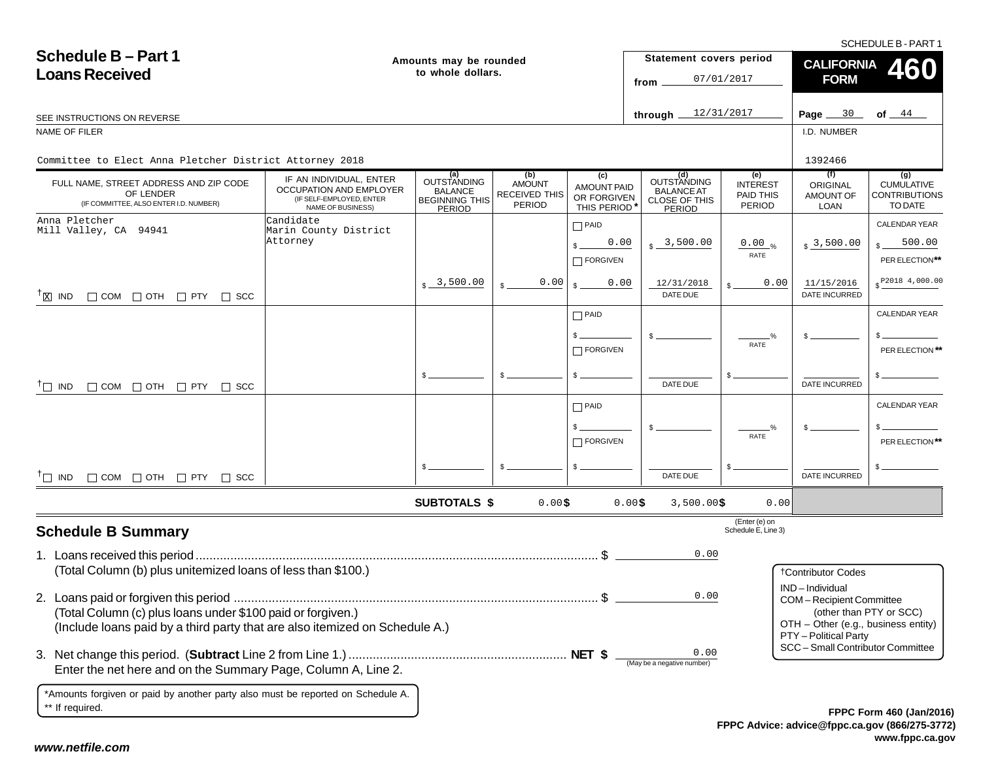SCHEDULE B - PART 1

| <b>Schedule B-Part 1</b><br><b>Loans Received</b>                                                                                                                                                          |                                                                                                     | Amounts may be rounded<br>to whole dollars.                                    |                                                               |                                                         | Statement covers period<br>from                                           | 07/01/2017                                                                                                                                    | <b>CALIFORNIA</b><br><b>FORM</b>            | 460                                                         |
|------------------------------------------------------------------------------------------------------------------------------------------------------------------------------------------------------------|-----------------------------------------------------------------------------------------------------|--------------------------------------------------------------------------------|---------------------------------------------------------------|---------------------------------------------------------|---------------------------------------------------------------------------|-----------------------------------------------------------------------------------------------------------------------------------------------|---------------------------------------------|-------------------------------------------------------------|
| SEE INSTRUCTIONS ON REVERSE                                                                                                                                                                                |                                                                                                     |                                                                                |                                                               |                                                         | through $12/31/2017$                                                      |                                                                                                                                               | Page $30$                                   | of $ 44$                                                    |
| NAME OF FILER                                                                                                                                                                                              |                                                                                                     |                                                                                |                                                               |                                                         |                                                                           |                                                                                                                                               | I.D. NUMBER                                 |                                                             |
| Committee to Elect Anna Pletcher District Attorney 2018                                                                                                                                                    |                                                                                                     |                                                                                |                                                               |                                                         |                                                                           |                                                                                                                                               | 1392466                                     |                                                             |
| FULL NAME, STREET ADDRESS AND ZIP CODE<br>OF LENDER<br>(IF COMMITTEE, ALSO ENTER I.D. NUMBER)                                                                                                              | IF AN INDIVIDUAL, ENTER<br>OCCUPATION AND EMPLOYER<br>(IF SELF-EMPLOYED, ENTER<br>NAME OF BUSINESS) | (a)<br>OUTSTANDING<br><b>BALANCE</b><br><b>BEGINNING THIS</b><br><b>PERIOD</b> | (b)<br><b>AMOUNT</b><br><b>RECEIVED THIS</b><br><b>PERIOD</b> | (c)<br><b>AMOUNT PAID</b><br>OR FORGIVEN<br>THIS PERIOD | (d)<br>OUTSTANDING<br><b>BALANCE AT</b><br><b>CLOSE OF THIS</b><br>PERIOD | (e)<br><b>INTEREST</b><br>PAID THIS<br>PERIOD                                                                                                 | (f)<br>ORIGINAL<br>AMOUNT OF<br><b>LOAN</b> | (g)<br><b>CUMULATIVE</b><br><b>CONTRIBUTIONS</b><br>TO DATE |
| Anna Pletcher<br>Mill Valley, CA 94941                                                                                                                                                                     | Candidate<br>Marin County District<br>Attorney                                                      |                                                                                |                                                               | $\Box$ PAID<br>0.00<br>$\Box$ FORGIVEN                  | 3,500.00                                                                  | $0.00_{\%}$<br>RATE                                                                                                                           | $\frac{1}{2}$ 3,500.00                      | CALENDAR YEAR<br>500.00<br>PER ELECTION**                   |
| $^{\dagger}$ $\boxtimes$ IND $\Box$ COM $\Box$ OTH $\Box$ PTY $\Box$ SCC                                                                                                                                   |                                                                                                     | $s - 3,500.00$                                                                 | 0.00                                                          | 0.00                                                    | 12/31/2018<br>DATE DUE                                                    | 0.00                                                                                                                                          | 11/15/2016<br><b>DATE INCURRED</b>          | $$^{P2018}$ 4,000.00                                        |
|                                                                                                                                                                                                            |                                                                                                     |                                                                                |                                                               | $\Box$ PAID<br>$\Box$ FORGIVEN                          |                                                                           | $\frac{9}{6}$<br>RATE                                                                                                                         |                                             | <b>CALENDAR YEAR</b><br>PER ELECTION **                     |
| $\Box$ COM $\Box$ OTH $\Box$ PTY $\Box$ SCC<br>$\top$ IND                                                                                                                                                  |                                                                                                     | $s =$                                                                          | \$.                                                           | $\mathsf{s}$ .                                          | DATE DUE                                                                  |                                                                                                                                               | DATE INCURRED                               |                                                             |
|                                                                                                                                                                                                            |                                                                                                     |                                                                                |                                                               | $\Box$ PAID<br>$\Box$ FORGIVEN                          |                                                                           | RATE                                                                                                                                          |                                             | <b>CALENDAR YEAR</b><br>PER ELECTION**                      |
| $\Box$ COM $\Box$ OTH $\Box$ PTY $\Box$ SCC<br>$T\Box$ IND                                                                                                                                                 |                                                                                                     |                                                                                |                                                               |                                                         | DATE DUE                                                                  |                                                                                                                                               | DATE INCURRED                               |                                                             |
|                                                                                                                                                                                                            |                                                                                                     | <b>SUBTOTALS \$</b>                                                            | 0.00\$                                                        |                                                         | 0.00\$<br>$3,500.00$ \$                                                   | 0.00                                                                                                                                          |                                             |                                                             |
| <b>Schedule B Summary</b>                                                                                                                                                                                  |                                                                                                     |                                                                                |                                                               |                                                         |                                                                           | (Enter (e) on<br>Schedule E, Line 3)                                                                                                          |                                             |                                                             |
|                                                                                                                                                                                                            |                                                                                                     |                                                                                |                                                               |                                                         | 0.00                                                                      |                                                                                                                                               |                                             |                                                             |
| (Total Column (b) plus unitemized loans of less than \$100.)<br>(Total Column (c) plus loans under \$100 paid or forgiven.)<br>(Include loans paid by a third party that are also itemized on Schedule A.) |                                                                                                     |                                                                                |                                                               | 0.00                                                    |                                                                           | <b>†Contributor Codes</b><br>IND-Individual<br><b>COM-Recipient Committee</b><br>OTH - Other (e.g., business entity)<br>PTY - Political Party | (other than PTY or SCC)                     |                                                             |
| Enter the net here and on the Summary Page, Column A, Line 2.                                                                                                                                              |                                                                                                     |                                                                                |                                                               |                                                         | 0.00<br>(May be a negative number)                                        |                                                                                                                                               | SCC - Small Contributor Committee           |                                                             |
| *Amounts forgiven or paid by another party also must be reported on Schedule A.<br>** If required.                                                                                                         |                                                                                                     |                                                                                |                                                               |                                                         |                                                                           |                                                                                                                                               |                                             | EPPC Form 460 (Jan/201)                                     |

**FPPC Advice: advice@fppc.ca.gov (866/275-3772) www.fppc.ca.gov FPPC Form 460 (Jan/2016)**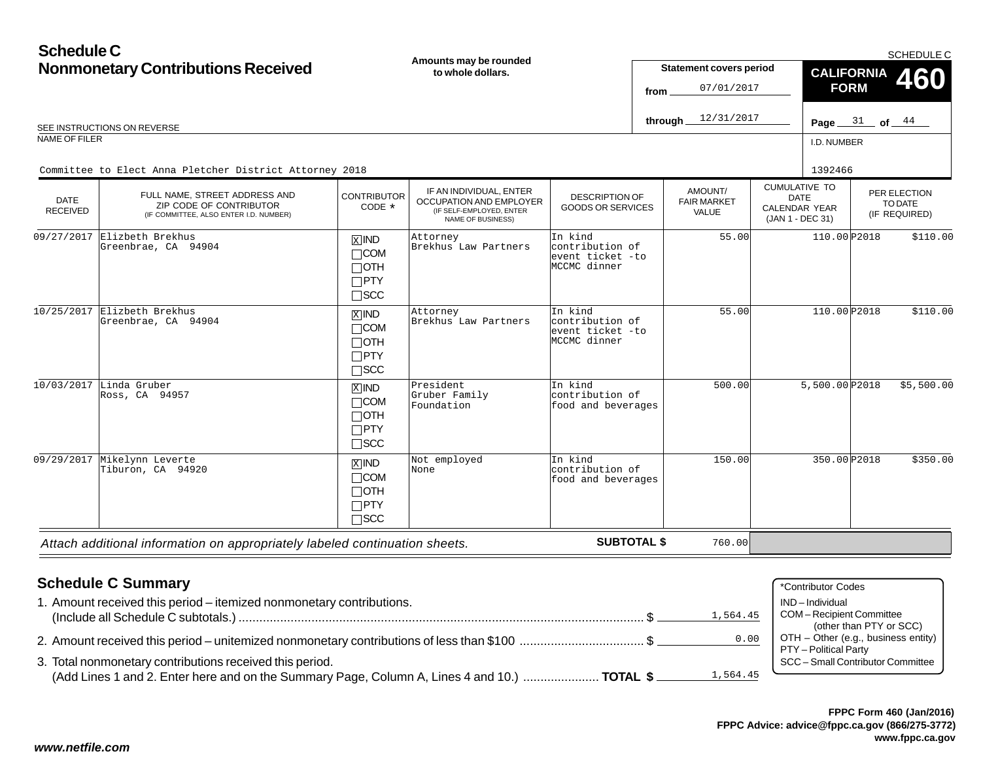## **Schedule CNonmonetary Contributions Received**

| <b>Nonmonetary Contributions Received</b> |                                                                                                    |                                                                               | Amounts may be rounded<br>to whole dollars.                                                         |                                                                | <b>Statement covers period</b><br>07/01/2017<br>from                                 |            |  | <b>CALIFORNIA</b><br><b>FORM</b>                                                           |                                          | <b>SUMEDULE U</b> |
|-------------------------------------------|----------------------------------------------------------------------------------------------------|-------------------------------------------------------------------------------|-----------------------------------------------------------------------------------------------------|----------------------------------------------------------------|--------------------------------------------------------------------------------------|------------|--|--------------------------------------------------------------------------------------------|------------------------------------------|-------------------|
|                                           | SEE INSTRUCTIONS ON REVERSE                                                                        |                                                                               |                                                                                                     |                                                                | through.                                                                             | 12/31/2017 |  | Page $31$ of $44$                                                                          |                                          |                   |
| <b>NAME OF FILER</b>                      |                                                                                                    |                                                                               |                                                                                                     |                                                                |                                                                                      |            |  | I.D. NUMBER                                                                                |                                          |                   |
|                                           | Committee to Elect Anna Pletcher District Attorney 2018                                            |                                                                               |                                                                                                     |                                                                |                                                                                      |            |  | 1392466                                                                                    |                                          |                   |
| <b>DATE</b><br><b>RECEIVED</b>            | FULL NAME, STREET ADDRESS AND<br>ZIP CODE OF CONTRIBUTOR<br>(IF COMMITTEE, ALSO ENTER I.D. NUMBER) | <b>CONTRIBUTOR</b><br>CODE $*$                                                | IF AN INDIVIDUAL, ENTER<br>OCCUPATION AND EMPLOYER<br>(IF SELF-EMPLOYED, ENTER<br>NAME OF BUSINESS) |                                                                | AMOUNT/<br>DESCRIPTION OF<br><b>FAIR MARKET</b><br><b>GOODS OR SERVICES</b><br>VALUE |            |  | <b>CUMULATIVE TO</b><br><b>DATE</b><br><b>CALENDAR YEAR</b><br>(JAN 1 - DEC 31)            | PER ELECTION<br>TO DATE<br>(IF REQUIRED) |                   |
| 09/27/2017                                | Elizbeth Brekhus<br>Greenbrae, CA 94904                                                            | $\overline{X}$ IND<br>$\Box$ COM<br>$\Box$ OTH<br>$\Box$ PTY<br>$\square$ SCC | Attorney<br>Brekhus Law Partners                                                                    | In kind<br>contribution of<br>event ticket -to<br>MCCMC dinner |                                                                                      | 55.00      |  | 110.00 P2018                                                                               |                                          | \$110.00          |
|                                           | $10/25/2017$ Elizbeth Brekhus<br>Greenbrae, CA 94904                                               | $X$ IND<br>$\Box$ COM<br>$\Box$ OTH<br>$\Box$ PTY<br>$\square$ SCC            | Attorney<br>Brekhus Law Partners                                                                    | In kind<br>contribution of<br>event ticket -to<br>MCCMC dinner |                                                                                      | 55.00      |  | 110.00 P2018                                                                               |                                          | \$110.00          |
|                                           | 10/03/2017 Linda Gruber<br>Ross, CA 94957                                                          | $X$ IND<br>$\Box$ COM<br>$\Box$ OTH<br>$\Box$ PTY<br>$\square$ scc            | President<br>Gruber Family<br>Foundation                                                            | In kind<br>contribution of<br>food and beverages               |                                                                                      | 500.00     |  | 5,500.00 P2018                                                                             |                                          | \$5,500.00        |
| 09/29/2017                                | Mikelynn Leverte<br>Tiburon, CA 94920                                                              | $X$ IND<br>$\Box$ COM<br>$\Box$ OTH<br>$\Box$ PTY<br>$\Box$ SCC               | Not employed<br>None                                                                                | In kind<br>contribution of<br>food and beverages               |                                                                                      | 150.00     |  | 350.00 P2018                                                                               |                                          | \$350.00          |
|                                           | Attach additional information on appropriately labeled continuation sheets.                        |                                                                               |                                                                                                     | <b>SUBTOTAL \$</b>                                             |                                                                                      | 760.00     |  |                                                                                            |                                          |                   |
|                                           | <b>Schedule C Summary</b><br>1. Amount received this period - itemized nonmonetary contributions.  |                                                                               |                                                                                                     |                                                                |                                                                                      | 1,564.45   |  | *Contributor Codes<br>IND-Individual<br>COM-Recipient Committee<br>(other than PTY or SCC) |                                          |                   |

2. Amount received this period – unitemized nonmonetary contributions of less than \$100 .................................... \$

3. Total nonmonetary contributions received this period. (Add Lines 1 and 2. Enter here and on the Summary Page, Column A, Lines 4 and 10.) ...................... **TOTAL \$** 1,564.45



 $OTH - O$ ther (e.g., business entity)

0.00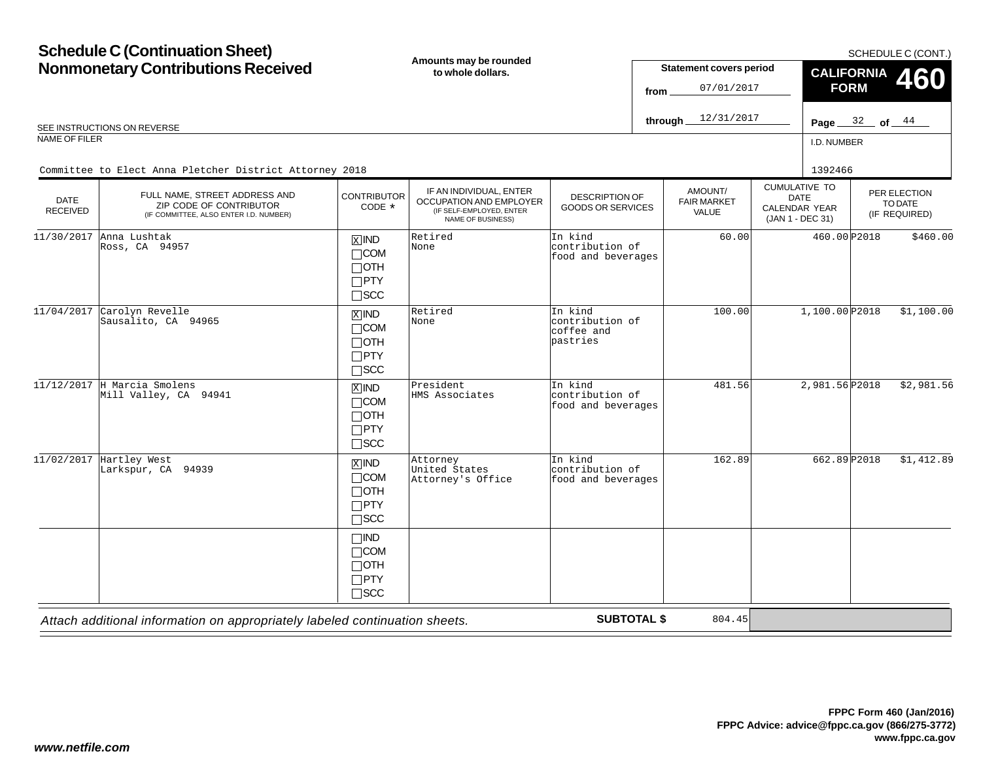# **Schedule C (Continuation Sheet)**

**Amounts may be rounded**

| <b>Nonmonetary Contributions Received</b> |                                                                                                    |                                                                    | Amounts may be rounded<br>to whole dollars.                                                         |                                                      | <b>Statement covers period</b><br>07/01/2017<br>from |                                        | <b>CALIFORNIA</b><br><b>FORM</b>                                                | 460               |                                          |
|-------------------------------------------|----------------------------------------------------------------------------------------------------|--------------------------------------------------------------------|-----------------------------------------------------------------------------------------------------|------------------------------------------------------|------------------------------------------------------|----------------------------------------|---------------------------------------------------------------------------------|-------------------|------------------------------------------|
|                                           | SEE INSTRUCTIONS ON REVERSE                                                                        |                                                                    |                                                                                                     |                                                      | through_                                             | 12/31/2017                             |                                                                                 | Page $32$ of $44$ |                                          |
| NAME OF FILER                             |                                                                                                    |                                                                    |                                                                                                     |                                                      |                                                      |                                        |                                                                                 | I.D. NUMBER       |                                          |
|                                           | Committee to Elect Anna Pletcher District Attorney 2018                                            |                                                                    |                                                                                                     |                                                      |                                                      |                                        |                                                                                 | 1392466           |                                          |
| <b>DATE</b><br><b>RECEIVED</b>            | FULL NAME, STREET ADDRESS AND<br>ZIP CODE OF CONTRIBUTOR<br>(IF COMMITTEE, ALSO ENTER I.D. NUMBER) | <b>CONTRIBUTOR</b><br>CODE $*$                                     | IF AN INDIVIDUAL, ENTER<br>OCCUPATION AND EMPLOYER<br>(IF SELF-EMPLOYED, ENTER<br>NAME OF BUSINESS) | DESCRIPTION OF<br><b>GOODS OR SERVICES</b>           |                                                      | AMOUNT/<br><b>FAIR MARKET</b><br>VALUE | <b>CUMULATIVE TO</b><br><b>DATE</b><br><b>CALENDAR YEAR</b><br>(JAN 1 - DEC 31) |                   | PER ELECTION<br>TO DATE<br>(IF REQUIRED) |
| 11/30/2017                                | Anna Lushtak<br>Ross, CA 94957                                                                     | $X$ IND<br>$\Box$ COM<br>$\Box$ OTH<br>$\Box$ PTY<br>$\square$ SCC | Retired<br>None                                                                                     | In kind<br>contribution of<br>food and beverages     |                                                      | 60.00                                  |                                                                                 | 460.00 P2018      | \$460.00                                 |
| 11/04/2017                                | Carolyn Revelle<br>Sausalito, CA 94965                                                             | $X$ IND<br>$\Box$ COM<br>$\Box$ OTH<br>$\Box$ PTY<br>$\square$ SCC | Retired<br>None                                                                                     | In kind<br>contribution of<br>coffee and<br>pastries |                                                      | 100.00                                 |                                                                                 | 1,100.00 P2018    | \$1,100.00                               |
|                                           | $11/12/2017$ H Marcia Smolens<br>Mill Valley, CA 94941                                             | $X$ IND<br>$\Box$ COM<br>$\Box$ OTH<br>$\Box$ PTY<br>$\Box$ SCC    | President<br>HMS Associates                                                                         | In kind<br>contribution of<br>food and beverages     |                                                      | 481.56                                 |                                                                                 | 2,981.56 P2018    | \$2,981.56                               |
|                                           | $11/02/2017$ Hartley West<br>Larkspur, CA 94939                                                    | $X$ IND<br>$\Box$ COM<br>$\Box$ OTH<br>$\Box$ PTY<br>$\Box$ scc    | Attorney<br>United States<br>Attorney's Office                                                      | In kind<br>contribution of<br>food and beverages     |                                                      | 162.89                                 |                                                                                 | 662.89 P2018      | \$1,412.89                               |
|                                           |                                                                                                    | $\Box$ IND<br>$\Box$ COM<br>$\Box$ OTH<br>$\Box$ PTY<br>$\Box$ scc |                                                                                                     |                                                      |                                                      |                                        |                                                                                 |                   |                                          |
|                                           | Attach additional information on appropriately labeled continuation sheets.                        |                                                                    |                                                                                                     | <b>SUBTOTAL \$</b>                                   |                                                      | 804.45                                 |                                                                                 |                   |                                          |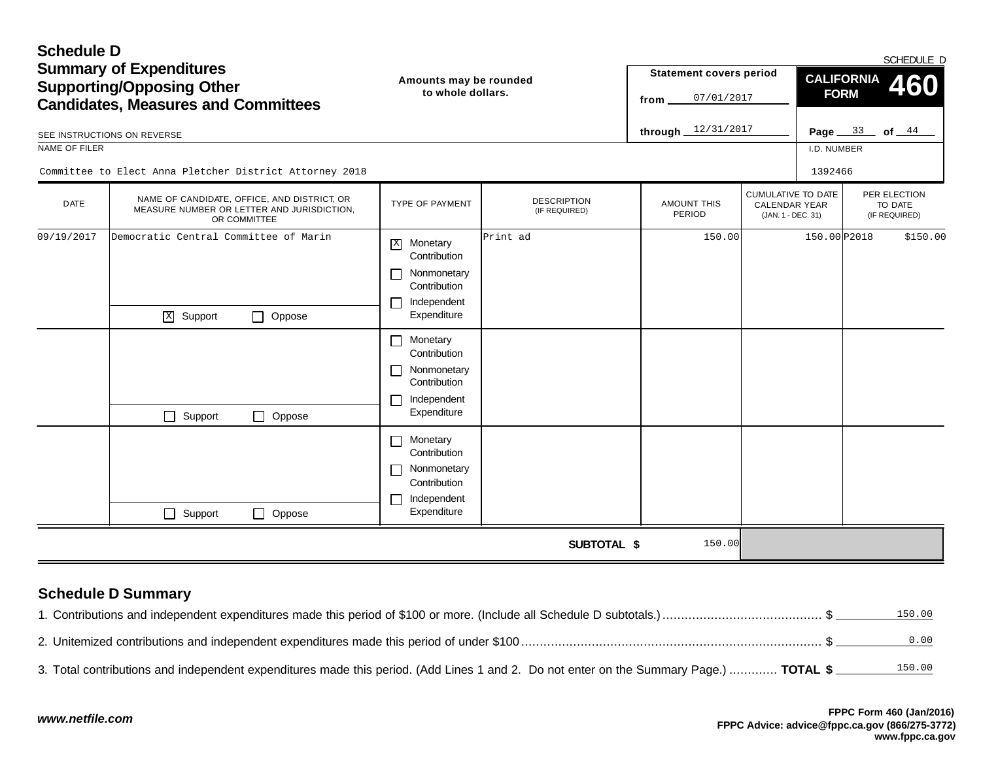| <b>Schedule D</b><br>NAME OF FILER | <b>Summary of Expenditures</b><br><b>Supporting/Opposing Other</b><br><b>Candidates, Measures and Committees</b><br>SEE INSTRUCTIONS ON REVERSE | Amounts may be rounded<br>to whole dollars.                                                                                                                                                                              |                                     | <b>Statement covers period</b><br>07/01/2017<br>from<br>through $12/31/2017$ |                                                                         | <b>CALIFORNIA</b><br><b>FORM</b><br>I.D. NUMBER | SCHEDULE D<br>460<br>Page $33$ of $44$   |
|------------------------------------|-------------------------------------------------------------------------------------------------------------------------------------------------|--------------------------------------------------------------------------------------------------------------------------------------------------------------------------------------------------------------------------|-------------------------------------|------------------------------------------------------------------------------|-------------------------------------------------------------------------|-------------------------------------------------|------------------------------------------|
|                                    | Committee to Elect Anna Pletcher District Attorney 2018                                                                                         |                                                                                                                                                                                                                          |                                     |                                                                              |                                                                         | 1392466                                         |                                          |
| <b>DATE</b>                        | NAME OF CANDIDATE, OFFICE, AND DISTRICT, OR<br>MEASURE NUMBER OR LETTER AND JURISDICTION,<br>OR COMMITTEE                                       | TYPE OF PAYMENT                                                                                                                                                                                                          | <b>DESCRIPTION</b><br>(IF REQUIRED) | <b>AMOUNT THIS</b><br>PERIOD                                                 | <b>CUMULATIVE TO DATE</b><br><b>CALENDAR YEAR</b><br>(JAN. 1 - DEC. 31) |                                                 | PER ELECTION<br>TO DATE<br>(IF REQUIRED) |
| 09/19/2017                         | Democratic Central Committee of Marin<br>$X$ Support<br>$\Box$ Oppose<br>$\Box$ Support<br>Oppose<br>$\Box$                                     | Monetary<br>$\mathbf{X}$<br>Contribution<br>Nonmonetary<br>Contribution<br>Independent<br>Expenditure<br>Monetary<br>$\Box$<br>Contribution<br>Nonmonetary<br>$\mathbf{I}$<br>Contribution<br>Independent<br>Expenditure | Print ad                            | 150.00                                                                       |                                                                         | 150.00 P2018                                    | \$150.00                                 |
|                                    | $\Box$ Support<br>Oppose<br>$\Box$                                                                                                              | Monetary<br>$\mathbf{I}$<br>Contribution<br>Nonmonetary<br>Contribution<br>Independent<br>$\mathbf{I}$<br>Expenditure                                                                                                    |                                     |                                                                              |                                                                         |                                                 |                                          |
|                                    |                                                                                                                                                 |                                                                                                                                                                                                                          | <b>SUBTOTAL \$</b>                  | 150.00                                                                       |                                                                         |                                                 |                                          |

## **Schedule D Summary**

|                                                                                                                                        | 150.00 |
|----------------------------------------------------------------------------------------------------------------------------------------|--------|
|                                                                                                                                        | 0.00   |
| 3. Total contributions and independent expenditures made this period. (Add Lines 1 and 2. Do not enter on the Summary Page.)  TOTAL \$ |        |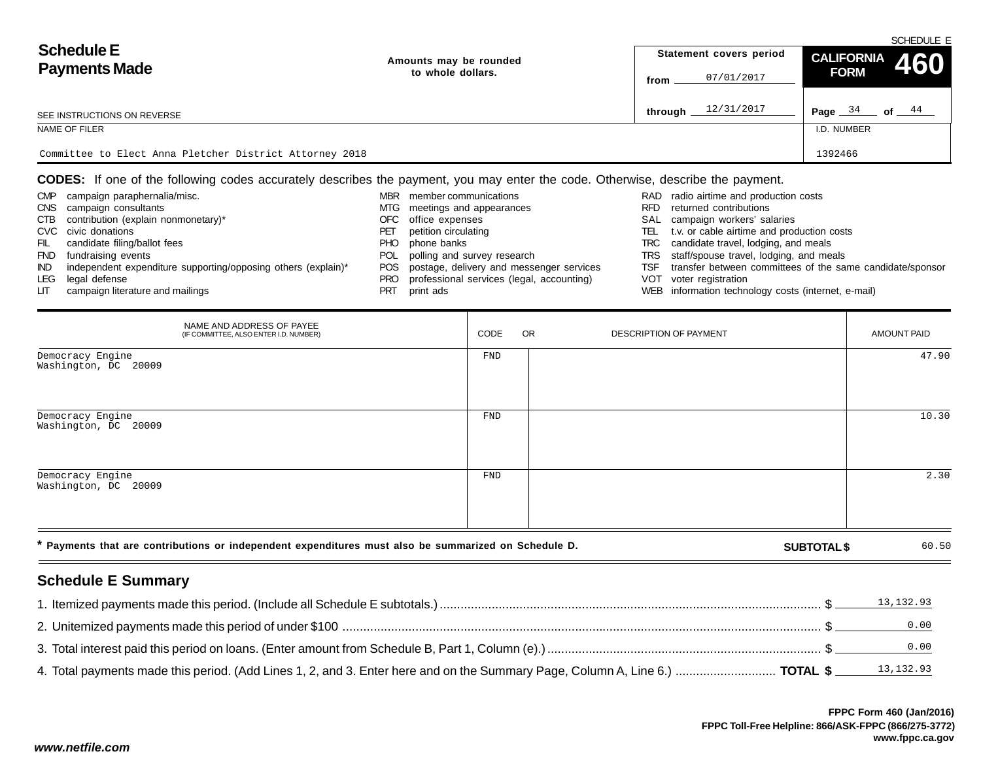|                                                         |                        | SCHEDULE E |                         |                                       |  |  |  |  |
|---------------------------------------------------------|------------------------|------------|-------------------------|---------------------------------------|--|--|--|--|
| <b>Schedule E</b>                                       | Amounts may be rounded |            | Statement covers period | CALIFORNIA 460                        |  |  |  |  |
| <b>Payments Made</b>                                    | to whole dollars.      | from       | 07/01/2017              | <b>FORM</b>                           |  |  |  |  |
| SEE INSTRUCTIONS ON REVERSE                             |                        | through    | 12/31/2017              | Page $\frac{34}{ }$ of $\frac{44}{ }$ |  |  |  |  |
| NAME OF FILER                                           |                        |            |                         | I.D. NUMBER                           |  |  |  |  |
|                                                         |                        |            |                         |                                       |  |  |  |  |
| Committee to Elect Anna Pletcher District Attorney 2018 |                        |            |                         | 1392466                               |  |  |  |  |
|                                                         |                        |            |                         |                                       |  |  |  |  |

**CODES:** If one of the following codes accurately describes the payment, you may enter the code. Otherwise, describe the payment.

| <b>CMP</b> | campaign paraphernalia/misc.                                  | MBR  | member communications                         |      | RAD radio airtime and production costs                    |
|------------|---------------------------------------------------------------|------|-----------------------------------------------|------|-----------------------------------------------------------|
| <b>CNS</b> | campaign consultants                                          | MTG  | meetings and appearances                      | RFD. | returned contributions                                    |
| CTB        | contribution (explain nonmonetary)*                           | OFC. | office expenses                               |      | SAL campaign workers' salaries                            |
|            | CVC civic donations                                           |      | petition circulating                          | TEL  | t.v. or cable airtime and production costs                |
| FIL.       | candidate filing/ballot fees                                  | PHO  | phone banks                                   |      | TRC candidate travel, lodging, and meals                  |
| <b>FND</b> | fundraising events                                            |      | POL polling and survey research               |      | TRS staff/spouse travel, lodging, and meals               |
| IND.       | independent expenditure supporting/opposing others (explain)* |      | POS postage, delivery and messenger services  | TSF. | transfer between committees of the same candidate/sponsor |
| LEG        | legal defense                                                 |      | PRO professional services (legal, accounting) |      | VOT voter registration                                    |
| LIT .      | campaign literature and mailings                              | PRT  | print ads                                     |      | WEB information technology costs (internet, e-mail)       |

| NAME AND ADDRESS OF PAYEE<br>(IF COMMITTEE, ALSO ENTER I.D. NUMBER)                                  | CODE       | <b>OR</b> | DESCRIPTION OF PAYMENT |                    | AMOUNT PAID |
|------------------------------------------------------------------------------------------------------|------------|-----------|------------------------|--------------------|-------------|
| Democracy Engine<br>Washington, DC 20009                                                             | FND        |           |                        |                    | 47.90       |
| Democracy Engine<br>Washington, DC 20009                                                             | <b>FND</b> |           |                        |                    | 10.30       |
| Democracy Engine<br>Washington, DC 20009                                                             | <b>FND</b> |           |                        |                    | 2.30        |
| * Payments that are contributions or independent expenditures must also be summarized on Schedule D. |            |           |                        | <b>SUBTOTAL \$</b> | 60.50       |

## **Schedule E Summary**

| 13,132.93         |
|-------------------|
| $\overline{0.00}$ |
| 0.00              |
|                   |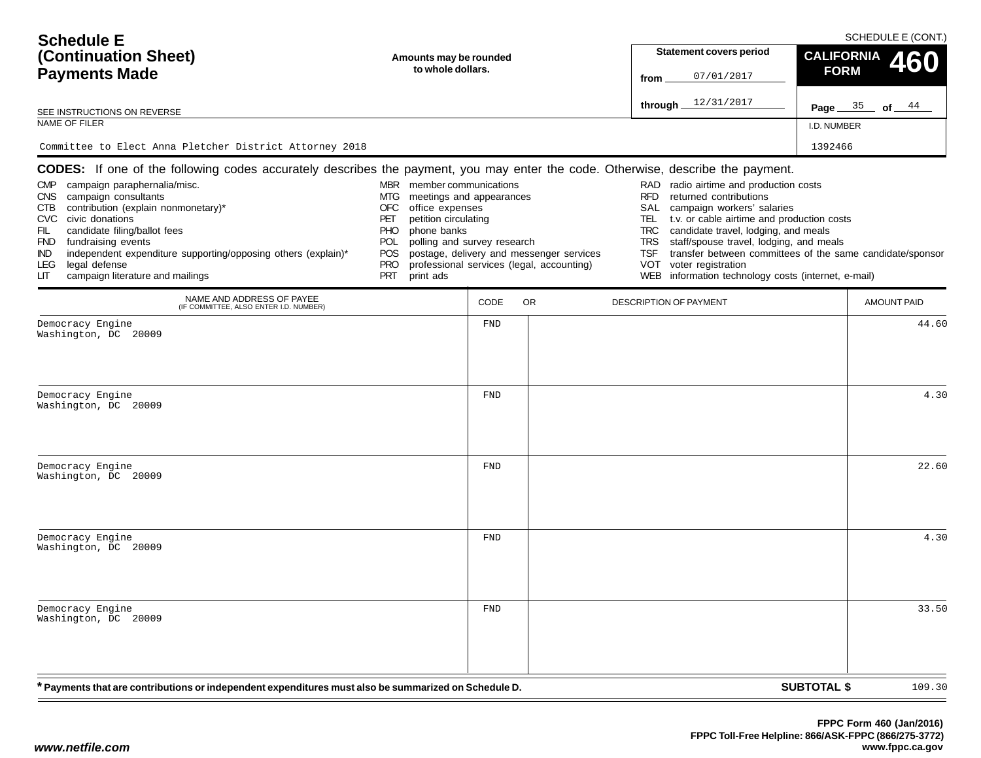| <b>Schedule E</b><br>(Continuation Sheet)<br><b>Payments Made</b><br>SEE INSTRUCTIONS ON REVERSE<br>NAME OF FILER                                                                                                                                                                                                                                                                                                                                                                                 | Amounts may be rounded<br>to whole dollars.                                                                                                                                                                                               |                   |                                                                                       | from                                                                              | Statement covers period<br>07/01/2017<br>through 12/31/2017                                                                                                                                                                                                                                                                                                       | SCHEDULE E (CONT.)<br><b>CALIFORNIA</b><br>460<br><b>FORM</b><br>Page $35$ of $44$<br>I.D. NUMBER |                    |  |  |  |
|---------------------------------------------------------------------------------------------------------------------------------------------------------------------------------------------------------------------------------------------------------------------------------------------------------------------------------------------------------------------------------------------------------------------------------------------------------------------------------------------------|-------------------------------------------------------------------------------------------------------------------------------------------------------------------------------------------------------------------------------------------|-------------------|---------------------------------------------------------------------------------------|-----------------------------------------------------------------------------------|-------------------------------------------------------------------------------------------------------------------------------------------------------------------------------------------------------------------------------------------------------------------------------------------------------------------------------------------------------------------|---------------------------------------------------------------------------------------------------|--------------------|--|--|--|
| Committee to Elect Anna Pletcher District Attorney 2018                                                                                                                                                                                                                                                                                                                                                                                                                                           |                                                                                                                                                                                                                                           |                   |                                                                                       |                                                                                   |                                                                                                                                                                                                                                                                                                                                                                   | 1392466                                                                                           |                    |  |  |  |
| CODES: If one of the following codes accurately describes the payment, you may enter the code. Otherwise, describe the payment.<br>campaign paraphernalia/misc.<br><b>CMP</b><br>campaign consultants<br>CNS .<br>contribution (explain nonmonetary)*<br>CTB<br>CVC civic donations<br>FIL<br>candidate filing/ballot fees<br>FND fundraising events<br>independent expenditure supporting/opposing others (explain)*<br>IND.<br>legal defense<br>LEG.<br>campaign literature and mailings<br>LIТ | MBR member communications<br>meetings and appearances<br>MTG<br>OFC<br>office expenses<br>petition circulating<br>PET<br>phone banks<br>PHO.<br>polling and survey research<br>POL<br><b>POS</b><br><b>PRO</b><br><b>PRT</b><br>print ads |                   | postage, delivery and messenger services<br>professional services (legal, accounting) | RAD<br><b>RFD</b><br>SAL<br>TEL.<br><b>TRC</b><br><b>TRS</b><br>TSF<br>VOT<br>WEB | radio airtime and production costs<br>returned contributions<br>campaign workers' salaries<br>t.v. or cable airtime and production costs<br>candidate travel, lodging, and meals<br>staff/spouse travel, lodging, and meals<br>transfer between committees of the same candidate/sponsor<br>voter registration<br>information technology costs (internet, e-mail) |                                                                                                   |                    |  |  |  |
| NAME AND ADDRESS OF PAYEE<br>(IF COMMITTEE, ALSO ENTER I.D. NUMBER)                                                                                                                                                                                                                                                                                                                                                                                                                               |                                                                                                                                                                                                                                           | CODE              | OR.                                                                                   |                                                                                   | DESCRIPTION OF PAYMENT                                                                                                                                                                                                                                                                                                                                            |                                                                                                   | <b>AMOUNT PAID</b> |  |  |  |
| Democracy Engine<br>Washington, DC 20009<br>Democracy Engine<br>Washington, DC 20009                                                                                                                                                                                                                                                                                                                                                                                                              |                                                                                                                                                                                                                                           | FND<br><b>FND</b> |                                                                                       |                                                                                   |                                                                                                                                                                                                                                                                                                                                                                   |                                                                                                   | 44.60<br>4.30      |  |  |  |
| Democracy Engine<br>Washington, DC 20009                                                                                                                                                                                                                                                                                                                                                                                                                                                          |                                                                                                                                                                                                                                           | <b>FND</b>        |                                                                                       |                                                                                   |                                                                                                                                                                                                                                                                                                                                                                   |                                                                                                   | 22.60              |  |  |  |
| Democracy Engine<br>Washington, DC 20009                                                                                                                                                                                                                                                                                                                                                                                                                                                          |                                                                                                                                                                                                                                           | <b>FND</b>        |                                                                                       |                                                                                   |                                                                                                                                                                                                                                                                                                                                                                   |                                                                                                   | 4.30               |  |  |  |
| Democracy Engine<br>Washington, DC 20009                                                                                                                                                                                                                                                                                                                                                                                                                                                          |                                                                                                                                                                                                                                           | ${\tt FND}$       |                                                                                       |                                                                                   |                                                                                                                                                                                                                                                                                                                                                                   |                                                                                                   | 33.50              |  |  |  |
| * Payments that are contributions or independent expenditures must also be summarized on Schedule D.                                                                                                                                                                                                                                                                                                                                                                                              |                                                                                                                                                                                                                                           |                   |                                                                                       |                                                                                   |                                                                                                                                                                                                                                                                                                                                                                   | <b>SUBTOTAL \$</b>                                                                                | 109.30             |  |  |  |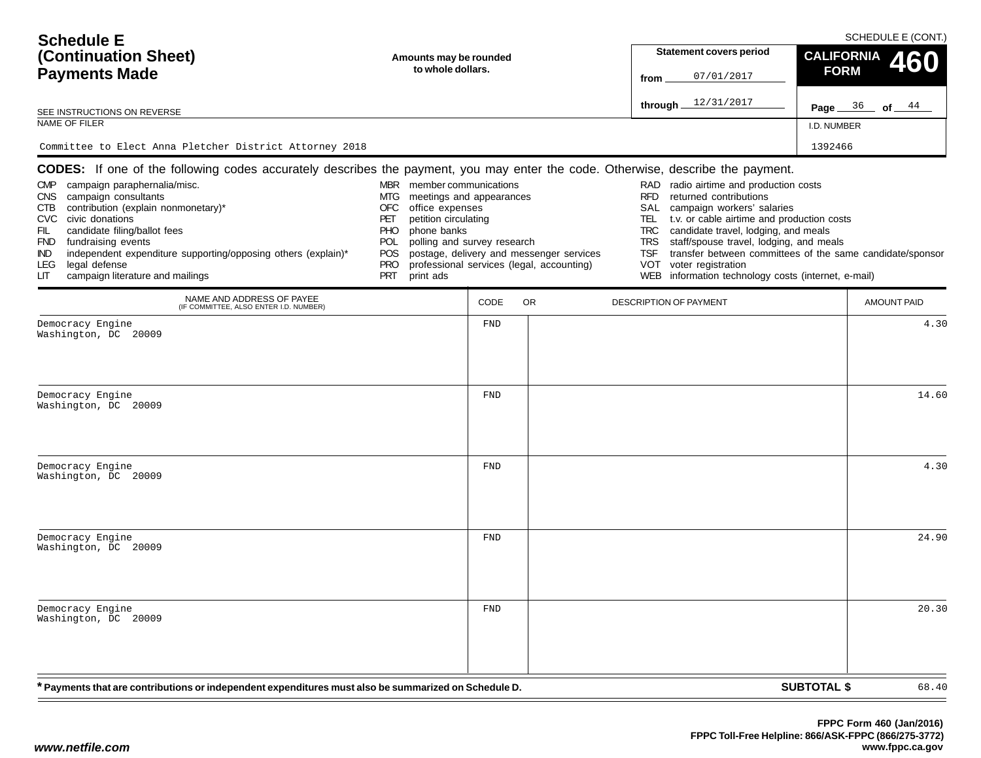| <b>Schedule E</b><br>(Continuation Sheet)<br><b>Payments Made</b><br>SEE INSTRUCTIONS ON REVERSE<br>NAME OF FILER                                                                                                                                                                                                                                                                                                                                                                                 | Amounts may be rounded<br>to whole dollars.                                                                                                                                                                                               |             |                                                                                       | from                                                                              | SCHEDULE E (CONT.)<br>Statement covers period<br><b>CALIFORNIA</b><br>460<br><b>FORM</b><br>07/01/2017<br>through 12/31/2017<br><b>Page</b> $36$ of $44$<br>I.D. NUMBER                                                                                                                                                                                           |                    |                    |  |  |  |
|---------------------------------------------------------------------------------------------------------------------------------------------------------------------------------------------------------------------------------------------------------------------------------------------------------------------------------------------------------------------------------------------------------------------------------------------------------------------------------------------------|-------------------------------------------------------------------------------------------------------------------------------------------------------------------------------------------------------------------------------------------|-------------|---------------------------------------------------------------------------------------|-----------------------------------------------------------------------------------|-------------------------------------------------------------------------------------------------------------------------------------------------------------------------------------------------------------------------------------------------------------------------------------------------------------------------------------------------------------------|--------------------|--------------------|--|--|--|
| Committee to Elect Anna Pletcher District Attorney 2018                                                                                                                                                                                                                                                                                                                                                                                                                                           |                                                                                                                                                                                                                                           |             |                                                                                       |                                                                                   |                                                                                                                                                                                                                                                                                                                                                                   | 1392466            |                    |  |  |  |
| CODES: If one of the following codes accurately describes the payment, you may enter the code. Otherwise, describe the payment.<br>campaign paraphernalia/misc.<br><b>CMP</b><br>campaign consultants<br>CNS .<br>contribution (explain nonmonetary)*<br>CTB<br>CVC civic donations<br>FIL<br>candidate filing/ballot fees<br>FND fundraising events<br>independent expenditure supporting/opposing others (explain)*<br>IND.<br>legal defense<br>LEG.<br>campaign literature and mailings<br>LІТ | MBR member communications<br>meetings and appearances<br>MTG<br>OFC<br>office expenses<br>petition circulating<br>PET<br>phone banks<br>PHO.<br>polling and survey research<br>POL<br><b>POS</b><br><b>PRO</b><br><b>PRT</b><br>print ads |             | postage, delivery and messenger services<br>professional services (legal, accounting) | RAD<br><b>RFD</b><br>SAL<br>TEL.<br><b>TRC</b><br><b>TRS</b><br>TSF<br>VOT<br>WEB | radio airtime and production costs<br>returned contributions<br>campaign workers' salaries<br>t.v. or cable airtime and production costs<br>candidate travel, lodging, and meals<br>staff/spouse travel, lodging, and meals<br>transfer between committees of the same candidate/sponsor<br>voter registration<br>information technology costs (internet, e-mail) |                    |                    |  |  |  |
| NAME AND ADDRESS OF PAYEE<br>(IF COMMITTEE, ALSO ENTER I.D. NUMBER)                                                                                                                                                                                                                                                                                                                                                                                                                               |                                                                                                                                                                                                                                           | CODE        | OR.                                                                                   |                                                                                   | DESCRIPTION OF PAYMENT                                                                                                                                                                                                                                                                                                                                            |                    | <b>AMOUNT PAID</b> |  |  |  |
| Democracy Engine<br>Washington, DC 20009                                                                                                                                                                                                                                                                                                                                                                                                                                                          |                                                                                                                                                                                                                                           | FND         |                                                                                       |                                                                                   |                                                                                                                                                                                                                                                                                                                                                                   |                    | 4.30               |  |  |  |
| Democracy Engine<br>Washington, DC 20009                                                                                                                                                                                                                                                                                                                                                                                                                                                          |                                                                                                                                                                                                                                           | <b>FND</b>  |                                                                                       |                                                                                   |                                                                                                                                                                                                                                                                                                                                                                   |                    | 14.60              |  |  |  |
| Democracy Engine<br>Washington, DC 20009                                                                                                                                                                                                                                                                                                                                                                                                                                                          |                                                                                                                                                                                                                                           | <b>FND</b>  |                                                                                       |                                                                                   |                                                                                                                                                                                                                                                                                                                                                                   |                    | 4.30               |  |  |  |
| Democracy Engine<br>Washington, DC 20009                                                                                                                                                                                                                                                                                                                                                                                                                                                          |                                                                                                                                                                                                                                           | <b>FND</b>  |                                                                                       |                                                                                   |                                                                                                                                                                                                                                                                                                                                                                   |                    | 24.90              |  |  |  |
| Democracy Engine<br>Washington, DC 20009                                                                                                                                                                                                                                                                                                                                                                                                                                                          |                                                                                                                                                                                                                                           | ${\tt FND}$ |                                                                                       |                                                                                   |                                                                                                                                                                                                                                                                                                                                                                   |                    | 20.30              |  |  |  |
| * Payments that are contributions or independent expenditures must also be summarized on Schedule D.                                                                                                                                                                                                                                                                                                                                                                                              |                                                                                                                                                                                                                                           |             |                                                                                       |                                                                                   |                                                                                                                                                                                                                                                                                                                                                                   | <b>SUBTOTAL \$</b> | 68.40              |  |  |  |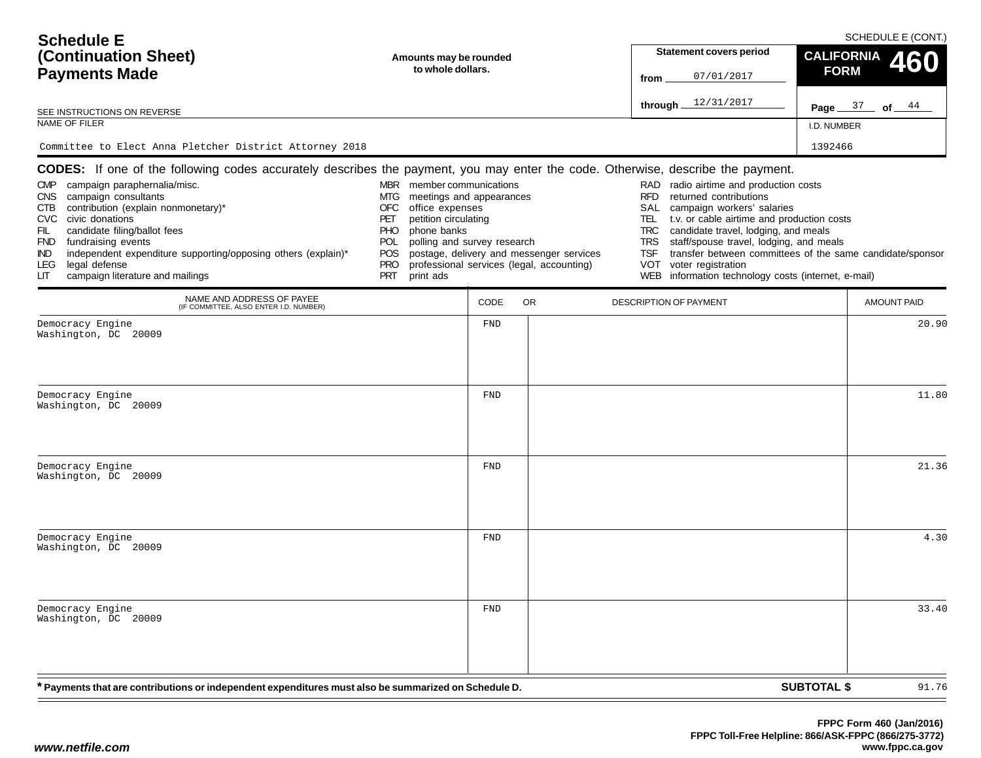| <b>Schedule E</b><br>(Continuation Sheet)<br><b>Payments Made</b><br>SEE INSTRUCTIONS ON REVERSE<br>NAME OF FILER                                                                                                                                                                                                                                                                                                                                                                                 | Amounts may be rounded<br>to whole dollars.                                                                                                                                                                                               |                   |                                                                                       | from                                                                              | SCHEDULE E (CONT.)<br>Statement covers period<br><b>CALIFORNIA</b><br>460<br><b>FORM</b><br>07/01/2017<br>through 12/31/2017<br>Page $37$ of $44$<br>I.D. NUMBER                                                                                                                                                                                                  |                    |                    |  |  |
|---------------------------------------------------------------------------------------------------------------------------------------------------------------------------------------------------------------------------------------------------------------------------------------------------------------------------------------------------------------------------------------------------------------------------------------------------------------------------------------------------|-------------------------------------------------------------------------------------------------------------------------------------------------------------------------------------------------------------------------------------------|-------------------|---------------------------------------------------------------------------------------|-----------------------------------------------------------------------------------|-------------------------------------------------------------------------------------------------------------------------------------------------------------------------------------------------------------------------------------------------------------------------------------------------------------------------------------------------------------------|--------------------|--------------------|--|--|
| Committee to Elect Anna Pletcher District Attorney 2018                                                                                                                                                                                                                                                                                                                                                                                                                                           |                                                                                                                                                                                                                                           |                   |                                                                                       |                                                                                   |                                                                                                                                                                                                                                                                                                                                                                   | 1392466            |                    |  |  |
| CODES: If one of the following codes accurately describes the payment, you may enter the code. Otherwise, describe the payment.<br>campaign paraphernalia/misc.<br><b>CMP</b><br>campaign consultants<br>CNS .<br>contribution (explain nonmonetary)*<br>CTB<br>CVC civic donations<br>FIL<br>candidate filing/ballot fees<br>FND fundraising events<br>independent expenditure supporting/opposing others (explain)*<br>IND.<br>legal defense<br>LEG.<br>campaign literature and mailings<br>LІТ | MBR member communications<br>meetings and appearances<br>MTG<br>OFC<br>office expenses<br>petition circulating<br>PET<br>phone banks<br>PHO.<br>polling and survey research<br>POL<br><b>POS</b><br><b>PRO</b><br><b>PRT</b><br>print ads |                   | postage, delivery and messenger services<br>professional services (legal, accounting) | RAD<br><b>RFD</b><br>SAL<br>TEL.<br><b>TRC</b><br><b>TRS</b><br>TSF<br>VOT<br>WEB | radio airtime and production costs<br>returned contributions<br>campaign workers' salaries<br>t.v. or cable airtime and production costs<br>candidate travel, lodging, and meals<br>staff/spouse travel, lodging, and meals<br>transfer between committees of the same candidate/sponsor<br>voter registration<br>information technology costs (internet, e-mail) |                    |                    |  |  |
| NAME AND ADDRESS OF PAYEE<br>(IF COMMITTEE, ALSO ENTER I.D. NUMBER)                                                                                                                                                                                                                                                                                                                                                                                                                               |                                                                                                                                                                                                                                           | CODE              | OR.                                                                                   |                                                                                   | DESCRIPTION OF PAYMENT                                                                                                                                                                                                                                                                                                                                            |                    | <b>AMOUNT PAID</b> |  |  |
| Democracy Engine<br>Washington, DC 20009<br>Democracy Engine                                                                                                                                                                                                                                                                                                                                                                                                                                      |                                                                                                                                                                                                                                           | FND<br><b>FND</b> |                                                                                       |                                                                                   |                                                                                                                                                                                                                                                                                                                                                                   |                    | 20.90<br>11.80     |  |  |
| Washington, DC 20009                                                                                                                                                                                                                                                                                                                                                                                                                                                                              |                                                                                                                                                                                                                                           |                   |                                                                                       |                                                                                   |                                                                                                                                                                                                                                                                                                                                                                   |                    |                    |  |  |
| Democracy Engine<br>Washington, DC 20009                                                                                                                                                                                                                                                                                                                                                                                                                                                          |                                                                                                                                                                                                                                           | <b>FND</b>        |                                                                                       |                                                                                   |                                                                                                                                                                                                                                                                                                                                                                   |                    | 21.36              |  |  |
| Democracy Engine<br>Washington, DC 20009                                                                                                                                                                                                                                                                                                                                                                                                                                                          |                                                                                                                                                                                                                                           | <b>FND</b>        |                                                                                       |                                                                                   |                                                                                                                                                                                                                                                                                                                                                                   |                    | 4.30               |  |  |
| Democracy Engine<br>Washington, DC 20009                                                                                                                                                                                                                                                                                                                                                                                                                                                          |                                                                                                                                                                                                                                           | ${\tt FND}$       |                                                                                       |                                                                                   |                                                                                                                                                                                                                                                                                                                                                                   |                    | 33.40              |  |  |
| * Payments that are contributions or independent expenditures must also be summarized on Schedule D.                                                                                                                                                                                                                                                                                                                                                                                              |                                                                                                                                                                                                                                           |                   |                                                                                       |                                                                                   |                                                                                                                                                                                                                                                                                                                                                                   | <b>SUBTOTAL \$</b> | 91.76              |  |  |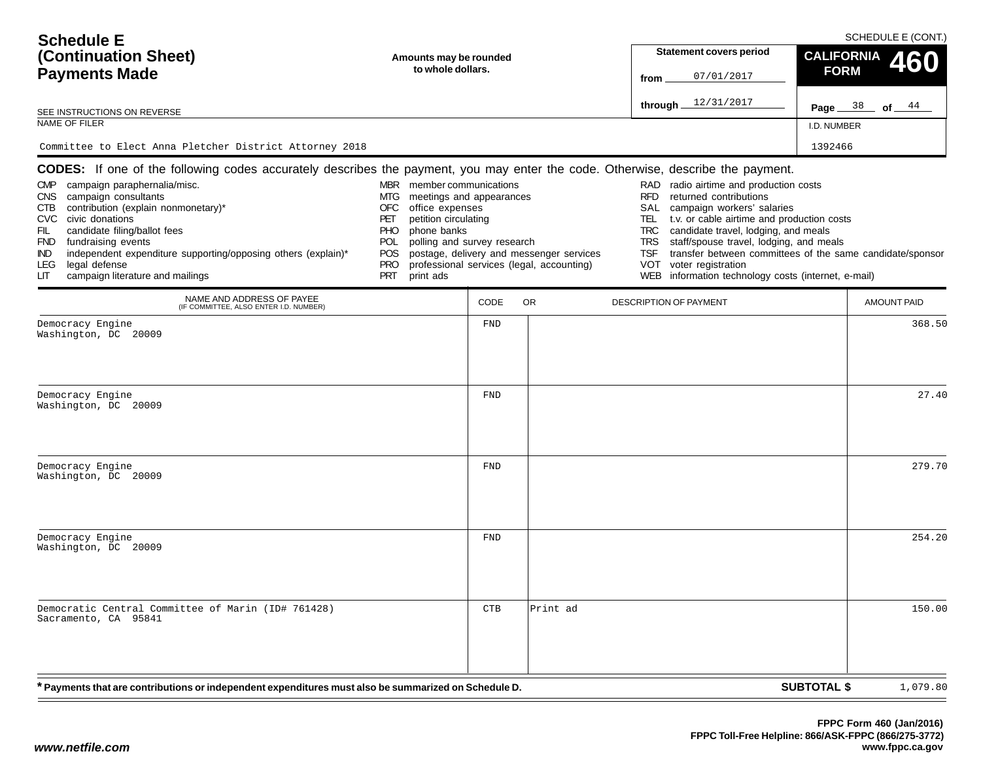| <b>Schedule E</b><br>(Continuation Sheet)<br><b>Payments Made</b><br>SEE INSTRUCTIONS ON REVERSE<br>NAME OF FILER<br>Committee to Elect Anna Pletcher District Attorney 2018                                                                                                                                                                                                                                                                                                                                                   | Amounts may be rounded<br>to whole dollars.                                                                                                                                                                                               |             |                                                                                       | from                                                                              | SCHEDULE E (CONT.)<br>Statement covers period<br><b>CALIFORNIA</b><br>460<br><b>FORM</b><br>07/01/2017<br>through 12/31/2017<br><b>Page</b> $38$ of $44$<br>I.D. NUMBER<br>1392466                                                                                                                                                                                |                    |                              |  |  |
|--------------------------------------------------------------------------------------------------------------------------------------------------------------------------------------------------------------------------------------------------------------------------------------------------------------------------------------------------------------------------------------------------------------------------------------------------------------------------------------------------------------------------------|-------------------------------------------------------------------------------------------------------------------------------------------------------------------------------------------------------------------------------------------|-------------|---------------------------------------------------------------------------------------|-----------------------------------------------------------------------------------|-------------------------------------------------------------------------------------------------------------------------------------------------------------------------------------------------------------------------------------------------------------------------------------------------------------------------------------------------------------------|--------------------|------------------------------|--|--|
| CODES: If one of the following codes accurately describes the payment, you may enter the code. Otherwise, describe the payment.<br>campaign paraphernalia/misc.<br><b>CMP</b><br>campaign consultants<br>CNS .<br>contribution (explain nonmonetary)*<br>CTB<br>CVC civic donations<br>FIL<br>candidate filing/ballot fees<br>FND fundraising events<br>independent expenditure supporting/opposing others (explain)*<br>IND.<br>legal defense<br>LEG.<br>campaign literature and mailings<br>LIТ<br>NAME AND ADDRESS OF PAYEE | MBR member communications<br>meetings and appearances<br>MTG<br>OFC<br>office expenses<br>petition circulating<br>PET<br>phone banks<br>PHO.<br>polling and survey research<br>POL<br><b>POS</b><br><b>PRO</b><br><b>PRT</b><br>print ads |             | postage, delivery and messenger services<br>professional services (legal, accounting) | RAD<br><b>RFD</b><br>SAL<br>TEL.<br><b>TRC</b><br><b>TRS</b><br>TSF<br>VOT<br>WEB | radio airtime and production costs<br>returned contributions<br>campaign workers' salaries<br>t.v. or cable airtime and production costs<br>candidate travel, lodging, and meals<br>staff/spouse travel, lodging, and meals<br>transfer between committees of the same candidate/sponsor<br>voter registration<br>information technology costs (internet, e-mail) |                    |                              |  |  |
| (IF COMMITTEE, ALSO ENTER I.D. NUMBER)<br>Democracy Engine                                                                                                                                                                                                                                                                                                                                                                                                                                                                     |                                                                                                                                                                                                                                           | CODE<br>FND | OR.                                                                                   |                                                                                   | DESCRIPTION OF PAYMENT                                                                                                                                                                                                                                                                                                                                            |                    | <b>AMOUNT PAID</b><br>368.50 |  |  |
| Washington, DC 20009<br>Democracy Engine<br>Washington, DC 20009                                                                                                                                                                                                                                                                                                                                                                                                                                                               |                                                                                                                                                                                                                                           | <b>FND</b>  |                                                                                       |                                                                                   |                                                                                                                                                                                                                                                                                                                                                                   |                    | 27.40                        |  |  |
| Democracy Engine<br>Washington, DC 20009                                                                                                                                                                                                                                                                                                                                                                                                                                                                                       |                                                                                                                                                                                                                                           | <b>FND</b>  |                                                                                       |                                                                                   |                                                                                                                                                                                                                                                                                                                                                                   |                    | 279.70                       |  |  |
| Democracy Engine<br>Washington, DC 20009                                                                                                                                                                                                                                                                                                                                                                                                                                                                                       |                                                                                                                                                                                                                                           | <b>FND</b>  |                                                                                       |                                                                                   |                                                                                                                                                                                                                                                                                                                                                                   |                    | 254.20                       |  |  |
| Democratic Central Committee of Marin (ID# 761428)<br>Sacramento, CA 95841                                                                                                                                                                                                                                                                                                                                                                                                                                                     |                                                                                                                                                                                                                                           | CTB         | Print ad                                                                              |                                                                                   |                                                                                                                                                                                                                                                                                                                                                                   |                    | 150.00                       |  |  |
| * Payments that are contributions or independent expenditures must also be summarized on Schedule D.                                                                                                                                                                                                                                                                                                                                                                                                                           |                                                                                                                                                                                                                                           |             |                                                                                       |                                                                                   |                                                                                                                                                                                                                                                                                                                                                                   | <b>SUBTOTAL \$</b> | 1,079.80                     |  |  |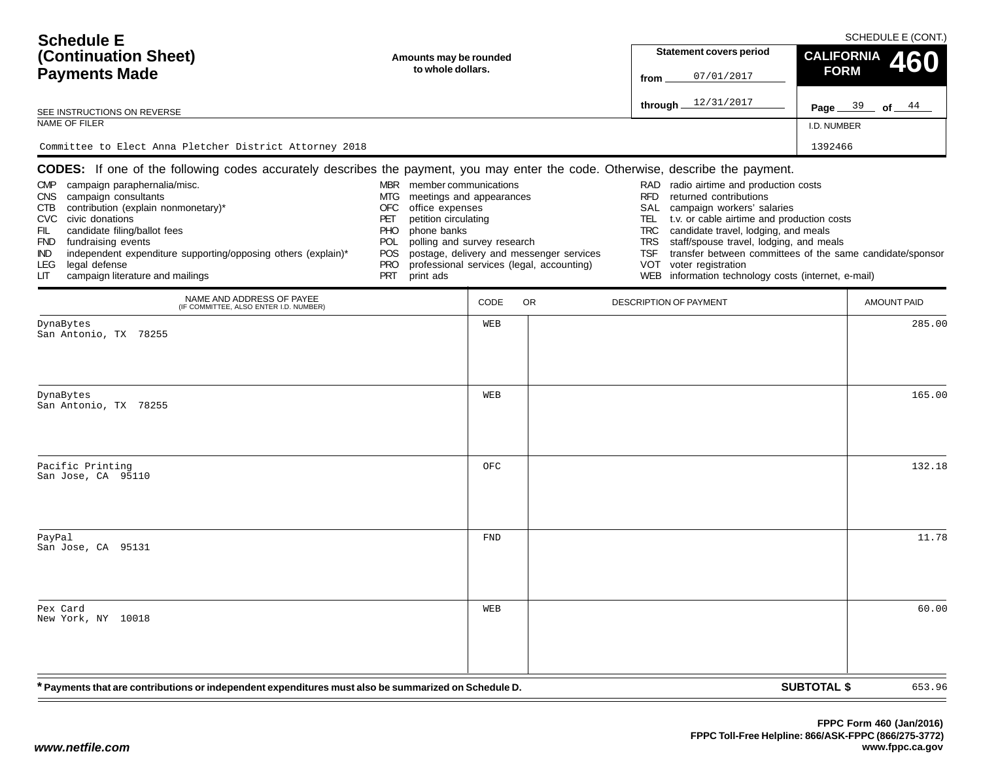| <b>Schedule E</b><br>(Continuation Sheet)<br><b>Payments Made</b>                                                                                                                                                                                                                                                                                                                                                                                                                                   | Amounts may be rounded<br>to whole dollars.                                                                                                                                                                                       |            |                                                                                       | from                                                                                     | <b>Statement covers period</b><br>07/01/2017<br>through 12/31/2017                                                                                                                                                                                                                                                                                                    | <b>CALIFORNIA</b><br><b>FORM</b><br>Page $39$ | SCHEDULE E (CONT.)<br>460<br>of $44$ |
|-----------------------------------------------------------------------------------------------------------------------------------------------------------------------------------------------------------------------------------------------------------------------------------------------------------------------------------------------------------------------------------------------------------------------------------------------------------------------------------------------------|-----------------------------------------------------------------------------------------------------------------------------------------------------------------------------------------------------------------------------------|------------|---------------------------------------------------------------------------------------|------------------------------------------------------------------------------------------|-----------------------------------------------------------------------------------------------------------------------------------------------------------------------------------------------------------------------------------------------------------------------------------------------------------------------------------------------------------------------|-----------------------------------------------|--------------------------------------|
| SEE INSTRUCTIONS ON REVERSE<br>NAME OF FILER                                                                                                                                                                                                                                                                                                                                                                                                                                                        |                                                                                                                                                                                                                                   |            |                                                                                       |                                                                                          |                                                                                                                                                                                                                                                                                                                                                                       | I.D. NUMBER                                   |                                      |
| Committee to Elect Anna Pletcher District Attorney 2018                                                                                                                                                                                                                                                                                                                                                                                                                                             |                                                                                                                                                                                                                                   |            |                                                                                       |                                                                                          |                                                                                                                                                                                                                                                                                                                                                                       | 1392466                                       |                                      |
| <b>CODES:</b> If one of the following codes accurately describes the payment, you may enter the code. Otherwise, describe the payment.<br>campaign paraphernalia/misc.<br><b>CMP</b><br>CNS campaign consultants<br>contribution (explain nonmonetary)*<br>CTB<br>CVC civic donations<br>FIL<br>candidate filing/ballot fees<br>FND fundraising events<br>independent expenditure supporting/opposing others (explain)*<br>IND.<br>legal defense<br>LEG.<br>campaign literature and mailings<br>LIТ | MBR member communications<br>meetings and appearances<br>MTG<br>office expenses<br>OFC<br>petition circulating<br>PET<br>phone banks<br><b>PHO</b><br>polling and survey research<br>POL<br>POS<br><b>PRO</b><br>PRT<br>print ads |            | postage, delivery and messenger services<br>professional services (legal, accounting) | RAD<br><b>RFD</b><br>SAL<br>TEL.<br><b>TRC</b><br><b>TRS</b><br><b>TSF</b><br><b>VOT</b> | radio airtime and production costs<br>returned contributions<br>campaign workers' salaries<br>t.v. or cable airtime and production costs<br>candidate travel, lodging, and meals<br>staff/spouse travel, lodging, and meals<br>transfer between committees of the same candidate/sponsor<br>voter registration<br>WEB information technology costs (internet, e-mail) |                                               |                                      |
| NAME AND ADDRESS OF PAYEE<br>(IF COMMITTEE, ALSO ENTER I.D. NUMBER)                                                                                                                                                                                                                                                                                                                                                                                                                                 |                                                                                                                                                                                                                                   | CODE       | OR.                                                                                   |                                                                                          | DESCRIPTION OF PAYMENT                                                                                                                                                                                                                                                                                                                                                |                                               | <b>AMOUNT PAID</b>                   |
| DynaBytes<br>San Antonio, TX 78255                                                                                                                                                                                                                                                                                                                                                                                                                                                                  |                                                                                                                                                                                                                                   | WEB        |                                                                                       |                                                                                          |                                                                                                                                                                                                                                                                                                                                                                       |                                               | 285.00                               |
| DynaBytes<br>San Antonio, TX 78255                                                                                                                                                                                                                                                                                                                                                                                                                                                                  |                                                                                                                                                                                                                                   | WEB        |                                                                                       |                                                                                          |                                                                                                                                                                                                                                                                                                                                                                       |                                               | 165.00                               |
| Pacific Printing<br>San Jose, CA 95110                                                                                                                                                                                                                                                                                                                                                                                                                                                              |                                                                                                                                                                                                                                   | OFC        |                                                                                       |                                                                                          |                                                                                                                                                                                                                                                                                                                                                                       |                                               | 132.18                               |
| PayPal<br>San Jose, CA 95131                                                                                                                                                                                                                                                                                                                                                                                                                                                                        |                                                                                                                                                                                                                                   | <b>FND</b> |                                                                                       |                                                                                          |                                                                                                                                                                                                                                                                                                                                                                       |                                               | 11.78                                |
| Pex Card<br>New York, NY 10018                                                                                                                                                                                                                                                                                                                                                                                                                                                                      |                                                                                                                                                                                                                                   | WEB        |                                                                                       |                                                                                          |                                                                                                                                                                                                                                                                                                                                                                       |                                               | 60.00                                |
| <sup>*</sup> Payments that are contributions or independent expenditures must also be summarized on Schedule D.                                                                                                                                                                                                                                                                                                                                                                                     |                                                                                                                                                                                                                                   |            |                                                                                       |                                                                                          |                                                                                                                                                                                                                                                                                                                                                                       | <b>SUBTOTAL \$</b>                            | 653.96                               |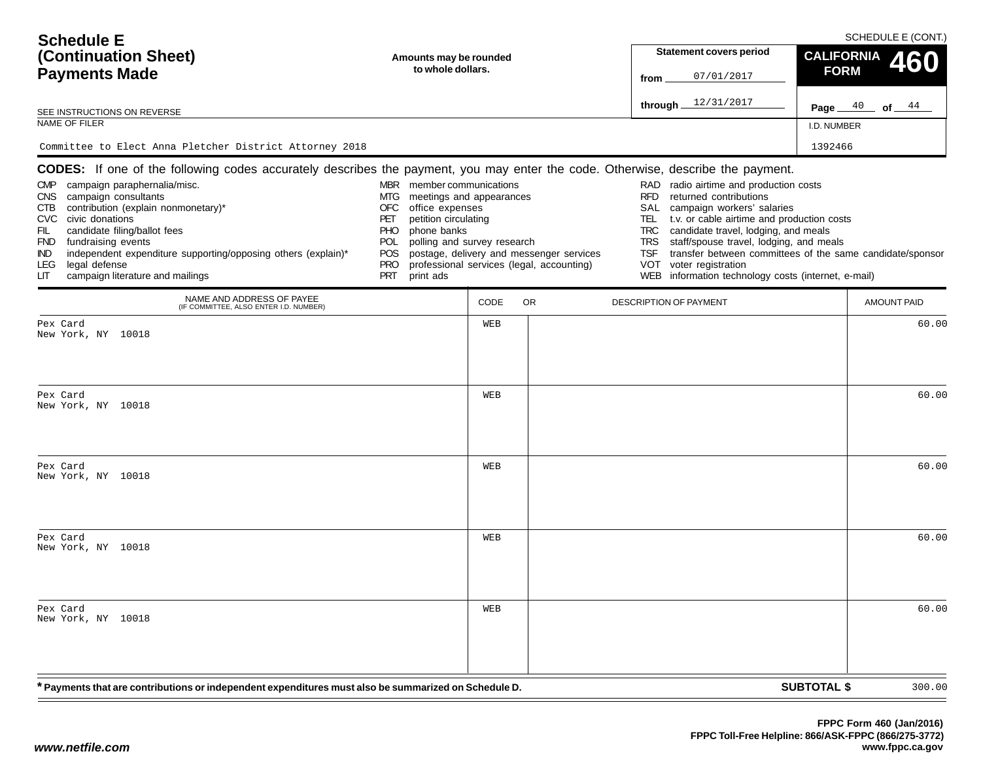| <b>Schedule E</b><br>(Continuation Sheet)<br>Amounts may be rounded<br>to whole dollars.<br><b>Payments Made</b>                                                                                                                                                                                                                                          |                                                                                                                                                                                                                                   |      |                                                                                       | from                                                                                     | <b>Statement covers period</b><br>07/01/2017                                                                                                                                                                                                                                                                                                                          | <b>FORM</b>        | SCHEDULE E (CONT.)<br><b>CALIFORNIA</b><br>460 |  |  |  |
|-----------------------------------------------------------------------------------------------------------------------------------------------------------------------------------------------------------------------------------------------------------------------------------------------------------------------------------------------------------|-----------------------------------------------------------------------------------------------------------------------------------------------------------------------------------------------------------------------------------|------|---------------------------------------------------------------------------------------|------------------------------------------------------------------------------------------|-----------------------------------------------------------------------------------------------------------------------------------------------------------------------------------------------------------------------------------------------------------------------------------------------------------------------------------------------------------------------|--------------------|------------------------------------------------|--|--|--|
| SEE INSTRUCTIONS ON REVERSE                                                                                                                                                                                                                                                                                                                               |                                                                                                                                                                                                                                   |      |                                                                                       |                                                                                          | through 12/31/2017                                                                                                                                                                                                                                                                                                                                                    | Page $40$          | of $44$                                        |  |  |  |
| NAME OF FILER                                                                                                                                                                                                                                                                                                                                             |                                                                                                                                                                                                                                   |      |                                                                                       |                                                                                          |                                                                                                                                                                                                                                                                                                                                                                       | I.D. NUMBER        |                                                |  |  |  |
| Committee to Elect Anna Pletcher District Attorney 2018<br>CODES: If one of the following codes accurately describes the payment, you may enter the code. Otherwise, describe the payment.                                                                                                                                                                |                                                                                                                                                                                                                                   |      |                                                                                       |                                                                                          |                                                                                                                                                                                                                                                                                                                                                                       | 1392466            |                                                |  |  |  |
| campaign paraphernalia/misc.<br><b>CMP</b><br>CNS campaign consultants<br>contribution (explain nonmonetary)*<br>CTB<br>CVC civic donations<br>FIL<br>candidate filing/ballot fees<br>FND fundraising events<br>independent expenditure supporting/opposing others (explain)*<br>IND.<br>legal defense<br>LEG.<br>campaign literature and mailings<br>LIТ | MBR member communications<br>meetings and appearances<br>MTG<br>OFC<br>office expenses<br>petition circulating<br>PET<br>phone banks<br><b>PHO</b><br>polling and survey research<br>POL<br>POS<br><b>PRO</b><br>PRT<br>print ads |      | postage, delivery and messenger services<br>professional services (legal, accounting) | RAD<br><b>RFD</b><br>SAL<br>TEL.<br><b>TRC</b><br><b>TRS</b><br><b>TSF</b><br><b>VOT</b> | radio airtime and production costs<br>returned contributions<br>campaign workers' salaries<br>t.v. or cable airtime and production costs<br>candidate travel, lodging, and meals<br>staff/spouse travel, lodging, and meals<br>transfer between committees of the same candidate/sponsor<br>voter registration<br>WEB information technology costs (internet, e-mail) |                    |                                                |  |  |  |
| NAME AND ADDRESS OF PAYEE<br>(IF COMMITTEE, ALSO ENTER I.D. NUMBER)                                                                                                                                                                                                                                                                                       |                                                                                                                                                                                                                                   | CODE | OR.                                                                                   |                                                                                          | DESCRIPTION OF PAYMENT                                                                                                                                                                                                                                                                                                                                                |                    | AMOUNT PAID                                    |  |  |  |
| Pex Card<br>New York, NY 10018                                                                                                                                                                                                                                                                                                                            |                                                                                                                                                                                                                                   | WEB  |                                                                                       |                                                                                          |                                                                                                                                                                                                                                                                                                                                                                       |                    | 60.00                                          |  |  |  |
| Pex Card<br>New York, NY 10018                                                                                                                                                                                                                                                                                                                            |                                                                                                                                                                                                                                   | WEB  |                                                                                       |                                                                                          |                                                                                                                                                                                                                                                                                                                                                                       |                    | 60.00                                          |  |  |  |
| Pex Card<br>New York, NY 10018                                                                                                                                                                                                                                                                                                                            |                                                                                                                                                                                                                                   | WEB  |                                                                                       |                                                                                          |                                                                                                                                                                                                                                                                                                                                                                       |                    | 60.00                                          |  |  |  |
| Pex Card<br>New York, NY 10018                                                                                                                                                                                                                                                                                                                            |                                                                                                                                                                                                                                   | WEB  |                                                                                       |                                                                                          |                                                                                                                                                                                                                                                                                                                                                                       |                    | 60.00                                          |  |  |  |
| Pex Card<br>New York, NY 10018                                                                                                                                                                                                                                                                                                                            |                                                                                                                                                                                                                                   | WEB  |                                                                                       |                                                                                          |                                                                                                                                                                                                                                                                                                                                                                       |                    | 60.00                                          |  |  |  |
| <sup>*</sup> Payments that are contributions or independent expenditures must also be summarized on Schedule D.                                                                                                                                                                                                                                           |                                                                                                                                                                                                                                   |      |                                                                                       |                                                                                          |                                                                                                                                                                                                                                                                                                                                                                       | <b>SUBTOTAL \$</b> | 300.00                                         |  |  |  |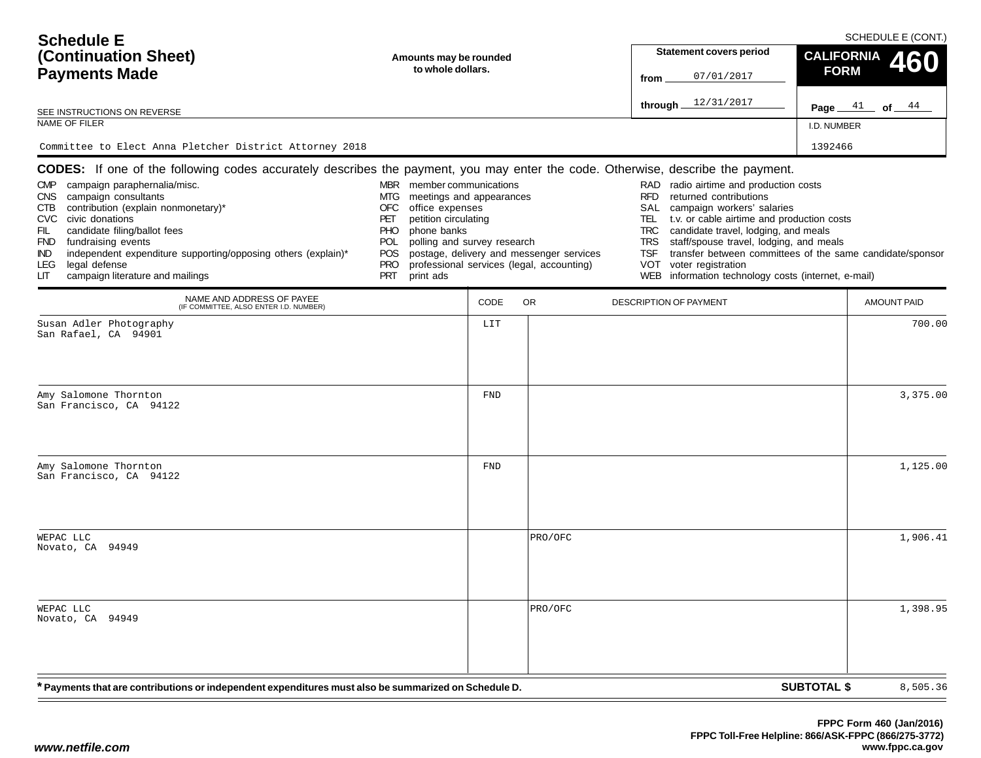| <b>Schedule E</b><br>(Continuation Sheet)<br><b>Payments Made</b>                                                                                                                                                                                                                                                                                                                                                                                                                         | Amounts may be rounded<br>to whole dollars.                                                                                                                                                                                               |            |                                                                                       | <b>Statement covers period</b><br>07/01/2017<br>from                                                                                                                                                                                                                                                                                                                                                                                                    | <b>CALIFORNIA</b><br><b>FORM</b> | SCHEDULE E (CONT.)<br>460 |
|-------------------------------------------------------------------------------------------------------------------------------------------------------------------------------------------------------------------------------------------------------------------------------------------------------------------------------------------------------------------------------------------------------------------------------------------------------------------------------------------|-------------------------------------------------------------------------------------------------------------------------------------------------------------------------------------------------------------------------------------------|------------|---------------------------------------------------------------------------------------|---------------------------------------------------------------------------------------------------------------------------------------------------------------------------------------------------------------------------------------------------------------------------------------------------------------------------------------------------------------------------------------------------------------------------------------------------------|----------------------------------|---------------------------|
| SEE INSTRUCTIONS ON REVERSE                                                                                                                                                                                                                                                                                                                                                                                                                                                               |                                                                                                                                                                                                                                           |            |                                                                                       | through $12/31/2017$                                                                                                                                                                                                                                                                                                                                                                                                                                    |                                  | Page $41$ of $44$         |
| NAME OF FILER                                                                                                                                                                                                                                                                                                                                                                                                                                                                             |                                                                                                                                                                                                                                           |            |                                                                                       |                                                                                                                                                                                                                                                                                                                                                                                                                                                         | I.D. NUMBER                      |                           |
| Committee to Elect Anna Pletcher District Attorney 2018                                                                                                                                                                                                                                                                                                                                                                                                                                   |                                                                                                                                                                                                                                           |            |                                                                                       |                                                                                                                                                                                                                                                                                                                                                                                                                                                         | 1392466                          |                           |
| <b>CODES:</b> If one of the following codes accurately describes the payment, you may enter the code. Otherwise, describe the payment.<br>CMP campaign paraphernalia/misc.<br>CNS campaign consultants<br>contribution (explain nonmonetary)*<br>CTB<br>CVC civic donations<br>candidate filing/ballot fees<br>FIL<br>FND fundraising events<br>independent expenditure supporting/opposing others (explain)*<br>IND.<br>legal defense<br>LEG.<br>campaign literature and mailings<br>LIТ | MBR member communications<br>meetings and appearances<br>MTG<br>office expenses<br>OFC<br>petition circulating<br>PET<br>phone banks<br><b>PHO</b><br>polling and survey research<br>POL<br>POS.<br><b>PRO</b><br><b>PRT</b><br>print ads |            | postage, delivery and messenger services<br>professional services (legal, accounting) | RAD radio airtime and production costs<br><b>RFD</b><br>returned contributions<br>SAL<br>campaign workers' salaries<br>t.v. or cable airtime and production costs<br>TEL.<br><b>TRC</b><br>candidate travel, lodging, and meals<br>staff/spouse travel, lodging, and meals<br><b>TRS</b><br>transfer between committees of the same candidate/sponsor<br><b>TSF</b><br>voter registration<br>VOT<br>WEB information technology costs (internet, e-mail) |                                  |                           |
| NAME AND ADDRESS OF PAYEE<br>(IF COMMITTEE, ALSO ENTER I.D. NUMBER)                                                                                                                                                                                                                                                                                                                                                                                                                       |                                                                                                                                                                                                                                           | CODE       | <b>OR</b>                                                                             | <b>DESCRIPTION OF PAYMENT</b>                                                                                                                                                                                                                                                                                                                                                                                                                           |                                  | <b>AMOUNT PAID</b>        |
| Susan Adler Photography<br>San Rafael, CA 94901                                                                                                                                                                                                                                                                                                                                                                                                                                           |                                                                                                                                                                                                                                           | LIT        |                                                                                       |                                                                                                                                                                                                                                                                                                                                                                                                                                                         |                                  | 700.00                    |
| Amy Salomone Thornton<br>San Francisco, CA 94122                                                                                                                                                                                                                                                                                                                                                                                                                                          |                                                                                                                                                                                                                                           | FND        |                                                                                       |                                                                                                                                                                                                                                                                                                                                                                                                                                                         |                                  | 3,375.00                  |
| Amy Salomone Thornton<br>San Francisco, CA 94122                                                                                                                                                                                                                                                                                                                                                                                                                                          |                                                                                                                                                                                                                                           | <b>FND</b> |                                                                                       |                                                                                                                                                                                                                                                                                                                                                                                                                                                         |                                  | 1,125.00                  |
| WEPAC LLC<br>Novato, CA 94949                                                                                                                                                                                                                                                                                                                                                                                                                                                             |                                                                                                                                                                                                                                           |            | PRO/OFC                                                                               |                                                                                                                                                                                                                                                                                                                                                                                                                                                         |                                  | 1,906.41                  |
| WEPAC LLC<br>Novato, CA 94949                                                                                                                                                                                                                                                                                                                                                                                                                                                             |                                                                                                                                                                                                                                           |            | PRO/OFC                                                                               |                                                                                                                                                                                                                                                                                                                                                                                                                                                         |                                  | 1,398.95                  |
| * Payments that are contributions or independent expenditures must also be summarized on Schedule D.                                                                                                                                                                                                                                                                                                                                                                                      |                                                                                                                                                                                                                                           |            |                                                                                       |                                                                                                                                                                                                                                                                                                                                                                                                                                                         | <b>SUBTOTAL \$</b>               | 8,505.36                  |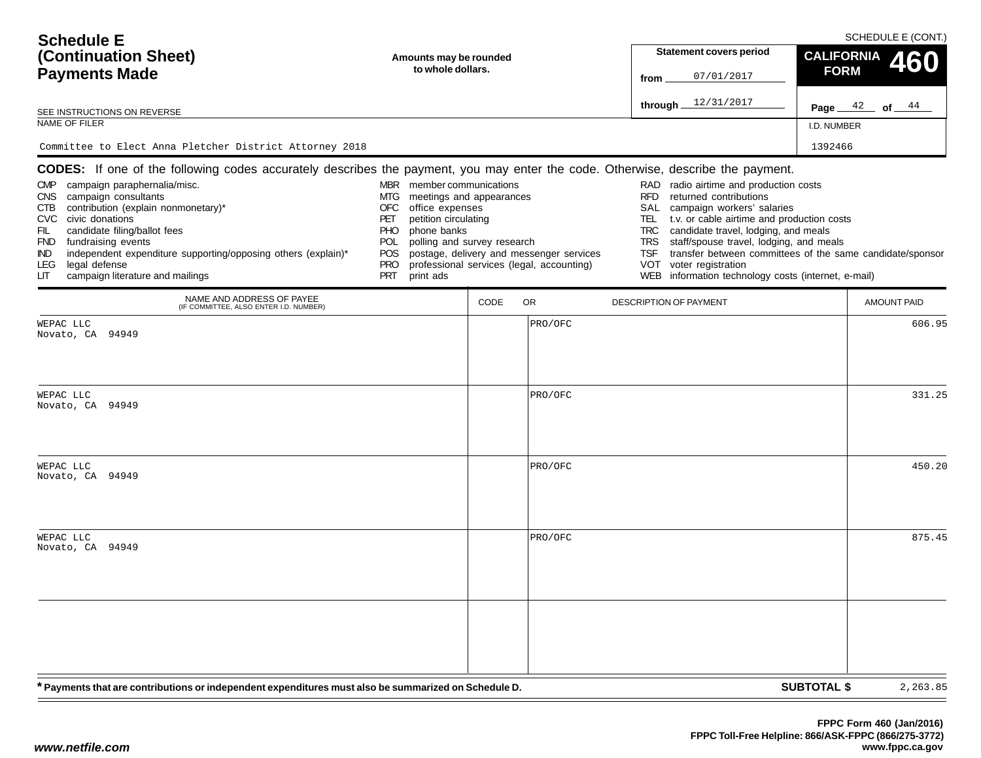| <b>Schedule E</b>                                                                                                                                                                                                                                                                                                                                                                    |                                                                                                                                  |                                                                                       |  | SCHEDULE E (CONT.)                                                                                                                                                                                                                                                                             |                                                           |  |  |
|--------------------------------------------------------------------------------------------------------------------------------------------------------------------------------------------------------------------------------------------------------------------------------------------------------------------------------------------------------------------------------------|----------------------------------------------------------------------------------------------------------------------------------|---------------------------------------------------------------------------------------|--|------------------------------------------------------------------------------------------------------------------------------------------------------------------------------------------------------------------------------------------------------------------------------------------------|-----------------------------------------------------------|--|--|
| (Continuation Sheet)<br>Amounts may be rounded                                                                                                                                                                                                                                                                                                                                       |                                                                                                                                  |                                                                                       |  | <b>Statement covers period</b>                                                                                                                                                                                                                                                                 | <b>CALIFORNIA</b><br>460                                  |  |  |
| <b>Payments Made</b>                                                                                                                                                                                                                                                                                                                                                                 | to whole dollars.                                                                                                                |                                                                                       |  | 07/01/2017<br>from                                                                                                                                                                                                                                                                             | <b>FORM</b>                                               |  |  |
| SEE INSTRUCTIONS ON REVERSE                                                                                                                                                                                                                                                                                                                                                          |                                                                                                                                  |                                                                                       |  | through $12/31/2017$                                                                                                                                                                                                                                                                           | Page $42$ of $44$                                         |  |  |
| NAME OF FILER                                                                                                                                                                                                                                                                                                                                                                        |                                                                                                                                  |                                                                                       |  |                                                                                                                                                                                                                                                                                                | I.D. NUMBER                                               |  |  |
| Committee to Elect Anna Pletcher District Attorney 2018                                                                                                                                                                                                                                                                                                                              |                                                                                                                                  |                                                                                       |  |                                                                                                                                                                                                                                                                                                | 1392466                                                   |  |  |
| CODES: If one of the following codes accurately describes the payment, you may enter the code. Otherwise, describe the payment.<br>campaign paraphernalia/misc.<br><b>CMP</b><br><b>CNS</b><br>campaign consultants<br>contribution (explain nonmonetary)*<br><b>CTB</b><br><b>CVC</b><br>civic donations<br>candidate filing/ballot fees<br>FIL<br>fundraising events<br><b>FND</b> | member communications<br><b>MBR</b><br>MTG<br>OFC<br>office expenses<br>petition circulating<br>PET<br>phone banks<br>PHO<br>POL | meetings and appearances<br>polling and survey research                               |  | RAD radio airtime and production costs<br><b>RFD</b><br>returned contributions<br>SAL<br>campaign workers' salaries<br><b>TEL</b><br>t.v. or cable airtime and production costs<br>candidate travel, lodging, and meals<br><b>TRC</b><br>staff/spouse travel, lodging, and meals<br><b>TRS</b> |                                                           |  |  |
| independent expenditure supporting/opposing others (explain)*<br><b>IND</b><br>legal defense<br><b>LEG</b><br>campaign literature and mailings<br>LП                                                                                                                                                                                                                                 | <b>POS</b><br><b>PRO</b><br><b>PRT</b><br>print ads                                                                              | postage, delivery and messenger services<br>professional services (legal, accounting) |  | <b>TSF</b><br><b>VOT</b><br>voter registration<br><b>WEB</b><br>information technology costs (internet, e-mail)                                                                                                                                                                                | transfer between committees of the same candidate/sponsor |  |  |
| NAME AND ADDRESS OF PAYEE<br>(IF COMMITTEE, ALSO ENTER I.D. NUMBER)                                                                                                                                                                                                                                                                                                                  |                                                                                                                                  | CODE<br><b>OR</b>                                                                     |  | <b>DESCRIPTION OF PAYMENT</b>                                                                                                                                                                                                                                                                  | <b>AMOUNT PAID</b>                                        |  |  |
| WEPAC LLC<br>Novato, CA 94949                                                                                                                                                                                                                                                                                                                                                        |                                                                                                                                  | PRO/OFC                                                                               |  |                                                                                                                                                                                                                                                                                                | 606.95                                                    |  |  |
| WEPAC LLC<br>Novato, CA<br>94949                                                                                                                                                                                                                                                                                                                                                     |                                                                                                                                  | PRO/OFC                                                                               |  |                                                                                                                                                                                                                                                                                                | 331.25                                                    |  |  |

| * Payments that are contributions or independent expenditures must also be summarized on Schedule D. | <b>SUBTOTAL \$</b> | 2,263.85 |        |
|------------------------------------------------------------------------------------------------------|--------------------|----------|--------|
|                                                                                                      |                    |          |        |
| WEPAC LLC<br>Novato, CA 94949                                                                        |                    | PRO/OFC  | 875.45 |
| WEPAC LLC<br>Novato, CA 94949                                                                        |                    | PRO/OFC  | 450.20 |
|                                                                                                      |                    |          |        |

 $=$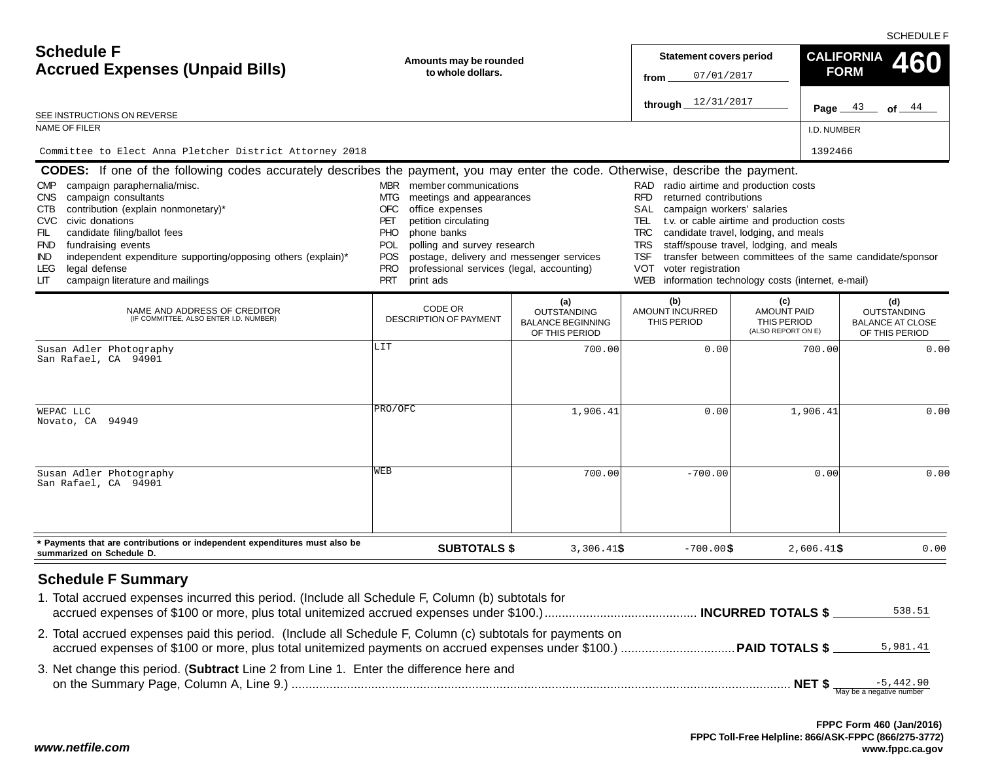SCHEDULE F

| <b>Schedule F</b><br><b>Accrued Expenses (Unpaid Bills)</b>                                                                                                                                                                                                                                                                                                                                                                                                                                         | Amounts may be rounded<br>to whole dollars.                                                                                                                                                                                                                                                                                                         | <b>Statement covers period</b><br>07/01/2017<br>from                    |                                                                                                                                                                                                         | <b>CALIFORNIA</b><br>460<br><b>FORM</b>                                                                                                              |                                                                        |
|-----------------------------------------------------------------------------------------------------------------------------------------------------------------------------------------------------------------------------------------------------------------------------------------------------------------------------------------------------------------------------------------------------------------------------------------------------------------------------------------------------|-----------------------------------------------------------------------------------------------------------------------------------------------------------------------------------------------------------------------------------------------------------------------------------------------------------------------------------------------------|-------------------------------------------------------------------------|---------------------------------------------------------------------------------------------------------------------------------------------------------------------------------------------------------|------------------------------------------------------------------------------------------------------------------------------------------------------|------------------------------------------------------------------------|
| SEE INSTRUCTIONS ON REVERSE                                                                                                                                                                                                                                                                                                                                                                                                                                                                         |                                                                                                                                                                                                                                                                                                                                                     |                                                                         | through $12/31/2017$                                                                                                                                                                                    |                                                                                                                                                      | Page $43$ of $44$                                                      |
| NAME OF FILER                                                                                                                                                                                                                                                                                                                                                                                                                                                                                       |                                                                                                                                                                                                                                                                                                                                                     |                                                                         |                                                                                                                                                                                                         | I.D. NUMBER                                                                                                                                          |                                                                        |
| Committee to Elect Anna Pletcher District Attorney 2018                                                                                                                                                                                                                                                                                                                                                                                                                                             |                                                                                                                                                                                                                                                                                                                                                     |                                                                         |                                                                                                                                                                                                         | 1392466                                                                                                                                              |                                                                        |
| CODES: If one of the following codes accurately describes the payment, you may enter the code. Otherwise, describe the payment.<br>CMP campaign paraphernalia/misc.<br>campaign consultants<br><b>CNS</b><br>contribution (explain nonmonetary)*<br>CTB.<br>CVC civic donations<br>FIL<br>candidate filing/ballot fees<br>FND fundraising events<br>independent expenditure supporting/opposing others (explain)*<br><b>IND</b><br>legal defense<br>LEG.<br>campaign literature and mailings<br>LIТ | <b>MBR</b><br>member communications<br>meetings and appearances<br>MTG.<br>OFC<br>office expenses<br>petition circulating<br>PET<br><b>PHO</b><br>phone banks<br>polling and survey research<br>POL<br><b>POS</b><br>postage, delivery and messenger services<br><b>PRO</b><br>professional services (legal, accounting)<br><b>PRT</b><br>print ads |                                                                         | RAD radio airtime and production costs<br>RFD returned contributions<br>SAL<br>campaign workers' salaries<br>TRC candidate travel, lodging, and meals<br><b>TSF</b><br><b>VOT</b><br>voter registration | TEL t.v. or cable airtime and production costs<br>TRS staff/spouse travel, lodging, and meals<br>WEB information technology costs (internet, e-mail) | transfer between committees of the same candidate/sponsor              |
| NAME AND ADDRESS OF CREDITOR<br>(IF COMMITTEE, ALSO ENTER I.D. NUMBER)                                                                                                                                                                                                                                                                                                                                                                                                                              | CODE OR<br><b>DESCRIPTION OF PAYMENT</b>                                                                                                                                                                                                                                                                                                            | (a)<br><b>OUTSTANDING</b><br><b>BALANCE BEGINNING</b><br>OF THIS PERIOD | (b)<br>AMOUNT INCURRED<br>THIS PERIOD                                                                                                                                                                   | (c)<br><b>AMOUNT PAID</b><br>THIS PERIOD<br>(ALSO REPORT ON E)                                                                                       | (d)<br><b>OUTSTANDING</b><br><b>BALANCE AT CLOSE</b><br>OF THIS PERIOD |
| Susan Adler Photography<br>San Rafael, CA 94901                                                                                                                                                                                                                                                                                                                                                                                                                                                     | LIT                                                                                                                                                                                                                                                                                                                                                 | 700.00                                                                  | 0.00                                                                                                                                                                                                    | 700.00                                                                                                                                               | 0.00                                                                   |
| WEPAC LLC<br>Novato, CA 94949                                                                                                                                                                                                                                                                                                                                                                                                                                                                       | PRO/OFC                                                                                                                                                                                                                                                                                                                                             | 1,906.41                                                                | 0.00                                                                                                                                                                                                    | 1,906.41                                                                                                                                             | 0.00                                                                   |
| Susan Adler Photography<br>San Rafael, CA 94901                                                                                                                                                                                                                                                                                                                                                                                                                                                     | WEB                                                                                                                                                                                                                                                                                                                                                 | 700.00                                                                  | $-700.00$                                                                                                                                                                                               | 0.00                                                                                                                                                 | 0.00                                                                   |
| * Payments that are contributions or independent expenditures must also be<br>summarized on Schedule D.                                                                                                                                                                                                                                                                                                                                                                                             | <b>SUBTOTALS \$</b>                                                                                                                                                                                                                                                                                                                                 | $3,306.41$ \$                                                           | $-700.00$ \$                                                                                                                                                                                            | $2,606.41$ \$                                                                                                                                        | 0.00                                                                   |
| <b>Schedule F Summary</b><br>1. Total accrued expenses incurred this period. (Include all Schedule F, Column (b) subtotals for                                                                                                                                                                                                                                                                                                                                                                      |                                                                                                                                                                                                                                                                                                                                                     |                                                                         |                                                                                                                                                                                                         |                                                                                                                                                      |                                                                        |
|                                                                                                                                                                                                                                                                                                                                                                                                                                                                                                     |                                                                                                                                                                                                                                                                                                                                                     |                                                                         |                                                                                                                                                                                                         |                                                                                                                                                      | 538.51                                                                 |
| 2. Total accrued expenses paid this period. (Include all Schedule F, Column (c) subtotals for payments on                                                                                                                                                                                                                                                                                                                                                                                           |                                                                                                                                                                                                                                                                                                                                                     |                                                                         |                                                                                                                                                                                                         |                                                                                                                                                      | 5,981.41                                                               |

3. Net change this period. (**Subtract** Line 2 from Line 1. Enter the difference here and on the Summary Page, Column A, Line 9.) ................................................................................................................................................ **NET \$** May be a negative number -5,442.90

*www.netfile.com*